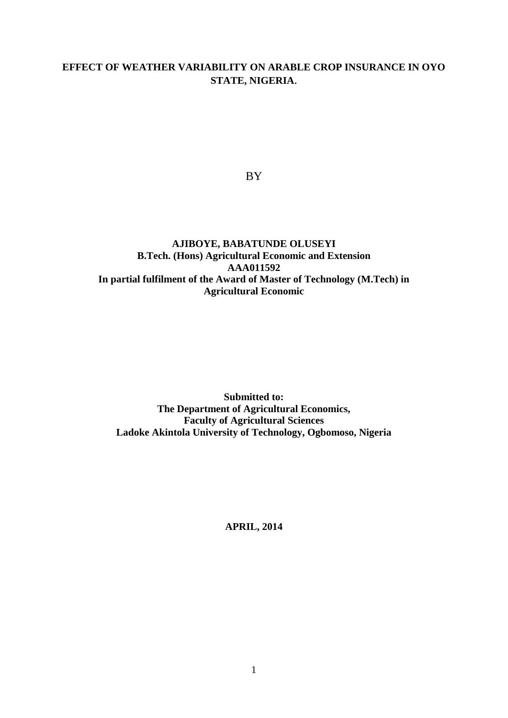# **EFFECT OF WEATHER VARIABILITY ON ARABLE CROP INSURANCE IN OYO STATE, NIGERIA**.

BY

# **AJIBOYE, BABATUNDE OLUSEYI B.Tech. (Hons) Agricultural Economic and Extension AAA011592 In partial fulfilment of the Award of Master of Technology (M.Tech) in Agricultural Economic**

**Submitted to: The Department of Agricultural Economics, Faculty of Agricultural Sciences Ladoke Akintola University of Technology, Ogbomoso, Nigeria**

**APRIL, 2014**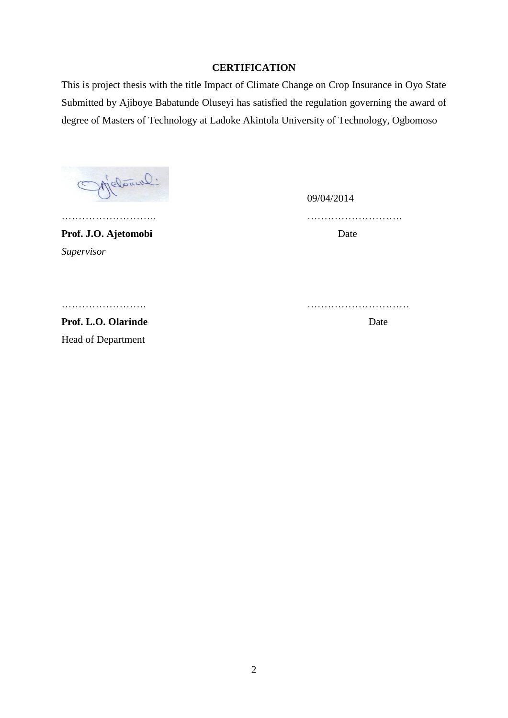# **CERTIFICATION**

This is project thesis with the title Impact of Climate Change on Crop Insurance in Oyo State Submitted by Ajiboye Babatunde Oluseyi has satisfied the regulation governing the award of degree of Masters of Technology at Ladoke Akintola University of Technology, Ogbomoso

Melowil.

09/04/2014

………………………. ……………………….

Prof. J.O. Ajetomobi Date

*Supervisor*

……………………. …………………………

Prof. L.O. Olarinde Date Head of Department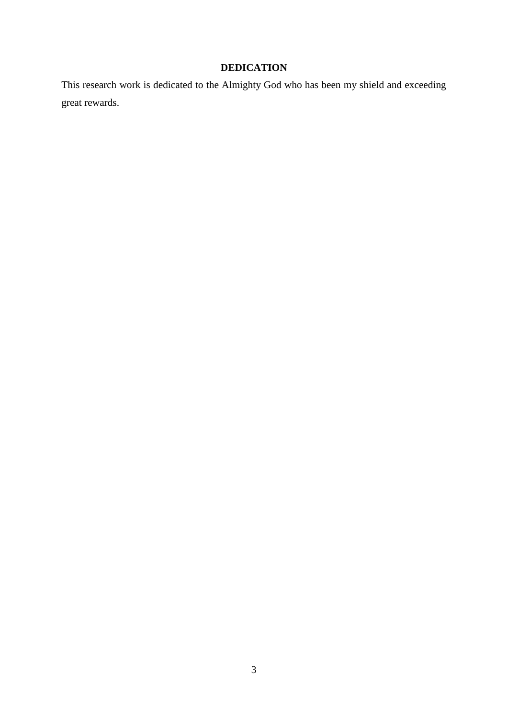# **DEDICATION**

This research work is dedicated to the Almighty God who has been my shield and exceeding great rewards.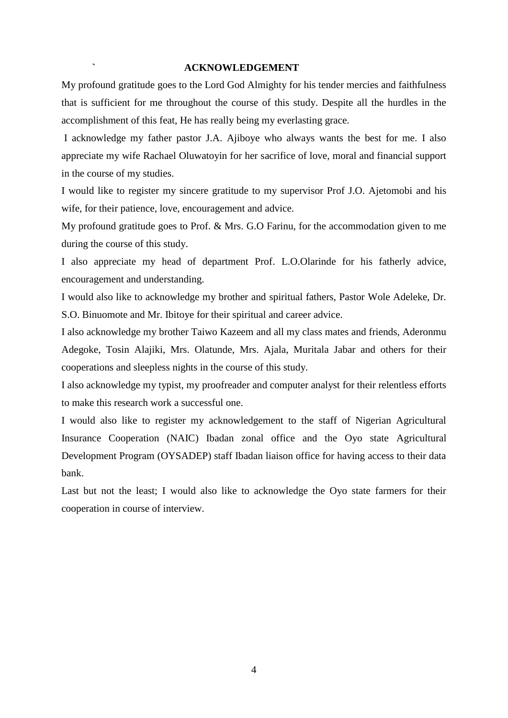### **` ACKNOWLEDGEMENT**

My profound gratitude goes to the Lord God Almighty for his tender mercies and faithfulness that is sufficient for me throughout the course of this study. Despite all the hurdles in the accomplishment of this feat, He has really being my everlasting grace.

I acknowledge my father pastor J.A. Ajiboye who always wants the best for me. I also appreciate my wife Rachael Oluwatoyin for her sacrifice of love, moral and financial support in the course of my studies.

I would like to register my sincere gratitude to my supervisor Prof J.O. Ajetomobi and his wife, for their patience, love, encouragement and advice.

My profound gratitude goes to Prof. & Mrs. G.O Farinu, for the accommodation given to me during the course of this study.

I also appreciate my head of department Prof. L.O.Olarinde for his fatherly advice, encouragement and understanding.

I would also like to acknowledge my brother and spiritual fathers, Pastor Wole Adeleke, Dr. S.O. Binuomote and Mr. Ibitoye for their spiritual and career advice.

I also acknowledge my brother Taiwo Kazeem and all my class mates and friends, Aderonmu Adegoke, Tosin Alajiki, Mrs. Olatunde, Mrs. Ajala, Muritala Jabar and others for their cooperations and sleepless nights in the course of this study.

I also acknowledge my typist, my proofreader and computer analyst for their relentless efforts to make this research work a successful one.

I would also like to register my acknowledgement to the staff of Nigerian Agricultural Insurance Cooperation (NAIC) Ibadan zonal office and the Oyo state Agricultural Development Program (OYSADEP) staff Ibadan liaison office for having access to their data bank.

Last but not the least; I would also like to acknowledge the Oyo state farmers for their cooperation in course of interview.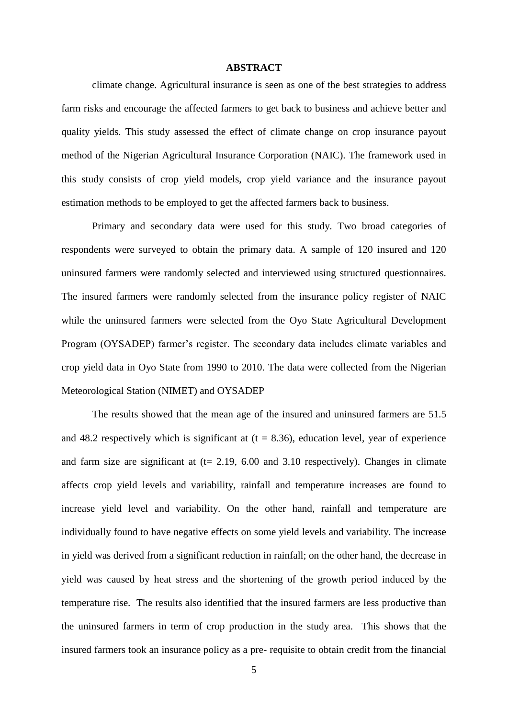#### **ABSTRACT**

climate change. Agricultural insurance is seen as one of the best strategies to address farm risks and encourage the affected farmers to get back to business and achieve better and quality yields. This study assessed the effect of climate change on crop insurance payout method of the Nigerian Agricultural Insurance Corporation (NAIC). The framework used in this study consists of crop yield models, crop yield variance and the insurance payout estimation methods to be employed to get the affected farmers back to business.

Primary and secondary data were used for this study. Two broad categories of respondents were surveyed to obtain the primary data. A sample of 120 insured and 120 uninsured farmers were randomly selected and interviewed using structured questionnaires. The insured farmers were randomly selected from the insurance policy register of NAIC while the uninsured farmers were selected from the Oyo State Agricultural Development Program (OYSADEP) farmer's register. The secondary data includes climate variables and crop yield data in Oyo State from 1990 to 2010. The data were collected from the Nigerian Meteorological Station (NIMET) and OYSADEP

The results showed that the mean age of the insured and uninsured farmers are 51.5 and 48.2 respectively which is significant at  $(t = 8.36)$ , education level, year of experience and farm size are significant at  $(t= 2.19, 6.00, 3.10)$  respectively). Changes in climate affects crop yield levels and variability, rainfall and temperature increases are found to increase yield level and variability. On the other hand, rainfall and temperature are individually found to have negative effects on some yield levels and variability. The increase in yield was derived from a significant reduction in rainfall; on the other hand, the decrease in yield was caused by heat stress and the shortening of the growth period induced by the temperature rise. The results also identified that the insured farmers are less productive than the uninsured farmers in term of crop production in the study area. This shows that the insured farmers took an insurance policy as a pre- requisite to obtain credit from the financial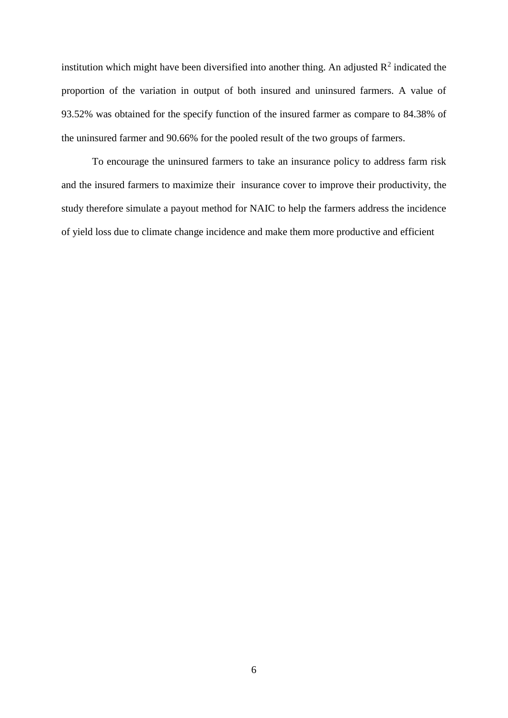institution which might have been diversified into another thing. An adjusted  $\mathbb{R}^2$  indicated the proportion of the variation in output of both insured and uninsured farmers. A value of 93.52% was obtained for the specify function of the insured farmer as compare to 84.38% of the uninsured farmer and 90.66% for the pooled result of the two groups of farmers.

To encourage the uninsured farmers to take an insurance policy to address farm risk and the insured farmers to maximize their insurance cover to improve their productivity, the study therefore simulate a payout method for NAIC to help the farmers address the incidence of yield loss due to climate change incidence and make them more productive and efficient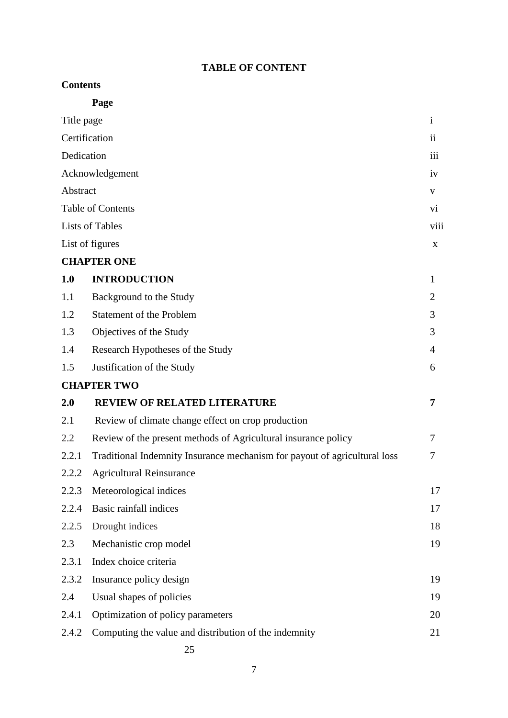# **TABLE OF CONTENT**

# **Contents**

|               | Page                                                                      |                |
|---------------|---------------------------------------------------------------------------|----------------|
| Title page    |                                                                           | $\mathbf{i}$   |
| Certification |                                                                           |                |
| Dedication    |                                                                           | iii            |
|               | Acknowledgement                                                           | iv             |
|               | Abstract                                                                  |                |
|               | <b>Table of Contents</b>                                                  |                |
|               | <b>Lists of Tables</b>                                                    |                |
|               | List of figures                                                           | X              |
|               | <b>CHAPTER ONE</b>                                                        |                |
| 1.0           | <b>INTRODUCTION</b>                                                       | $\mathbf{1}$   |
| 1.1           | Background to the Study                                                   | $\overline{2}$ |
| 1.2           | <b>Statement of the Problem</b>                                           | 3              |
| 1.3           | Objectives of the Study                                                   | 3              |
| 1.4           | Research Hypotheses of the Study                                          | $\overline{4}$ |
| 1.5           | Justification of the Study                                                | 6              |
|               | <b>CHAPTER TWO</b>                                                        |                |
| 2.0           | <b>REVIEW OF RELATED LITERATURE</b>                                       | 7              |
| 2.1           | Review of climate change effect on crop production                        |                |
| 2.2           | Review of the present methods of Agricultural insurance policy            | 7              |
| 2.2.1         | Traditional Indemnity Insurance mechanism for payout of agricultural loss | 7              |
| 2.2.2         | <b>Agricultural Reinsurance</b>                                           |                |
| 2.2.3         | Meteorological indices                                                    | 17             |
| 2.2.4         | Basic rainfall indices                                                    | 17             |
| 2.2.5         | Drought indices                                                           | 18             |
| 2.3           | Mechanistic crop model                                                    | 19             |
| 2.3.1         | Index choice criteria                                                     |                |
| 2.3.2         | Insurance policy design                                                   | 19             |
| 2.4           | Usual shapes of policies                                                  | 19             |
| 2.4.1         | Optimization of policy parameters                                         | 20             |
| 2.4.2         | Computing the value and distribution of the indemnity                     | 21             |
|               | 25                                                                        |                |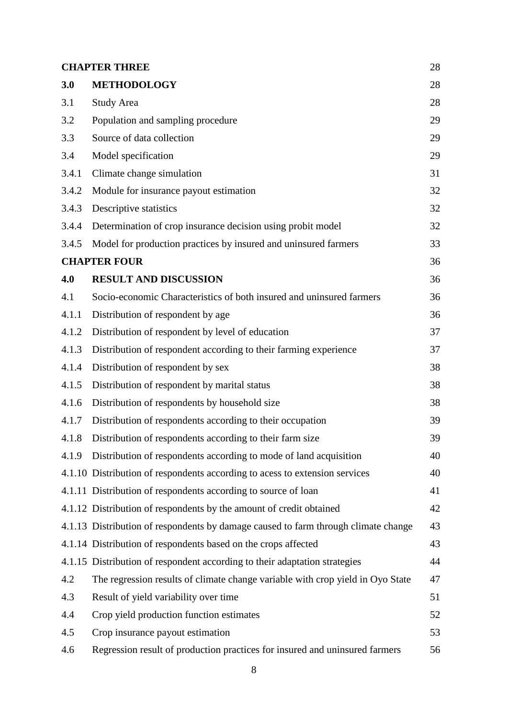| <b>CHAPTER THREE</b><br>28 |                                                                                    |    |
|----------------------------|------------------------------------------------------------------------------------|----|
| 3.0                        | <b>METHODOLOGY</b>                                                                 | 28 |
| 3.1                        | <b>Study Area</b>                                                                  | 28 |
| 3.2                        | Population and sampling procedure                                                  | 29 |
| 3.3                        | Source of data collection                                                          | 29 |
| 3.4                        | Model specification                                                                | 29 |
| 3.4.1                      | Climate change simulation                                                          | 31 |
| 3.4.2                      | Module for insurance payout estimation                                             | 32 |
| 3.4.3                      | Descriptive statistics                                                             | 32 |
| 3.4.4                      | Determination of crop insurance decision using probit model                        | 32 |
| 3.4.5                      | Model for production practices by insured and uninsured farmers                    | 33 |
| <b>CHAPTER FOUR</b><br>36  |                                                                                    |    |
| 4.0                        | <b>RESULT AND DISCUSSION</b>                                                       | 36 |
| 4.1                        | Socio-economic Characteristics of both insured and uninsured farmers               | 36 |
| 4.1.1                      | Distribution of respondent by age                                                  | 36 |
| 4.1.2                      | Distribution of respondent by level of education                                   | 37 |
| 4.1.3                      | Distribution of respondent according to their farming experience                   | 37 |
| 4.1.4                      | Distribution of respondent by sex                                                  | 38 |
| 4.1.5                      | Distribution of respondent by marital status                                       | 38 |
| 4.1.6                      | Distribution of respondents by household size                                      | 38 |
| 4.1.7                      | Distribution of respondents according to their occupation                          | 39 |
| 4.1.8                      | Distribution of respondents according to their farm size                           | 39 |
| 4.1.9                      | Distribution of respondents according to mode of land acquisition                  | 40 |
|                            | 4.1.10 Distribution of respondents according to acess to extension services        | 40 |
|                            | 4.1.11 Distribution of respondents according to source of loan                     | 41 |
|                            | 4.1.12 Distribution of respondents by the amount of credit obtained                | 42 |
|                            | 4.1.13 Distribution of respondents by damage caused to farm through climate change | 43 |
|                            | 4.1.14 Distribution of respondents based on the crops affected                     | 43 |
|                            | 4.1.15 Distribution of respondent according to their adaptation strategies         | 44 |
| 4.2                        | The regression results of climate change variable with crop yield in Oyo State     | 47 |
| 4.3                        | Result of yield variability over time                                              | 51 |
| 4.4                        | Crop yield production function estimates                                           | 52 |
| 4.5                        | Crop insurance payout estimation                                                   | 53 |
| 4.6                        | Regression result of production practices for insured and uninsured farmers        | 56 |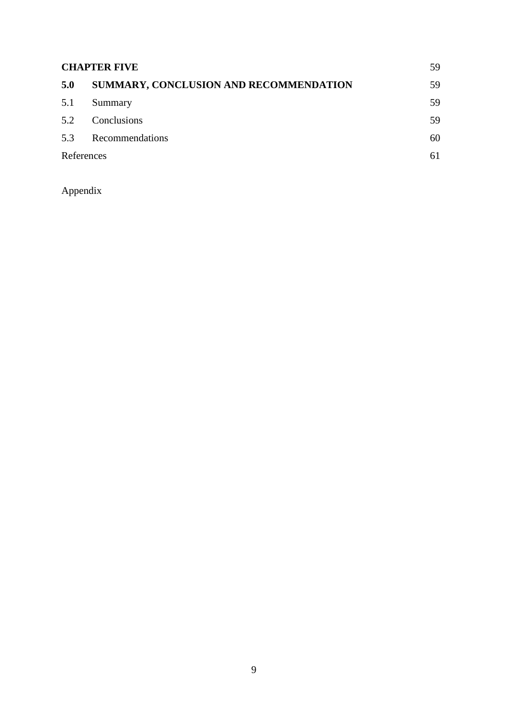| <b>CHAPTER FIVE</b><br>59 |                                        |    |
|---------------------------|----------------------------------------|----|
| 5.0                       | SUMMARY, CONCLUSION AND RECOMMENDATION | 59 |
| 5.1                       | Summary                                | 59 |
| 5.2                       | Conclusions                            | 59 |
| 5.3                       | Recommendations                        | 60 |
| References                |                                        | 61 |

Appendix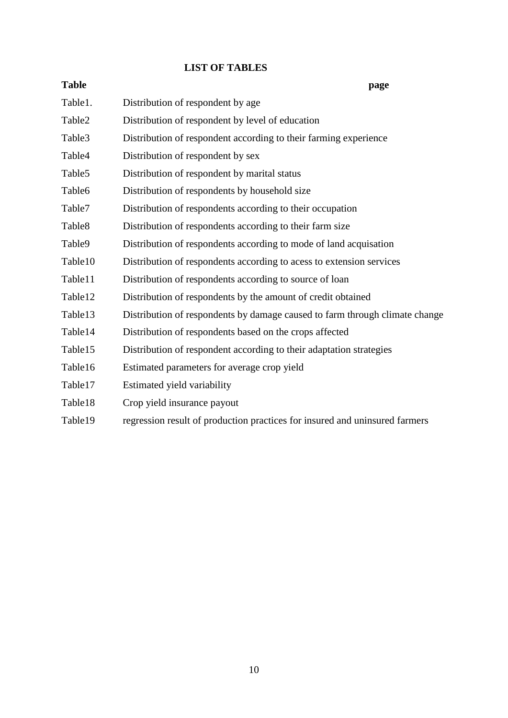# **LIST OF TABLES**

| <b>Table</b>       | page                                                                        |
|--------------------|-----------------------------------------------------------------------------|
| Table1.            | Distribution of respondent by age                                           |
| Table2             | Distribution of respondent by level of education                            |
| Table3             | Distribution of respondent according to their farming experience            |
| Table4             | Distribution of respondent by sex                                           |
| Table <sub>5</sub> | Distribution of respondent by marital status                                |
| Table <sub>6</sub> | Distribution of respondents by household size                               |
| Table7             | Distribution of respondents according to their occupation                   |
| Table <sub>8</sub> | Distribution of respondents according to their farm size                    |
| Table9             | Distribution of respondents according to mode of land acquisation           |
| Table10            | Distribution of respondents according to acess to extension services        |
| Table11            | Distribution of respondents according to source of loan                     |
| Table12            | Distribution of respondents by the amount of credit obtained                |
| Table13            | Distribution of respondents by damage caused to farm through climate change |
| Table14            | Distribution of respondents based on the crops affected                     |
| Table15            | Distribution of respondent according to their adaptation strategies         |
| Table16            | Estimated parameters for average crop yield                                 |
| Table17            | Estimated yield variability                                                 |
| Table18            | Crop yield insurance payout                                                 |
| Table19            | regression result of production practices for insured and uninsured farmers |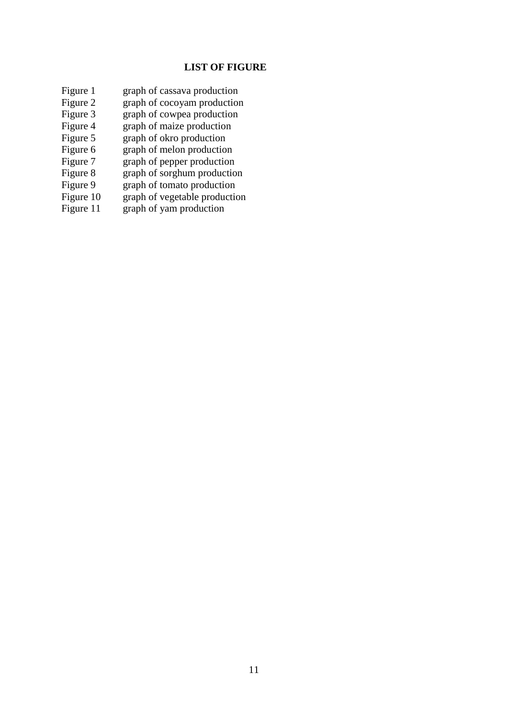# **LIST OF FIGURE**

- Figure 1 graph of cassava production<br>Figure 2 graph of cocoyam production
- Figure 2 graph of cocoyam production<br>Figure 3 graph of cowpea production
- graph of cowpea production
- Figure 4 graph of maize production
- Figure 5 graph of okro production<br>Figure 6 graph of melon production
- Figure 6 graph of melon production<br>Figure 7 graph of pepper production
- graph of pepper production
- Figure 8 graph of sorghum production<br>Figure 9 graph of tomato production
- Figure 9 graph of tomato production<br>Figure 10 graph of vegetable production
- Figure 10 graph of vegetable production<br>Figure 11 graph of yam production
- $graph$  of yam production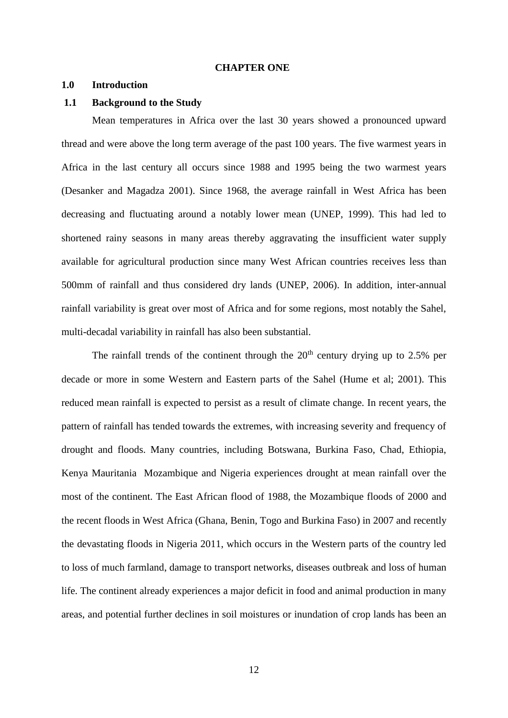#### **CHAPTER ONE**

## **1.0 Introduction**

#### **1.1 Background to the Study**

Mean temperatures in Africa over the last 30 years showed a pronounced upward thread and were above the long term average of the past 100 years. The five warmest years in Africa in the last century all occurs since 1988 and 1995 being the two warmest years (Desanker and Magadza 2001). Since 1968, the average rainfall in West Africa has been decreasing and fluctuating around a notably lower mean (UNEP, 1999). This had led to shortened rainy seasons in many areas thereby aggravating the insufficient water supply available for agricultural production since many West African countries receives less than 500mm of rainfall and thus considered dry lands (UNEP, 2006). In addition, inter-annual rainfall variability is great over most of Africa and for some regions, most notably the Sahel, multi-decadal variability in rainfall has also been substantial.

The rainfall trends of the continent through the  $20<sup>th</sup>$  century drying up to 2.5% per decade or more in some Western and Eastern parts of the Sahel (Hume et al; 2001). This reduced mean rainfall is expected to persist as a result of climate change. In recent years, the pattern of rainfall has tended towards the extremes, with increasing severity and frequency of drought and floods. Many countries, including Botswana, Burkina Faso, Chad, Ethiopia, Kenya Mauritania Mozambique and Nigeria experiences drought at mean rainfall over the most of the continent. The East African flood of 1988, the Mozambique floods of 2000 and the recent floods in West Africa (Ghana, Benin, Togo and Burkina Faso) in 2007 and recently the devastating floods in Nigeria 2011, which occurs in the Western parts of the country led to loss of much farmland, damage to transport networks, diseases outbreak and loss of human life. The continent already experiences a major deficit in food and animal production in many areas, and potential further declines in soil moistures or inundation of crop lands has been an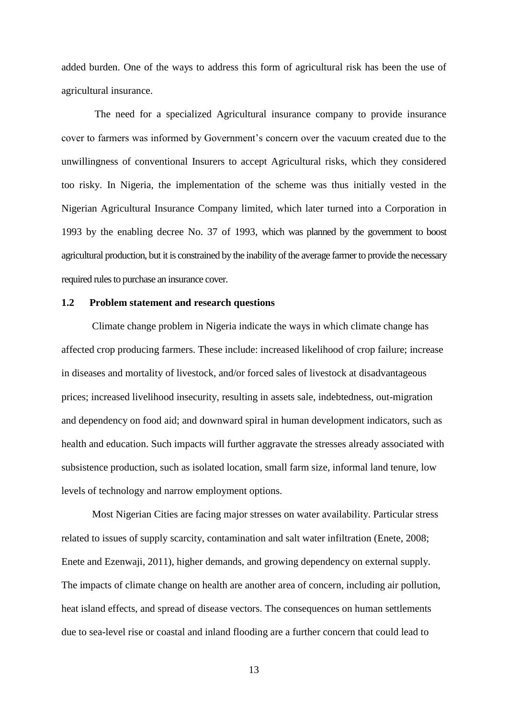added burden. One of the ways to address this form of agricultural risk has been the use of agricultural insurance.

The need for a specialized Agricultural insurance company to provide insurance cover to farmers was informed by Government's concern over the vacuum created due to the unwillingness of conventional Insurers to accept Agricultural risks, which they considered too risky. In Nigeria, the implementation of the scheme was thus initially vested in the Nigerian Agricultural Insurance Company limited, which later turned into a Corporation in 1993 by the enabling decree No. 37 of 1993, which was planned by the government to boost agricultural production, but it is constrained by the inability of the average farmer to provide the necessary required rules to purchase an insurance cover.

# **1.2 Problem statement and research questions**

Climate change problem in Nigeria indicate the ways in which climate change has affected crop producing farmers. These include: increased likelihood of crop failure; increase in diseases and mortality of livestock, and/or forced sales of livestock at disadvantageous prices; increased livelihood insecurity, resulting in assets sale, indebtedness, out-migration and dependency on food aid; and downward spiral in human development indicators, such as health and education. Such impacts will further aggravate the stresses already associated with subsistence production, such as isolated location, small farm size, informal land tenure, low levels of technology and narrow employment options.

Most Nigerian Cities are facing major stresses on water availability. Particular stress related to issues of supply scarcity, contamination and salt water infiltration (Enete, 2008; Enete and Ezenwaji, 2011), higher demands, and growing dependency on external supply. The impacts of climate change on health are another area of concern, including air pollution, heat island effects, and spread of disease vectors. The consequences on human settlements due to sea-level rise or coastal and inland flooding are a further concern that could lead to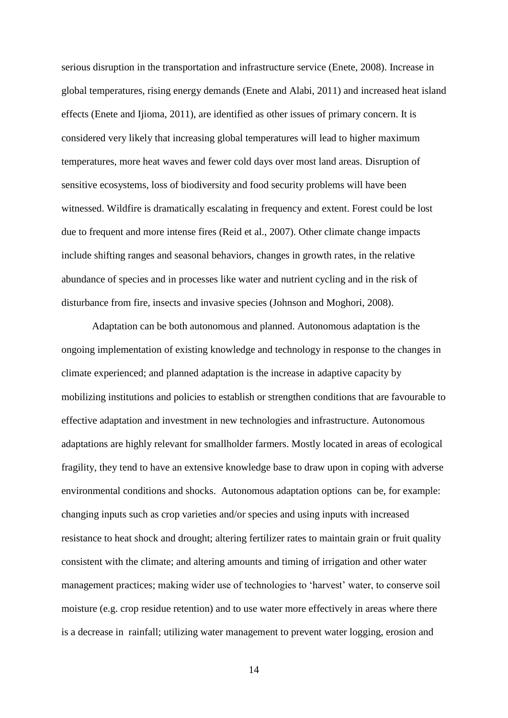serious disruption in the transportation and infrastructure service (Enete, 2008). Increase in global temperatures, rising energy demands (Enete and Alabi, 2011) and increased heat island effects (Enete and Ijioma, 2011), are identified as other issues of primary concern. It is considered very likely that increasing global temperatures will lead to higher maximum temperatures, more heat waves and fewer cold days over most land areas. Disruption of sensitive ecosystems, loss of biodiversity and food security problems will have been witnessed. Wildfire is dramatically escalating in frequency and extent. Forest could be lost due to frequent and more intense fires (Reid et al., 2007). Other climate change impacts include shifting ranges and seasonal behaviors, changes in growth rates, in the relative abundance of species and in processes like water and nutrient cycling and in the risk of disturbance from fire, insects and invasive species (Johnson and Moghori, 2008).

Adaptation can be both autonomous and planned. Autonomous adaptation is the ongoing implementation of existing knowledge and technology in response to the changes in climate experienced; and planned adaptation is the increase in adaptive capacity by mobilizing institutions and policies to establish or strengthen conditions that are favourable to effective adaptation and investment in new technologies and infrastructure. Autonomous adaptations are highly relevant for smallholder farmers. Mostly located in areas of ecological fragility, they tend to have an extensive knowledge base to draw upon in coping with adverse environmental conditions and shocks. Autonomous adaptation options can be, for example: changing inputs such as crop varieties and/or species and using inputs with increased resistance to heat shock and drought; altering fertilizer rates to maintain grain or fruit quality consistent with the climate; and altering amounts and timing of irrigation and other water management practices; making wider use of technologies to 'harvest' water, to conserve soil moisture (e.g. crop residue retention) and to use water more effectively in areas where there is a decrease in rainfall; utilizing water management to prevent water logging, erosion and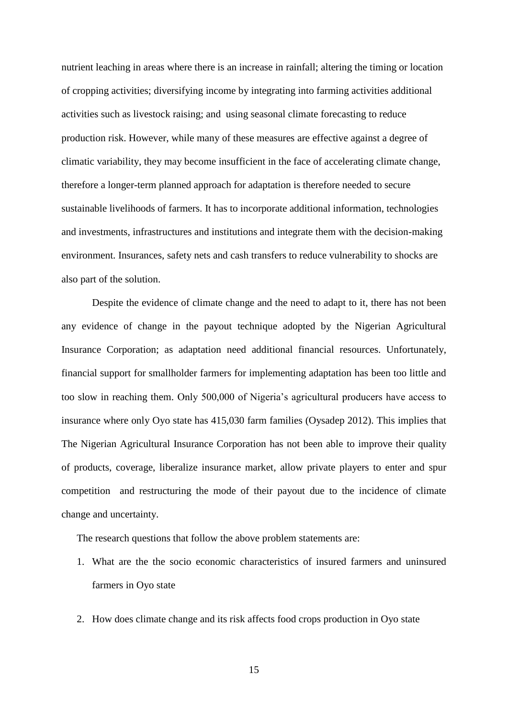nutrient leaching in areas where there is an increase in rainfall; altering the timing or location of cropping activities; diversifying income by integrating into farming activities additional activities such as livestock raising; and using seasonal climate forecasting to reduce production risk. However, while many of these measures are effective against a degree of climatic variability, they may become insufficient in the face of accelerating climate change, therefore a longer-term planned approach for adaptation is therefore needed to secure sustainable livelihoods of farmers. It has to incorporate additional information, technologies and investments, infrastructures and institutions and integrate them with the decision-making environment. Insurances, safety nets and cash transfers to reduce vulnerability to shocks are also part of the solution.

Despite the evidence of climate change and the need to adapt to it, there has not been any evidence of change in the payout technique adopted by the Nigerian Agricultural Insurance Corporation; as adaptation need additional financial resources. Unfortunately, financial support for smallholder farmers for implementing adaptation has been too little and too slow in reaching them. Only 500,000 of Nigeria's agricultural producers have access to insurance where only Oyo state has 415,030 farm families (Oysadep 2012). This implies that The Nigerian Agricultural Insurance Corporation has not been able to improve their quality of products, coverage, liberalize insurance market, allow private players to enter and spur competition and restructuring the mode of their payout due to the incidence of climate change and uncertainty.

The research questions that follow the above problem statements are:

- 1. What are the the socio economic characteristics of insured farmers and uninsured farmers in Oyo state
- 2. How does climate change and its risk affects food crops production in Oyo state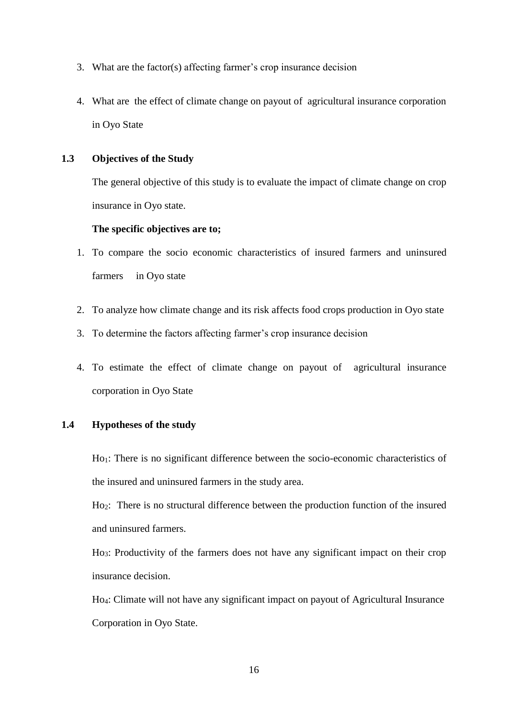- 3. What are the factor(s) affecting farmer's crop insurance decision
- 4. What are the effect of climate change on payout of agricultural insurance corporation in Oyo State

# **1.3 Objectives of the Study**

The general objective of this study is to evaluate the impact of climate change on crop insurance in Oyo state.

# **The specific objectives are to;**

- 1. To compare the socio economic characteristics of insured farmers and uninsured farmers in Oyo state
- 2. To analyze how climate change and its risk affects food crops production in Oyo state
- 3. To determine the factors affecting farmer's crop insurance decision
- 4. To estimate the effect of climate change on payout of agricultural insurance corporation in Oyo State

# **1.4 Hypotheses of the study**

Ho1: There is no significant difference between the socio-economic characteristics of the insured and uninsured farmers in the study area.

Ho2: There is no structural difference between the production function of the insured and uninsured farmers.

Ho3: Productivity of the farmers does not have any significant impact on their crop insurance decision.

Ho4: Climate will not have any significant impact on payout of Agricultural Insurance Corporation in Oyo State.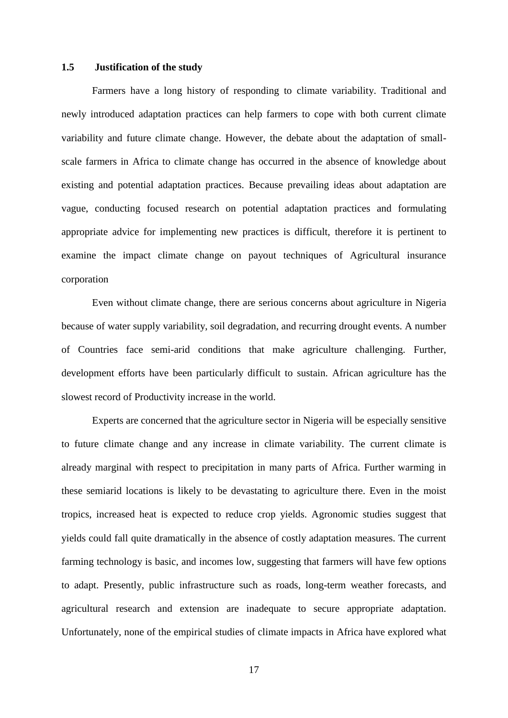### **1.5 Justification of the study**

Farmers have a long history of responding to climate variability. Traditional and newly introduced adaptation practices can help farmers to cope with both current climate variability and future climate change. However, the debate about the adaptation of smallscale farmers in Africa to climate change has occurred in the absence of knowledge about existing and potential adaptation practices. Because prevailing ideas about adaptation are vague, conducting focused research on potential adaptation practices and formulating appropriate advice for implementing new practices is difficult, therefore it is pertinent to examine the impact climate change on payout techniques of Agricultural insurance corporation

Even without climate change, there are serious concerns about agriculture in Nigeria because of water supply variability, soil degradation, and recurring drought events. A number of Countries face semi-arid conditions that make agriculture challenging. Further, development efforts have been particularly difficult to sustain. African agriculture has the slowest record of Productivity increase in the world.

Experts are concerned that the agriculture sector in Nigeria will be especially sensitive to future climate change and any increase in climate variability. The current climate is already marginal with respect to precipitation in many parts of Africa. Further warming in these semiarid locations is likely to be devastating to agriculture there. Even in the moist tropics, increased heat is expected to reduce crop yields. Agronomic studies suggest that yields could fall quite dramatically in the absence of costly adaptation measures. The current farming technology is basic, and incomes low, suggesting that farmers will have few options to adapt. Presently, public infrastructure such as roads, long-term weather forecasts, and agricultural research and extension are inadequate to secure appropriate adaptation. Unfortunately, none of the empirical studies of climate impacts in Africa have explored what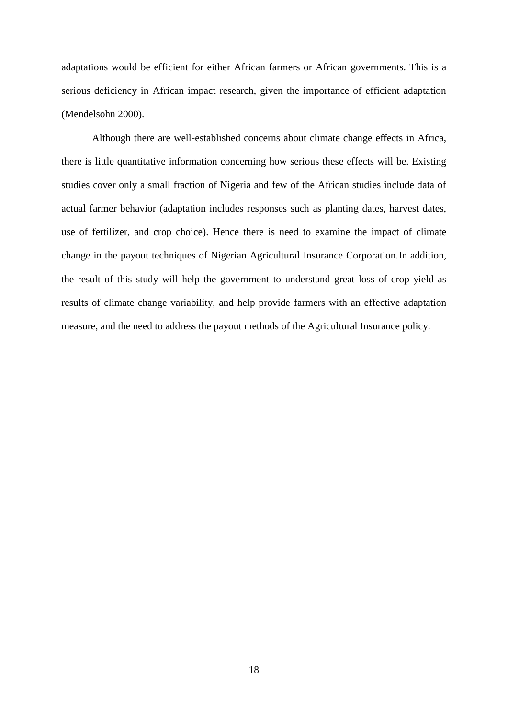adaptations would be efficient for either African farmers or African governments. This is a serious deficiency in African impact research, given the importance of efficient adaptation (Mendelsohn 2000).

Although there are well-established concerns about climate change effects in Africa, there is little quantitative information concerning how serious these effects will be. Existing studies cover only a small fraction of Nigeria and few of the African studies include data of actual farmer behavior (adaptation includes responses such as planting dates, harvest dates, use of fertilizer, and crop choice). Hence there is need to examine the impact of climate change in the payout techniques of Nigerian Agricultural Insurance Corporation.In addition, the result of this study will help the government to understand great loss of crop yield as results of climate change variability, and help provide farmers with an effective adaptation measure, and the need to address the payout methods of the Agricultural Insurance policy.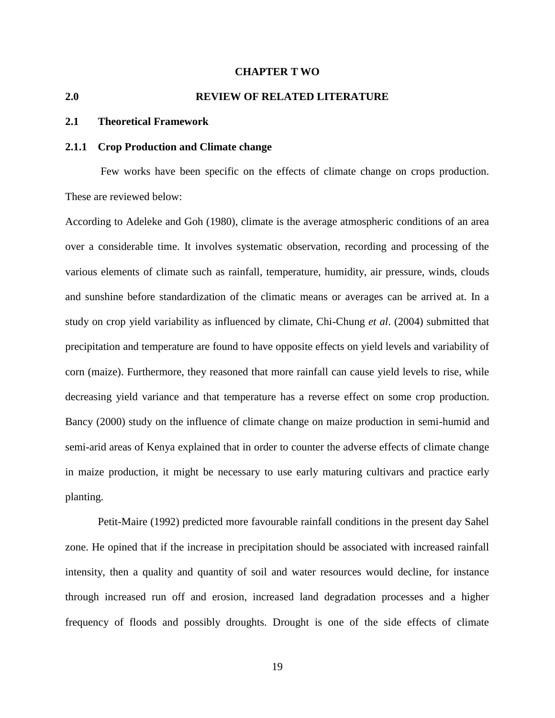#### **CHAPTER T WO**

# **2.0 REVIEW OF RELATED LITERATURE**

## **2.1 Theoretical Framework**

#### **2.1.1 Crop Production and Climate change**

Few works have been specific on the effects of climate change on crops production. These are reviewed below:

According to Adeleke and Goh (1980), climate is the average atmospheric conditions of an area over a considerable time. It involves systematic observation, recording and processing of the various elements of climate such as rainfall, temperature, humidity, air pressure, winds, clouds and sunshine before standardization of the climatic means or averages can be arrived at. In a study on crop yield variability as influenced by climate, Chi-Chung *et al*. (2004) submitted that precipitation and temperature are found to have opposite effects on yield levels and variability of corn (maize). Furthermore, they reasoned that more rainfall can cause yield levels to rise, while decreasing yield variance and that temperature has a reverse effect on some crop production. Bancy (2000) study on the influence of climate change on maize production in semi-humid and semi-arid areas of Kenya explained that in order to counter the adverse effects of climate change in maize production, it might be necessary to use early maturing cultivars and practice early planting.

Petit-Maire (1992) predicted more favourable rainfall conditions in the present day Sahel zone. He opined that if the increase in precipitation should be associated with increased rainfall intensity, then a quality and quantity of soil and water resources would decline, for instance through increased run off and erosion, increased land degradation processes and a higher frequency of floods and possibly droughts. Drought is one of the side effects of climate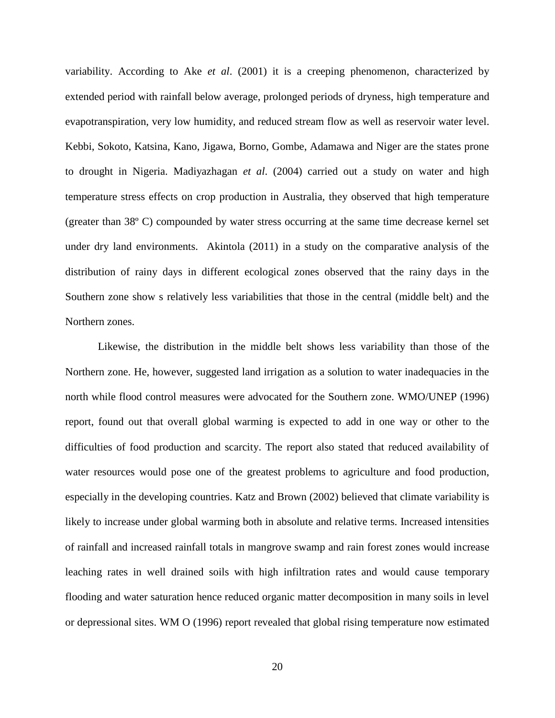variability. According to Ake *et al*. (2001) it is a creeping phenomenon, characterized by extended period with rainfall below average, prolonged periods of dryness, high temperature and evapotranspiration, very low humidity, and reduced stream flow as well as reservoir water level. Kebbi, Sokoto, Katsina, Kano, Jigawa, Borno, Gombe, Adamawa and Niger are the states prone to drought in Nigeria. Madiyazhagan *et al*. (2004) carried out a study on water and high temperature stress effects on crop production in Australia, they observed that high temperature (greater than 38º C) compounded by water stress occurring at the same time decrease kernel set under dry land environments. Akintola (2011) in a study on the comparative analysis of the distribution of rainy days in different ecological zones observed that the rainy days in the Southern zone show s relatively less variabilities that those in the central (middle belt) and the Northern zones.

Likewise, the distribution in the middle belt shows less variability than those of the Northern zone. He, however, suggested land irrigation as a solution to water inadequacies in the north while flood control measures were advocated for the Southern zone. WMO/UNEP (1996) report, found out that overall global warming is expected to add in one way or other to the difficulties of food production and scarcity. The report also stated that reduced availability of water resources would pose one of the greatest problems to agriculture and food production, especially in the developing countries. Katz and Brown (2002) believed that climate variability is likely to increase under global warming both in absolute and relative terms. Increased intensities of rainfall and increased rainfall totals in mangrove swamp and rain forest zones would increase leaching rates in well drained soils with high infiltration rates and would cause temporary flooding and water saturation hence reduced organic matter decomposition in many soils in level or depressional sites. WM O (1996) report revealed that global rising temperature now estimated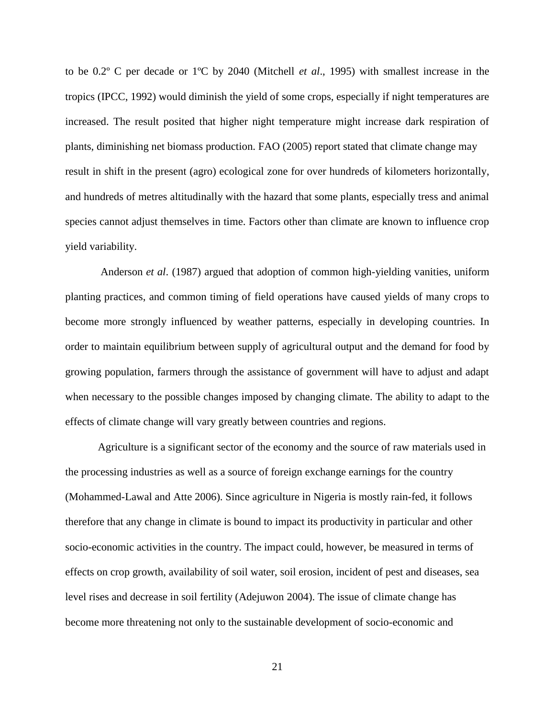to be 0.2º C per decade or 1ºC by 2040 (Mitchell *et al*., 1995) with smallest increase in the tropics (IPCC, 1992) would diminish the yield of some crops, especially if night temperatures are increased. The result posited that higher night temperature might increase dark respiration of plants, diminishing net biomass production. FAO (2005) report stated that climate change may result in shift in the present (agro) ecological zone for over hundreds of kilometers horizontally, and hundreds of metres altitudinally with the hazard that some plants, especially tress and animal species cannot adjust themselves in time. Factors other than climate are known to influence crop yield variability.

Anderson *et al*. (1987) argued that adoption of common high-yielding vanities, uniform planting practices, and common timing of field operations have caused yields of many crops to become more strongly influenced by weather patterns, especially in developing countries. In order to maintain equilibrium between supply of agricultural output and the demand for food by growing population, farmers through the assistance of government will have to adjust and adapt when necessary to the possible changes imposed by changing climate. The ability to adapt to the effects of climate change will vary greatly between countries and regions.

Agriculture is a significant sector of the economy and the source of raw materials used in the processing industries as well as a source of foreign exchange earnings for the country (Mohammed-Lawal and Atte 2006). Since agriculture in Nigeria is mostly rain-fed, it follows therefore that any change in climate is bound to impact its productivity in particular and other socio-economic activities in the country. The impact could, however, be measured in terms of effects on crop growth, availability of soil water, soil erosion, incident of pest and diseases, sea level rises and decrease in soil fertility (Adejuwon 2004). The issue of climate change has become more threatening not only to the sustainable development of socio-economic and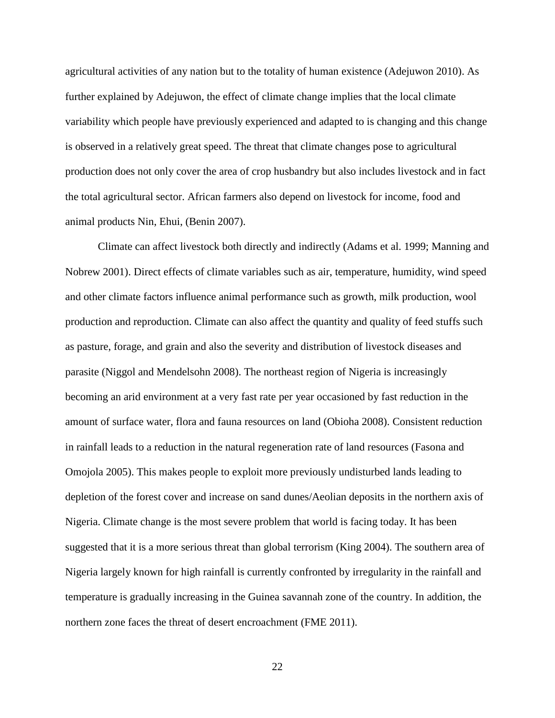agricultural activities of any nation but to the totality of human existence (Adejuwon 2010). As further explained by Adejuwon, the effect of climate change implies that the local climate variability which people have previously experienced and adapted to is changing and this change is observed in a relatively great speed. The threat that climate changes pose to agricultural production does not only cover the area of crop husbandry but also includes livestock and in fact the total agricultural sector. African farmers also depend on livestock for income, food and animal products Nin, Ehui, (Benin 2007).

Climate can affect livestock both directly and indirectly (Adams et al. 1999; Manning and Nobrew 2001). Direct effects of climate variables such as air, temperature, humidity, wind speed and other climate factors influence animal performance such as growth, milk production, wool production and reproduction. Climate can also affect the quantity and quality of feed stuffs such as pasture, forage, and grain and also the severity and distribution of livestock diseases and parasite (Niggol and Mendelsohn 2008). The northeast region of Nigeria is increasingly becoming an arid environment at a very fast rate per year occasioned by fast reduction in the amount of surface water, flora and fauna resources on land (Obioha 2008). Consistent reduction in rainfall leads to a reduction in the natural regeneration rate of land resources (Fasona and Omojola 2005). This makes people to exploit more previously undisturbed lands leading to depletion of the forest cover and increase on sand dunes/Aeolian deposits in the northern axis of Nigeria. Climate change is the most severe problem that world is facing today. It has been suggested that it is a more serious threat than global terrorism (King 2004). The southern area of Nigeria largely known for high rainfall is currently confronted by irregularity in the rainfall and temperature is gradually increasing in the Guinea savannah zone of the country. In addition, the northern zone faces the threat of desert encroachment (FME 2011).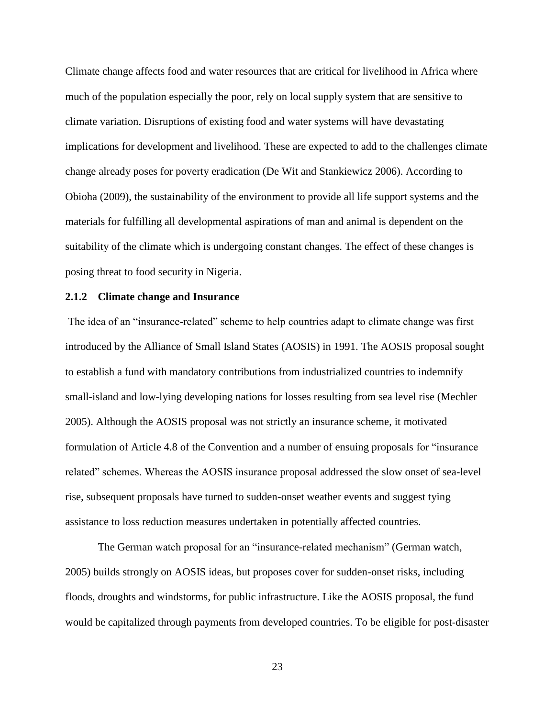Climate change affects food and water resources that are critical for livelihood in Africa where much of the population especially the poor, rely on local supply system that are sensitive to climate variation. Disruptions of existing food and water systems will have devastating implications for development and livelihood. These are expected to add to the challenges climate change already poses for poverty eradication (De Wit and Stankiewicz 2006). According to Obioha (2009), the sustainability of the environment to provide all life support systems and the materials for fulfilling all developmental aspirations of man and animal is dependent on the suitability of the climate which is undergoing constant changes. The effect of these changes is posing threat to food security in Nigeria.

## **2.1.2 Climate change and Insurance**

The idea of an "insurance-related" scheme to help countries adapt to climate change was first introduced by the Alliance of Small Island States (AOSIS) in 1991. The AOSIS proposal sought to establish a fund with mandatory contributions from industrialized countries to indemnify small-island and low-lying developing nations for losses resulting from sea level rise (Mechler 2005). Although the AOSIS proposal was not strictly an insurance scheme, it motivated formulation of Article 4.8 of the Convention and a number of ensuing proposals for "insurance related" schemes. Whereas the AOSIS insurance proposal addressed the slow onset of sea-level rise, subsequent proposals have turned to sudden-onset weather events and suggest tying assistance to loss reduction measures undertaken in potentially affected countries.

The German watch proposal for an "insurance-related mechanism" (German watch, 2005) builds strongly on AOSIS ideas, but proposes cover for sudden-onset risks, including floods, droughts and windstorms, for public infrastructure. Like the AOSIS proposal, the fund would be capitalized through payments from developed countries. To be eligible for post-disaster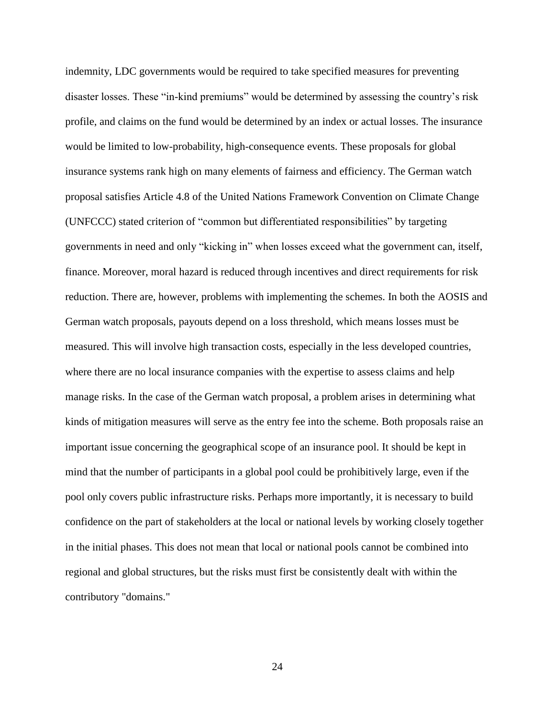indemnity, LDC governments would be required to take specified measures for preventing disaster losses. These "in-kind premiums" would be determined by assessing the country's risk profile, and claims on the fund would be determined by an index or actual losses. The insurance would be limited to low-probability, high-consequence events. These proposals for global insurance systems rank high on many elements of fairness and efficiency. The German watch proposal satisfies Article 4.8 of the United Nations Framework Convention on Climate Change (UNFCCC) stated criterion of "common but differentiated responsibilities" by targeting governments in need and only "kicking in" when losses exceed what the government can, itself, finance. Moreover, moral hazard is reduced through incentives and direct requirements for risk reduction. There are, however, problems with implementing the schemes. In both the AOSIS and German watch proposals, payouts depend on a loss threshold, which means losses must be measured. This will involve high transaction costs, especially in the less developed countries, where there are no local insurance companies with the expertise to assess claims and help manage risks. In the case of the German watch proposal, a problem arises in determining what kinds of mitigation measures will serve as the entry fee into the scheme. Both proposals raise an important issue concerning the geographical scope of an insurance pool. It should be kept in mind that the number of participants in a global pool could be prohibitively large, even if the pool only covers public infrastructure risks. Perhaps more importantly, it is necessary to build confidence on the part of stakeholders at the local or national levels by working closely together in the initial phases. This does not mean that local or national pools cannot be combined into regional and global structures, but the risks must first be consistently dealt with within the contributory "domains."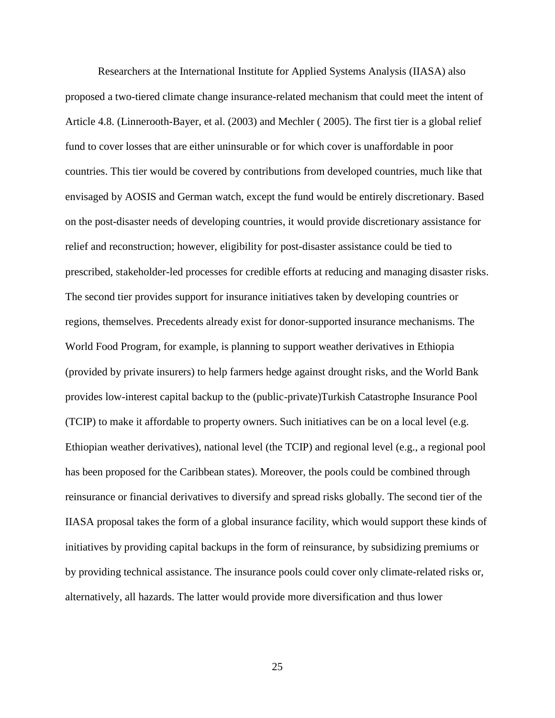Researchers at the International Institute for Applied Systems Analysis (IIASA) also proposed a two-tiered climate change insurance-related mechanism that could meet the intent of Article 4.8. (Linnerooth-Bayer, et al. (2003) and Mechler ( 2005). The first tier is a global relief fund to cover losses that are either uninsurable or for which cover is unaffordable in poor countries. This tier would be covered by contributions from developed countries, much like that envisaged by AOSIS and German watch, except the fund would be entirely discretionary. Based on the post-disaster needs of developing countries, it would provide discretionary assistance for relief and reconstruction; however, eligibility for post-disaster assistance could be tied to prescribed, stakeholder-led processes for credible efforts at reducing and managing disaster risks. The second tier provides support for insurance initiatives taken by developing countries or regions, themselves. Precedents already exist for donor-supported insurance mechanisms. The World Food Program, for example, is planning to support weather derivatives in Ethiopia (provided by private insurers) to help farmers hedge against drought risks, and the World Bank provides low-interest capital backup to the (public-private)Turkish Catastrophe Insurance Pool (TCIP) to make it affordable to property owners. Such initiatives can be on a local level (e.g. Ethiopian weather derivatives), national level (the TCIP) and regional level (e.g., a regional pool has been proposed for the Caribbean states). Moreover, the pools could be combined through reinsurance or financial derivatives to diversify and spread risks globally. The second tier of the IIASA proposal takes the form of a global insurance facility, which would support these kinds of initiatives by providing capital backups in the form of reinsurance, by subsidizing premiums or by providing technical assistance. The insurance pools could cover only climate-related risks or, alternatively, all hazards. The latter would provide more diversification and thus lower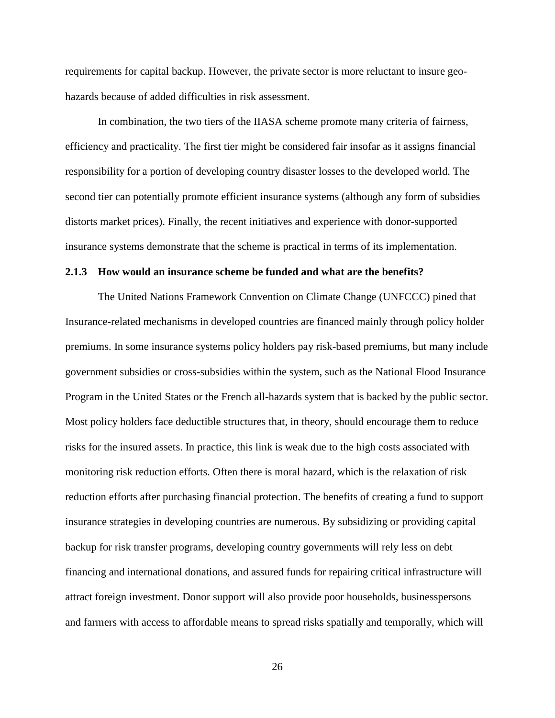requirements for capital backup. However, the private sector is more reluctant to insure geohazards because of added difficulties in risk assessment.

In combination, the two tiers of the IIASA scheme promote many criteria of fairness, efficiency and practicality. The first tier might be considered fair insofar as it assigns financial responsibility for a portion of developing country disaster losses to the developed world. The second tier can potentially promote efficient insurance systems (although any form of subsidies distorts market prices). Finally, the recent initiatives and experience with donor-supported insurance systems demonstrate that the scheme is practical in terms of its implementation.

### **2.1.3 How would an insurance scheme be funded and what are the benefits?**

The United Nations Framework Convention on Climate Change (UNFCCC) pined that Insurance-related mechanisms in developed countries are financed mainly through policy holder premiums. In some insurance systems policy holders pay risk-based premiums, but many include government subsidies or cross-subsidies within the system, such as the National Flood Insurance Program in the United States or the French all-hazards system that is backed by the public sector. Most policy holders face deductible structures that, in theory, should encourage them to reduce risks for the insured assets. In practice, this link is weak due to the high costs associated with monitoring risk reduction efforts. Often there is moral hazard, which is the relaxation of risk reduction efforts after purchasing financial protection. The benefits of creating a fund to support insurance strategies in developing countries are numerous. By subsidizing or providing capital backup for risk transfer programs, developing country governments will rely less on debt financing and international donations, and assured funds for repairing critical infrastructure will attract foreign investment. Donor support will also provide poor households, businesspersons and farmers with access to affordable means to spread risks spatially and temporally, which will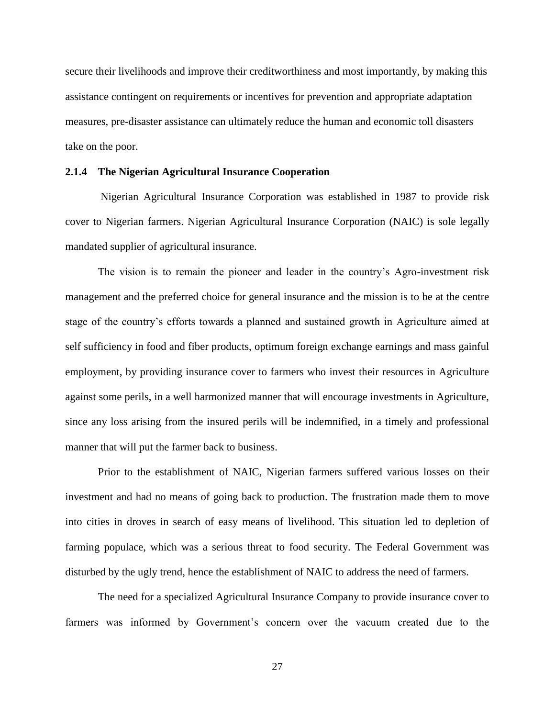secure their livelihoods and improve their creditworthiness and most importantly, by making this assistance contingent on requirements or incentives for prevention and appropriate adaptation measures, pre-disaster assistance can ultimately reduce the human and economic toll disasters take on the poor.

## **2.1.4 The Nigerian Agricultural Insurance Cooperation**

Nigerian Agricultural Insurance Corporation was established in 1987 to provide risk cover to Nigerian farmers. Nigerian Agricultural Insurance Corporation (NAIC) is sole legally mandated supplier of agricultural insurance.

The vision is to remain the pioneer and leader in the country's Agro-investment risk management and the preferred choice for general insurance and the mission is to be at the centre stage of the country's efforts towards a planned and sustained growth in Agriculture aimed at self sufficiency in food and fiber products, optimum foreign exchange earnings and mass gainful employment, by providing insurance cover to farmers who invest their resources in Agriculture against some perils, in a well harmonized manner that will encourage investments in Agriculture, since any loss arising from the insured perils will be indemnified, in a timely and professional manner that will put the farmer back to business.

Prior to the establishment of NAIC, Nigerian farmers suffered various losses on their investment and had no means of going back to production. The frustration made them to move into cities in droves in search of easy means of livelihood. This situation led to depletion of farming populace, which was a serious threat to food security. The Federal Government was disturbed by the ugly trend, hence the establishment of NAIC to address the need of farmers.

The need for a specialized Agricultural Insurance Company to provide insurance cover to farmers was informed by Government's concern over the vacuum created due to the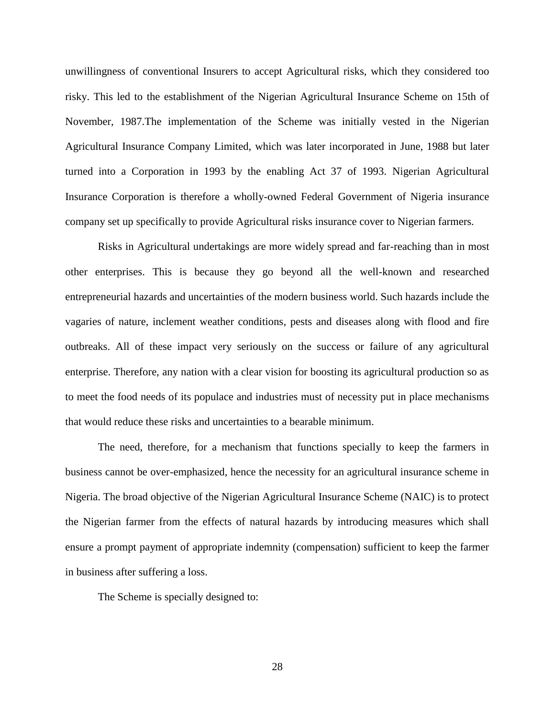unwillingness of conventional Insurers to accept Agricultural risks, which they considered too risky. This led to the establishment of the Nigerian Agricultural Insurance Scheme on 15th of November, 1987.The implementation of the Scheme was initially vested in the Nigerian Agricultural Insurance Company Limited, which was later incorporated in June, 1988 but later turned into a Corporation in 1993 by the enabling Act 37 of 1993. Nigerian Agricultural Insurance Corporation is therefore a wholly-owned Federal Government of Nigeria insurance company set up specifically to provide Agricultural risks insurance cover to Nigerian farmers.

Risks in Agricultural undertakings are more widely spread and far-reaching than in most other enterprises. This is because they go beyond all the well-known and researched entrepreneurial hazards and uncertainties of the modern business world. Such hazards include the vagaries of nature, inclement weather conditions, pests and diseases along with flood and fire outbreaks. All of these impact very seriously on the success or failure of any agricultural enterprise. Therefore, any nation with a clear vision for boosting its agricultural production so as to meet the food needs of its populace and industries must of necessity put in place mechanisms that would reduce these risks and uncertainties to a bearable minimum.

The need, therefore, for a mechanism that functions specially to keep the farmers in business cannot be over-emphasized, hence the necessity for an agricultural insurance scheme in Nigeria. The broad objective of the Nigerian Agricultural Insurance Scheme (NAIC) is to protect the Nigerian farmer from the effects of natural hazards by introducing measures which shall ensure a prompt payment of appropriate indemnity (compensation) sufficient to keep the farmer in business after suffering a loss.

The Scheme is specially designed to: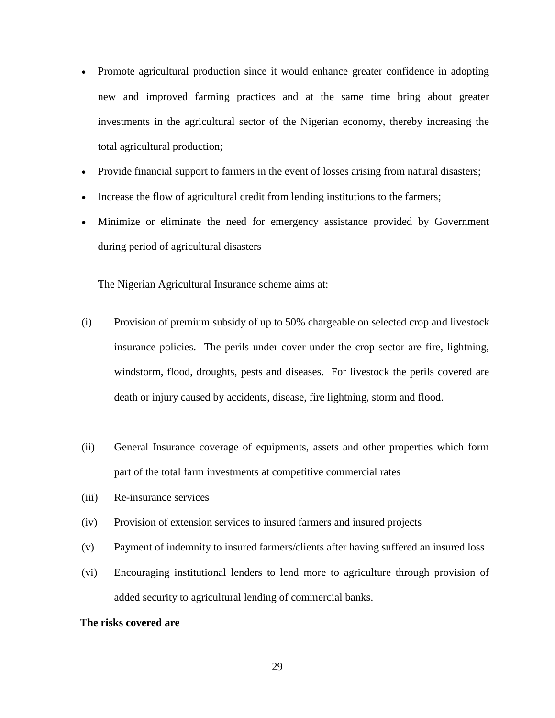- Promote agricultural production since it would enhance greater confidence in adopting new and improved farming practices and at the same time bring about greater investments in the agricultural sector of the Nigerian economy, thereby increasing the total agricultural production;
- Provide financial support to farmers in the event of losses arising from natural disasters;
- Increase the flow of agricultural credit from lending institutions to the farmers;
- Minimize or eliminate the need for emergency assistance provided by Government during period of agricultural disasters

The Nigerian Agricultural Insurance scheme aims at:

- (i) Provision of premium subsidy of up to 50% chargeable on selected crop and livestock insurance policies. The perils under cover under the crop sector are fire, lightning, windstorm, flood, droughts, pests and diseases. For livestock the perils covered are death or injury caused by accidents, disease, fire lightning, storm and flood.
- (ii) General Insurance coverage of equipments, assets and other properties which form part of the total farm investments at competitive commercial rates
- (iii) Re-insurance services
- (iv) Provision of extension services to insured farmers and insured projects
- (v) Payment of indemnity to insured farmers/clients after having suffered an insured loss
- (vi) Encouraging institutional lenders to lend more to agriculture through provision of added security to agricultural lending of commercial banks.

#### **The risks covered are**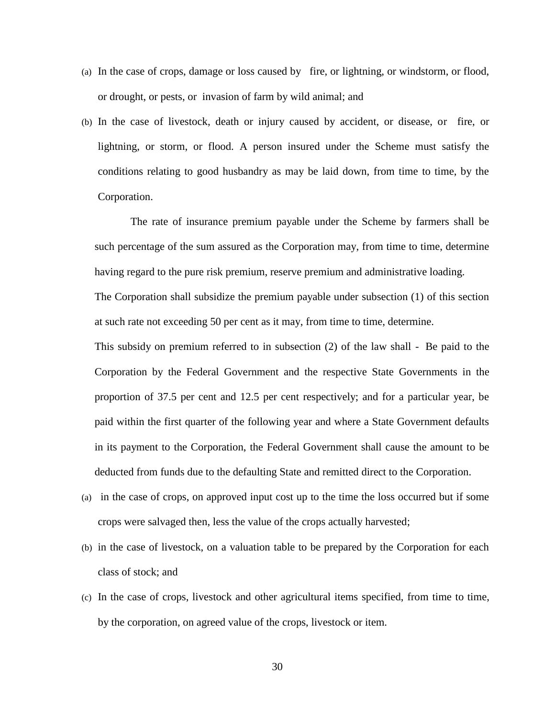- (a) In the case of crops, damage or loss caused by fire, or lightning, or windstorm, or flood, or drought, or pests, or invasion of farm by wild animal; and
- (b) In the case of livestock, death or injury caused by accident, or disease, or fire, or lightning, or storm, or flood. A person insured under the Scheme must satisfy the conditions relating to good husbandry as may be laid down, from time to time, by the Corporation.

 The rate of insurance premium payable under the Scheme by farmers shall be such percentage of the sum assured as the Corporation may, from time to time, determine having regard to the pure risk premium, reserve premium and administrative loading.

The Corporation shall subsidize the premium payable under subsection (1) of this section at such rate not exceeding 50 per cent as it may, from time to time, determine.

 This subsidy on premium referred to in subsection (2) of the law shall - Be paid to the Corporation by the Federal Government and the respective State Governments in the proportion of 37.5 per cent and 12.5 per cent respectively; and for a particular year, be paid within the first quarter of the following year and where a State Government defaults in its payment to the Corporation, the Federal Government shall cause the amount to be deducted from funds due to the defaulting State and remitted direct to the Corporation.

- (a) in the case of crops, on approved input cost up to the time the loss occurred but if some crops were salvaged then, less the value of the crops actually harvested;
- (b) in the case of livestock, on a valuation table to be prepared by the Corporation for each class of stock; and
- (c) In the case of crops, livestock and other agricultural items specified, from time to time, by the corporation, on agreed value of the crops, livestock or item.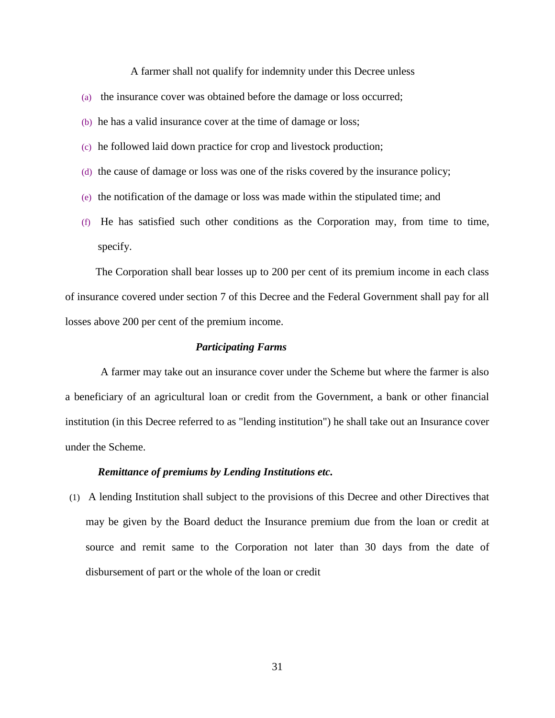A farmer shall not qualify for indemnity under this Decree unless

- (a) the insurance cover was obtained before the damage or loss occurred;
- (b) he has a valid insurance cover at the time of damage or loss;
- (c) he followed laid down practice for crop and livestock production;
- (d) the cause of damage or loss was one of the risks covered by the insurance policy;
- (e) the notification of the damage or loss was made within the stipulated time; and
- (f) He has satisfied such other conditions as the Corporation may, from time to time, specify.

 The Corporation shall bear losses up to 200 per cent of its premium income in each class of insurance covered under section 7 of this Decree and the Federal Government shall pay for all losses above 200 per cent of the premium income.

#### *Participating Farms*

A farmer may take out an insurance cover under the Scheme but where the farmer is also a beneficiary of an agricultural loan or credit from the Government, a bank or other financial institution (in this Decree referred to as "lending institution") he shall take out an Insurance cover under the Scheme.

## *Remittance of premiums by Lending Institutions etc.*

(1) A lending Institution shall subject to the provisions of this Decree and other Directives that may be given by the Board deduct the Insurance premium due from the loan or credit at source and remit same to the Corporation not later than 30 days from the date of disbursement of part or the whole of the loan or credit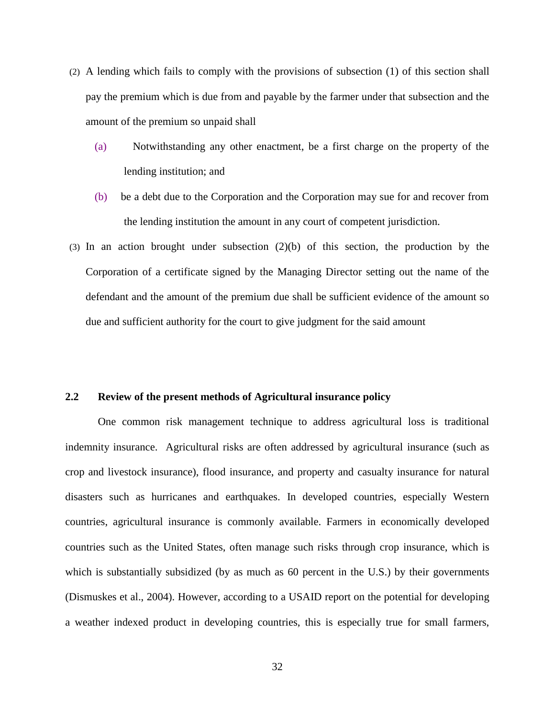- (2) A lending which fails to comply with the provisions of subsection (1) of this section shall pay the premium which is due from and payable by the farmer under that subsection and the amount of the premium so unpaid shall
	- (a) Notwithstanding any other enactment, be a first charge on the property of the lending institution; and
	- (b) be a debt due to the Corporation and the Corporation may sue for and recover from the lending institution the amount in any court of competent jurisdiction.
- (3) In an action brought under subsection (2)(b) of this section, the production by the Corporation of a certificate signed by the Managing Director setting out the name of the defendant and the amount of the premium due shall be sufficient evidence of the amount so due and sufficient authority for the court to give judgment for the said amount

## **2.2 Review of the present methods of Agricultural insurance policy**

One common risk management technique to address agricultural loss is traditional indemnity insurance. Agricultural risks are often addressed by agricultural insurance (such as crop and livestock insurance), flood insurance, and property and casualty insurance for natural disasters such as hurricanes and earthquakes. In developed countries, especially Western countries, agricultural insurance is commonly available. Farmers in economically developed countries such as the United States, often manage such risks through crop insurance, which is which is substantially subsidized (by as much as 60 percent in the U.S.) by their governments (Dismuskes et al., 2004). However, according to a USAID report on the potential for developing a weather indexed product in developing countries, this is especially true for small farmers,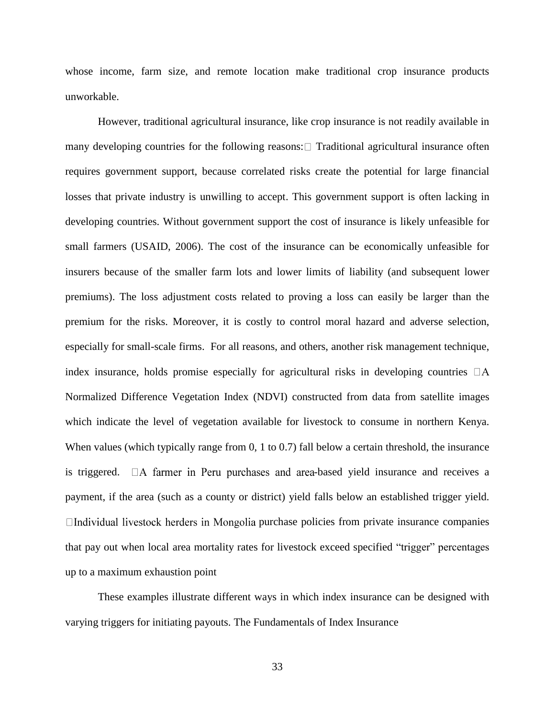whose income, farm size, and remote location make traditional crop insurance products unworkable.

However, traditional agricultural insurance, like crop insurance is not readily available in many developing countries for the following reasons:  $\Box$  Traditional agricultural insurance often requires government support, because correlated risks create the potential for large financial losses that private industry is unwilling to accept. This government support is often lacking in developing countries. Without government support the cost of insurance is likely unfeasible for small farmers (USAID, 2006). The cost of the insurance can be economically unfeasible for insurers because of the smaller farm lots and lower limits of liability (and subsequent lower premiums). The loss adjustment costs related to proving a loss can easily be larger than the premium for the risks. Moreover, it is costly to control moral hazard and adverse selection, especially for small-scale firms. For all reasons, and others, another risk management technique, index insurance, holds promise especially for agricultural risks in developing countries  $\Box A$ Normalized Difference Vegetation Index (NDVI) constructed from data from satellite images which indicate the level of vegetation available for livestock to consume in northern Kenya. When values (which typically range from 0, 1 to 0.7) fall below a certain threshold, the insurance is triggered.  $\Box A$  farmer in Peru purchases and area-based yield insurance and receives a payment, if the area (such as a county or district) yield falls below an established trigger yield.  $\Box$ Individual livestock herders in Mongolia purchase policies from private insurance companies that pay out when local area mortality rates for livestock exceed specified "trigger" percentages up to a maximum exhaustion point

These examples illustrate different ways in which index insurance can be designed with varying triggers for initiating payouts. The Fundamentals of Index Insurance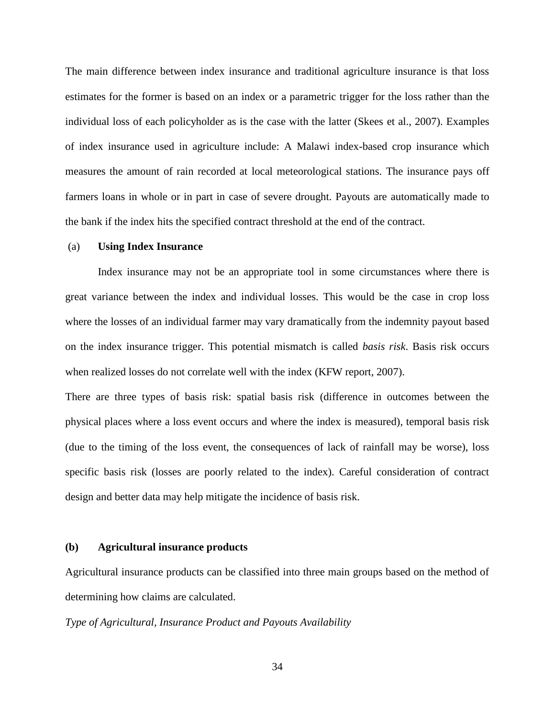The main difference between index insurance and traditional agriculture insurance is that loss estimates for the former is based on an index or a parametric trigger for the loss rather than the individual loss of each policyholder as is the case with the latter (Skees et al., 2007). Examples of index insurance used in agriculture include: A Malawi index-based crop insurance which measures the amount of rain recorded at local meteorological stations. The insurance pays off farmers loans in whole or in part in case of severe drought. Payouts are automatically made to the bank if the index hits the specified contract threshold at the end of the contract.

#### (a) **Using Index Insurance**

Index insurance may not be an appropriate tool in some circumstances where there is great variance between the index and individual losses. This would be the case in crop loss where the losses of an individual farmer may vary dramatically from the indemnity payout based on the index insurance trigger. This potential mismatch is called *basis risk*. Basis risk occurs when realized losses do not correlate well with the index (KFW report, 2007).

There are three types of basis risk: spatial basis risk (difference in outcomes between the physical places where a loss event occurs and where the index is measured), temporal basis risk (due to the timing of the loss event, the consequences of lack of rainfall may be worse), loss specific basis risk (losses are poorly related to the index). Careful consideration of contract design and better data may help mitigate the incidence of basis risk.

#### **(b) Agricultural insurance products**

Agricultural insurance products can be classified into three main groups based on the method of determining how claims are calculated.

#### *Type of Agricultural, Insurance Product and Payouts Availability*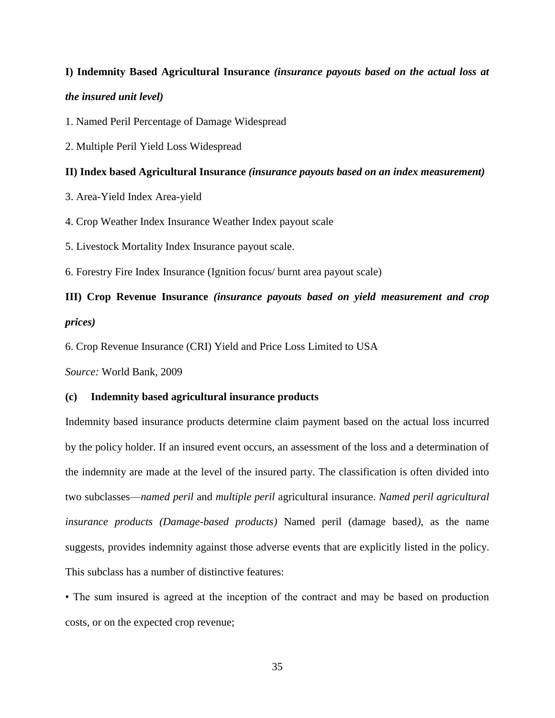# **I) Indemnity Based Agricultural Insurance** *(insurance payouts based on the actual loss at the insured unit level)*

1. Named Peril Percentage of Damage Widespread

2. Multiple Peril Yield Loss Widespread

## **II) Index based Agricultural Insurance** *(insurance payouts based on an index measurement)*

3. Area-Yield Index Area-yield

4. Crop Weather Index Insurance Weather Index payout scale

5. Livestock Mortality Index Insurance payout scale.

6. Forestry Fire Index Insurance (Ignition focus/ burnt area payout scale)

# **III) Crop Revenue Insurance** *(insurance payouts based on yield measurement and crop prices)*

6. Crop Revenue Insurance (CRI) Yield and Price Loss Limited to USA

*Source:* World Bank, 2009

## **(c) Indemnity based agricultural insurance products**

Indemnity based insurance products determine claim payment based on the actual loss incurred by the policy holder. If an insured event occurs, an assessment of the loss and a determination of the indemnity are made at the level of the insured party. The classification is often divided into two subclasses—*named peril* and *multiple peril* agricultural insurance. *Named peril agricultural insurance products (Damage-based products)* Named peril (damage based*)*, as the name suggests, provides indemnity against those adverse events that are explicitly listed in the policy. This subclass has a number of distinctive features:

• The sum insured is agreed at the inception of the contract and may be based on production costs, or on the expected crop revenue;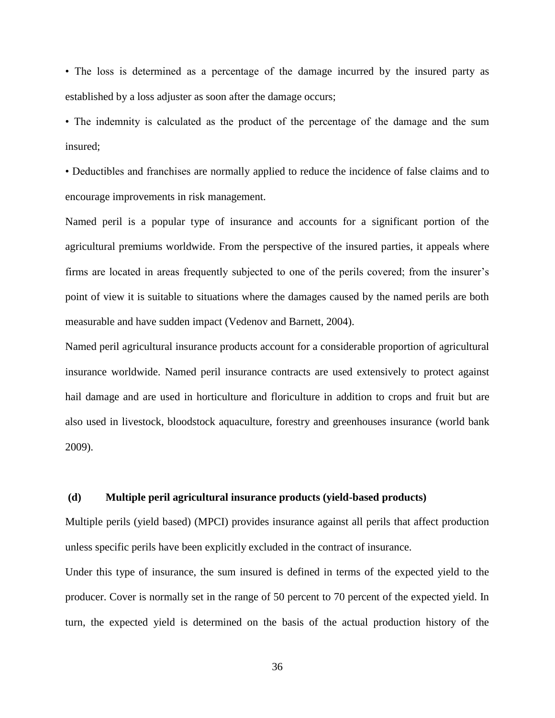• The loss is determined as a percentage of the damage incurred by the insured party as established by a loss adjuster as soon after the damage occurs;

• The indemnity is calculated as the product of the percentage of the damage and the sum insured;

• Deductibles and franchises are normally applied to reduce the incidence of false claims and to encourage improvements in risk management.

Named peril is a popular type of insurance and accounts for a significant portion of the agricultural premiums worldwide. From the perspective of the insured parties, it appeals where firms are located in areas frequently subjected to one of the perils covered; from the insurer's point of view it is suitable to situations where the damages caused by the named perils are both measurable and have sudden impact (Vedenov and Barnett, 2004).

Named peril agricultural insurance products account for a considerable proportion of agricultural insurance worldwide. Named peril insurance contracts are used extensively to protect against hail damage and are used in horticulture and floriculture in addition to crops and fruit but are also used in livestock, bloodstock aquaculture, forestry and greenhouses insurance (world bank 2009).

#### **(d) Multiple peril agricultural insurance products (yield-based products)**

Multiple perils (yield based) (MPCI) provides insurance against all perils that affect production unless specific perils have been explicitly excluded in the contract of insurance.

Under this type of insurance, the sum insured is defined in terms of the expected yield to the producer. Cover is normally set in the range of 50 percent to 70 percent of the expected yield. In turn, the expected yield is determined on the basis of the actual production history of the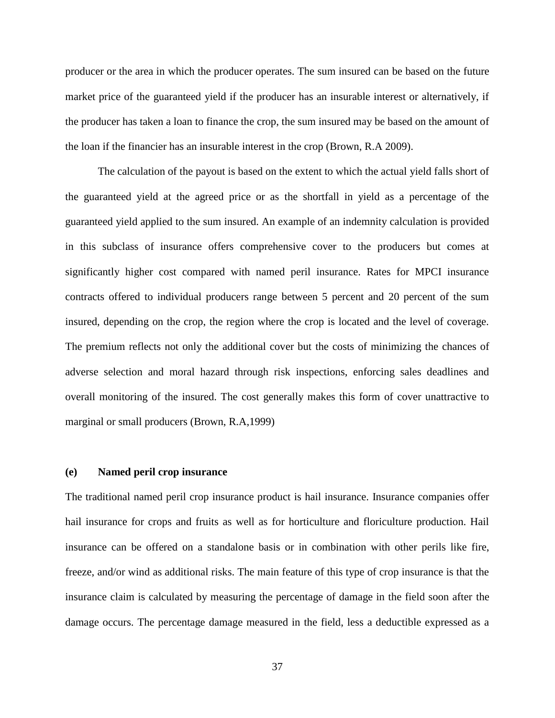producer or the area in which the producer operates. The sum insured can be based on the future market price of the guaranteed yield if the producer has an insurable interest or alternatively, if the producer has taken a loan to finance the crop, the sum insured may be based on the amount of the loan if the financier has an insurable interest in the crop (Brown, R.A 2009).

The calculation of the payout is based on the extent to which the actual yield falls short of the guaranteed yield at the agreed price or as the shortfall in yield as a percentage of the guaranteed yield applied to the sum insured. An example of an indemnity calculation is provided in this subclass of insurance offers comprehensive cover to the producers but comes at significantly higher cost compared with named peril insurance. Rates for MPCI insurance contracts offered to individual producers range between 5 percent and 20 percent of the sum insured, depending on the crop, the region where the crop is located and the level of coverage. The premium reflects not only the additional cover but the costs of minimizing the chances of adverse selection and moral hazard through risk inspections, enforcing sales deadlines and overall monitoring of the insured. The cost generally makes this form of cover unattractive to marginal or small producers (Brown, R.A,1999)

### **(e) Named peril crop insurance**

The traditional named peril crop insurance product is hail insurance. Insurance companies offer hail insurance for crops and fruits as well as for horticulture and floriculture production. Hail insurance can be offered on a standalone basis or in combination with other perils like fire, freeze, and/or wind as additional risks. The main feature of this type of crop insurance is that the insurance claim is calculated by measuring the percentage of damage in the field soon after the damage occurs. The percentage damage measured in the field, less a deductible expressed as a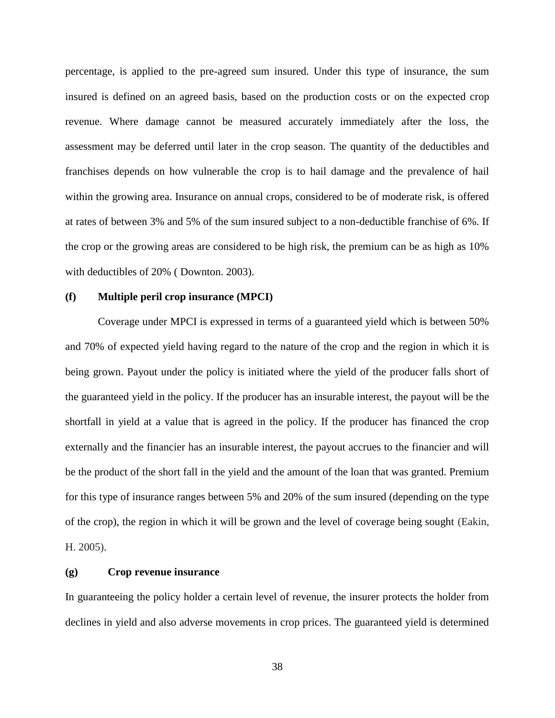percentage, is applied to the pre-agreed sum insured. Under this type of insurance, the sum insured is defined on an agreed basis, based on the production costs or on the expected crop revenue. Where damage cannot be measured accurately immediately after the loss, the assessment may be deferred until later in the crop season. The quantity of the deductibles and franchises depends on how vulnerable the crop is to hail damage and the prevalence of hail within the growing area. Insurance on annual crops, considered to be of moderate risk, is offered at rates of between 3% and 5% of the sum insured subject to a non-deductible franchise of 6%. If the crop or the growing areas are considered to be high risk, the premium can be as high as 10% with deductibles of 20% ( Downton. 2003).

# **(f) Multiple peril crop insurance (MPCI)**

Coverage under MPCI is expressed in terms of a guaranteed yield which is between 50% and 70% of expected yield having regard to the nature of the crop and the region in which it is being grown. Payout under the policy is initiated where the yield of the producer falls short of the guaranteed yield in the policy. If the producer has an insurable interest, the payout will be the shortfall in yield at a value that is agreed in the policy. If the producer has financed the crop externally and the financier has an insurable interest, the payout accrues to the financier and will be the product of the short fall in the yield and the amount of the loan that was granted. Premium for this type of insurance ranges between 5% and 20% of the sum insured (depending on the type of the crop), the region in which it will be grown and the level of coverage being sought (Eakin, H. 2005).

### **(g) Crop revenue insurance**

In guaranteeing the policy holder a certain level of revenue, the insurer protects the holder from declines in yield and also adverse movements in crop prices. The guaranteed yield is determined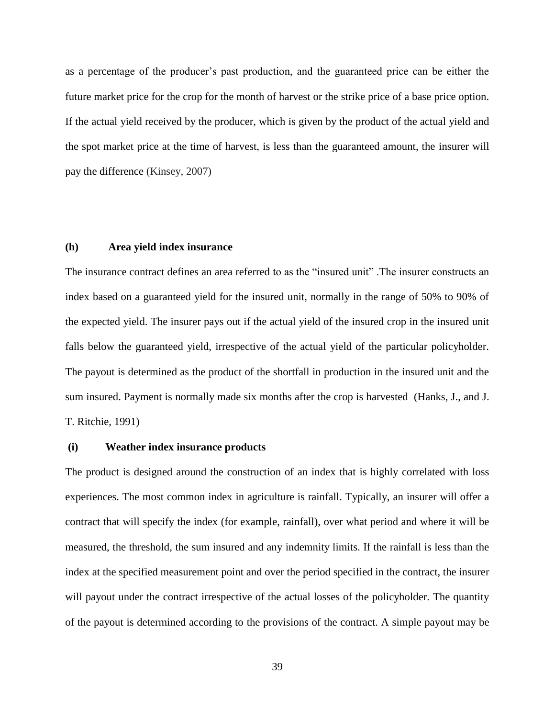as a percentage of the producer's past production, and the guaranteed price can be either the future market price for the crop for the month of harvest or the strike price of a base price option. If the actual yield received by the producer, which is given by the product of the actual yield and the spot market price at the time of harvest, is less than the guaranteed amount, the insurer will pay the difference (Kinsey, 2007)

# **(h) Area yield index insurance**

The insurance contract defines an area referred to as the "insured unit" .The insurer constructs an index based on a guaranteed yield for the insured unit, normally in the range of 50% to 90% of the expected yield. The insurer pays out if the actual yield of the insured crop in the insured unit falls below the guaranteed yield, irrespective of the actual yield of the particular policyholder. The payout is determined as the product of the shortfall in production in the insured unit and the sum insured. Payment is normally made six months after the crop is harvested (Hanks, J., and J. T. Ritchie, 1991)

# **(i) Weather index insurance products**

The product is designed around the construction of an index that is highly correlated with loss experiences. The most common index in agriculture is rainfall. Typically, an insurer will offer a contract that will specify the index (for example, rainfall), over what period and where it will be measured, the threshold, the sum insured and any indemnity limits. If the rainfall is less than the index at the specified measurement point and over the period specified in the contract, the insurer will payout under the contract irrespective of the actual losses of the policyholder. The quantity of the payout is determined according to the provisions of the contract. A simple payout may be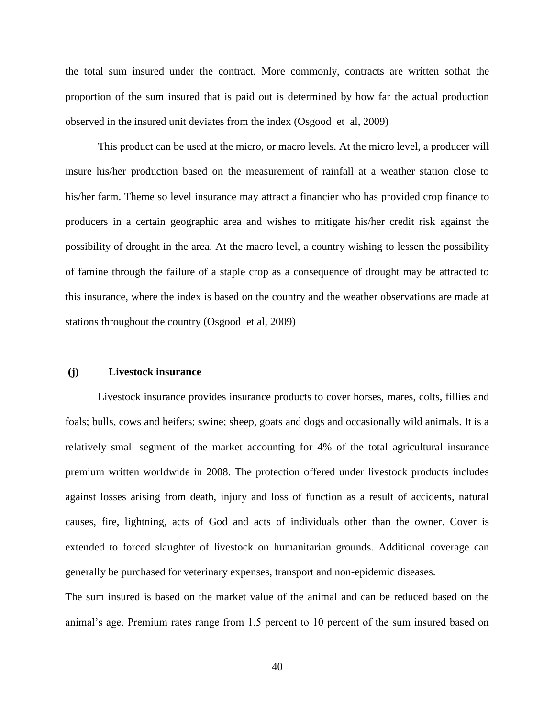the total sum insured under the contract. More commonly, contracts are written sothat the proportion of the sum insured that is paid out is determined by how far the actual production observed in the insured unit deviates from the index (Osgood et al, 2009)

This product can be used at the micro, or macro levels. At the micro level, a producer will insure his/her production based on the measurement of rainfall at a weather station close to his/her farm. Theme so level insurance may attract a financier who has provided crop finance to producers in a certain geographic area and wishes to mitigate his/her credit risk against the possibility of drought in the area. At the macro level, a country wishing to lessen the possibility of famine through the failure of a staple crop as a consequence of drought may be attracted to this insurance, where the index is based on the country and the weather observations are made at stations throughout the country (Osgood et al, 2009)

### **(j) Livestock insurance**

Livestock insurance provides insurance products to cover horses, mares, colts, fillies and foals; bulls, cows and heifers; swine; sheep, goats and dogs and occasionally wild animals. It is a relatively small segment of the market accounting for 4% of the total agricultural insurance premium written worldwide in 2008. The protection offered under livestock products includes against losses arising from death, injury and loss of function as a result of accidents, natural causes, fire, lightning, acts of God and acts of individuals other than the owner. Cover is extended to forced slaughter of livestock on humanitarian grounds. Additional coverage can generally be purchased for veterinary expenses, transport and non-epidemic diseases.

The sum insured is based on the market value of the animal and can be reduced based on the animal's age. Premium rates range from 1.5 percent to 10 percent of the sum insured based on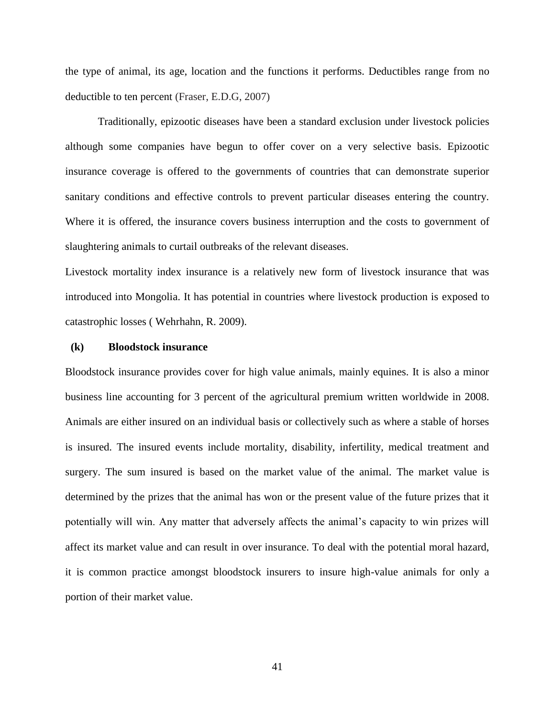the type of animal, its age, location and the functions it performs. Deductibles range from no deductible to ten percent (Fraser, E.D.G, 2007)

Traditionally, epizootic diseases have been a standard exclusion under livestock policies although some companies have begun to offer cover on a very selective basis. Epizootic insurance coverage is offered to the governments of countries that can demonstrate superior sanitary conditions and effective controls to prevent particular diseases entering the country. Where it is offered, the insurance covers business interruption and the costs to government of slaughtering animals to curtail outbreaks of the relevant diseases.

Livestock mortality index insurance is a relatively new form of livestock insurance that was introduced into Mongolia. It has potential in countries where livestock production is exposed to catastrophic losses ( Wehrhahn, R. 2009).

# **(k) Bloodstock insurance**

Bloodstock insurance provides cover for high value animals, mainly equines. It is also a minor business line accounting for 3 percent of the agricultural premium written worldwide in 2008. Animals are either insured on an individual basis or collectively such as where a stable of horses is insured. The insured events include mortality, disability, infertility, medical treatment and surgery. The sum insured is based on the market value of the animal. The market value is determined by the prizes that the animal has won or the present value of the future prizes that it potentially will win. Any matter that adversely affects the animal's capacity to win prizes will affect its market value and can result in over insurance. To deal with the potential moral hazard, it is common practice amongst bloodstock insurers to insure high-value animals for only a portion of their market value.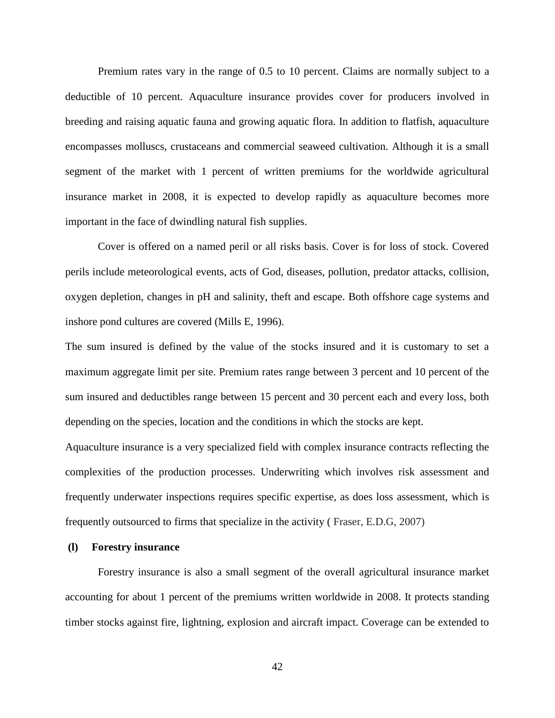Premium rates vary in the range of 0.5 to 10 percent. Claims are normally subject to a deductible of 10 percent. Aquaculture insurance provides cover for producers involved in breeding and raising aquatic fauna and growing aquatic flora. In addition to flatfish, aquaculture encompasses molluscs, crustaceans and commercial seaweed cultivation. Although it is a small segment of the market with 1 percent of written premiums for the worldwide agricultural insurance market in 2008, it is expected to develop rapidly as aquaculture becomes more important in the face of dwindling natural fish supplies.

Cover is offered on a named peril or all risks basis. Cover is for loss of stock. Covered perils include meteorological events, acts of God, diseases, pollution, predator attacks, collision, oxygen depletion, changes in pH and salinity, theft and escape. Both offshore cage systems and inshore pond cultures are covered (Mills E, 1996).

The sum insured is defined by the value of the stocks insured and it is customary to set a maximum aggregate limit per site. Premium rates range between 3 percent and 10 percent of the sum insured and deductibles range between 15 percent and 30 percent each and every loss, both depending on the species, location and the conditions in which the stocks are kept.

Aquaculture insurance is a very specialized field with complex insurance contracts reflecting the complexities of the production processes. Underwriting which involves risk assessment and frequently underwater inspections requires specific expertise, as does loss assessment, which is frequently outsourced to firms that specialize in the activity ( Fraser, E.D.G, 2007)

# **(l) Forestry insurance**

Forestry insurance is also a small segment of the overall agricultural insurance market accounting for about 1 percent of the premiums written worldwide in 2008. It protects standing timber stocks against fire, lightning, explosion and aircraft impact. Coverage can be extended to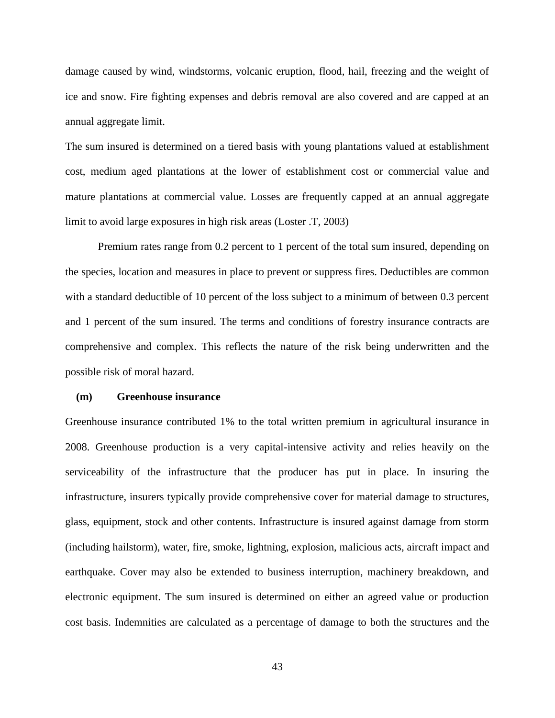damage caused by wind, windstorms, volcanic eruption, flood, hail, freezing and the weight of ice and snow. Fire fighting expenses and debris removal are also covered and are capped at an annual aggregate limit.

The sum insured is determined on a tiered basis with young plantations valued at establishment cost, medium aged plantations at the lower of establishment cost or commercial value and mature plantations at commercial value. Losses are frequently capped at an annual aggregate limit to avoid large exposures in high risk areas (Loster .T, 2003)

Premium rates range from 0.2 percent to 1 percent of the total sum insured, depending on the species, location and measures in place to prevent or suppress fires. Deductibles are common with a standard deductible of 10 percent of the loss subject to a minimum of between 0.3 percent and 1 percent of the sum insured. The terms and conditions of forestry insurance contracts are comprehensive and complex. This reflects the nature of the risk being underwritten and the possible risk of moral hazard.

# **(m) Greenhouse insurance**

Greenhouse insurance contributed 1% to the total written premium in agricultural insurance in 2008. Greenhouse production is a very capital-intensive activity and relies heavily on the serviceability of the infrastructure that the producer has put in place. In insuring the infrastructure, insurers typically provide comprehensive cover for material damage to structures, glass, equipment, stock and other contents. Infrastructure is insured against damage from storm (including hailstorm), water, fire, smoke, lightning, explosion, malicious acts, aircraft impact and earthquake. Cover may also be extended to business interruption, machinery breakdown, and electronic equipment. The sum insured is determined on either an agreed value or production cost basis. Indemnities are calculated as a percentage of damage to both the structures and the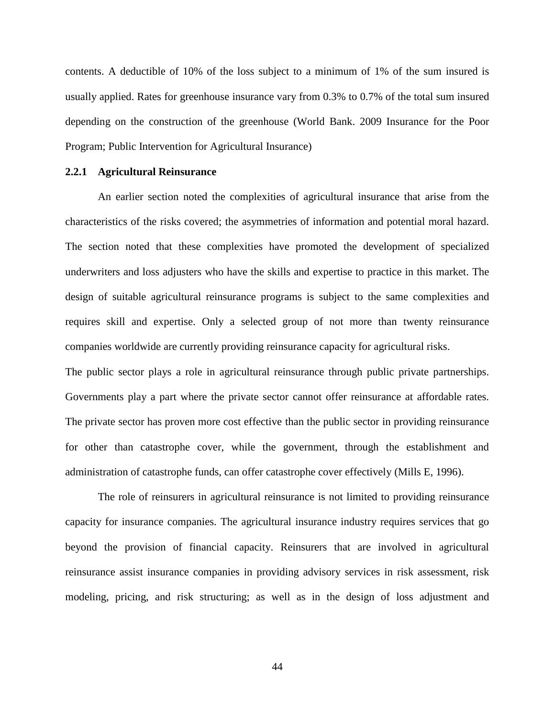contents. A deductible of 10% of the loss subject to a minimum of 1% of the sum insured is usually applied. Rates for greenhouse insurance vary from 0.3% to 0.7% of the total sum insured depending on the construction of the greenhouse (World Bank. 2009 Insurance for the Poor Program; Public Intervention for Agricultural Insurance)

# **2.2.1 Agricultural Reinsurance**

An earlier section noted the complexities of agricultural insurance that arise from the characteristics of the risks covered; the asymmetries of information and potential moral hazard. The section noted that these complexities have promoted the development of specialized underwriters and loss adjusters who have the skills and expertise to practice in this market. The design of suitable agricultural reinsurance programs is subject to the same complexities and requires skill and expertise. Only a selected group of not more than twenty reinsurance companies worldwide are currently providing reinsurance capacity for agricultural risks.

The public sector plays a role in agricultural reinsurance through public private partnerships. Governments play a part where the private sector cannot offer reinsurance at affordable rates. The private sector has proven more cost effective than the public sector in providing reinsurance for other than catastrophe cover, while the government, through the establishment and administration of catastrophe funds, can offer catastrophe cover effectively (Mills E, 1996).

The role of reinsurers in agricultural reinsurance is not limited to providing reinsurance capacity for insurance companies. The agricultural insurance industry requires services that go beyond the provision of financial capacity. Reinsurers that are involved in agricultural reinsurance assist insurance companies in providing advisory services in risk assessment, risk modeling, pricing, and risk structuring; as well as in the design of loss adjustment and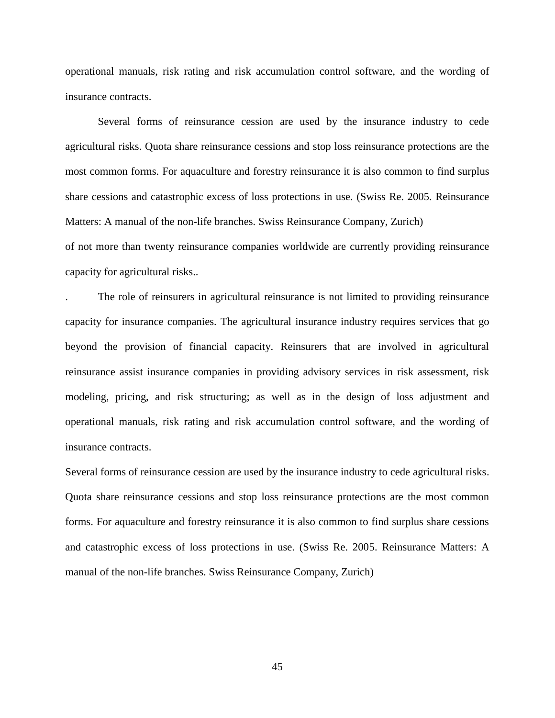operational manuals, risk rating and risk accumulation control software, and the wording of insurance contracts.

Several forms of reinsurance cession are used by the insurance industry to cede agricultural risks. Quota share reinsurance cessions and stop loss reinsurance protections are the most common forms. For aquaculture and forestry reinsurance it is also common to find surplus share cessions and catastrophic excess of loss protections in use. (Swiss Re. 2005. Reinsurance Matters: A manual of the non-life branches. Swiss Reinsurance Company, Zurich) of not more than twenty reinsurance companies worldwide are currently providing reinsurance capacity for agricultural risks..

. The role of reinsurers in agricultural reinsurance is not limited to providing reinsurance capacity for insurance companies. The agricultural insurance industry requires services that go beyond the provision of financial capacity. Reinsurers that are involved in agricultural reinsurance assist insurance companies in providing advisory services in risk assessment, risk modeling, pricing, and risk structuring; as well as in the design of loss adjustment and operational manuals, risk rating and risk accumulation control software, and the wording of insurance contracts.

Several forms of reinsurance cession are used by the insurance industry to cede agricultural risks. Quota share reinsurance cessions and stop loss reinsurance protections are the most common forms. For aquaculture and forestry reinsurance it is also common to find surplus share cessions and catastrophic excess of loss protections in use. (Swiss Re. 2005. Reinsurance Matters: A manual of the non-life branches. Swiss Reinsurance Company, Zurich)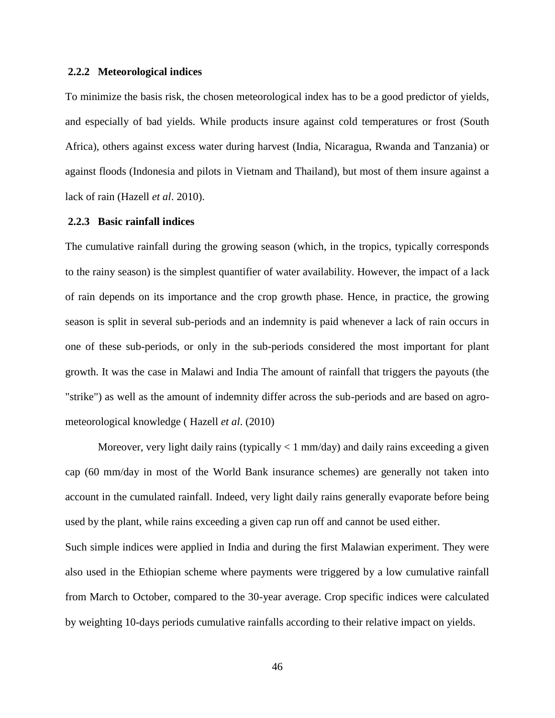# **2.2.2 Meteorological indices**

To minimize the basis risk, the chosen meteorological index has to be a good predictor of yields, and especially of bad yields. While products insure against cold temperatures or frost (South Africa), others against excess water during harvest (India, Nicaragua, Rwanda and Tanzania) or against floods (Indonesia and pilots in Vietnam and Thailand), but most of them insure against a lack of rain (Hazell *et al*. 2010).

# **2.2.3 Basic rainfall indices**

The cumulative rainfall during the growing season (which, in the tropics, typically corresponds to the rainy season) is the simplest quantifier of water availability. However, the impact of a lack of rain depends on its importance and the crop growth phase. Hence, in practice, the growing season is split in several sub-periods and an indemnity is paid whenever a lack of rain occurs in one of these sub-periods, or only in the sub-periods considered the most important for plant growth. It was the case in Malawi and India The amount of rainfall that triggers the payouts (the "strike") as well as the amount of indemnity differ across the sub-periods and are based on agrometeorological knowledge ( Hazell *et al*. (2010)

Moreover, very light daily rains (typically  $\langle 1 \text{ mm/day} \rangle$  and daily rains exceeding a given cap (60 mm/day in most of the World Bank insurance schemes) are generally not taken into account in the cumulated rainfall. Indeed, very light daily rains generally evaporate before being used by the plant, while rains exceeding a given cap run off and cannot be used either. Such simple indices were applied in India and during the first Malawian experiment. They were also used in the Ethiopian scheme where payments were triggered by a low cumulative rainfall from March to October, compared to the 30-year average. Crop specific indices were calculated by weighting 10-days periods cumulative rainfalls according to their relative impact on yields.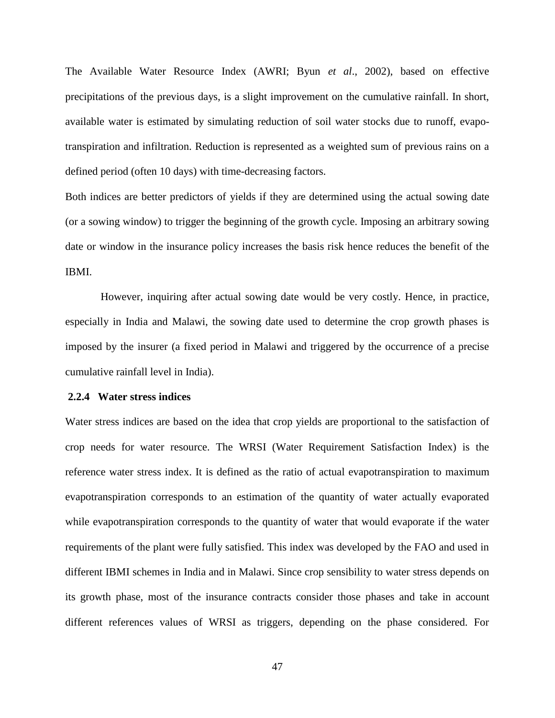The Available Water Resource Index (AWRI; Byun *et al*., 2002), based on effective precipitations of the previous days, is a slight improvement on the cumulative rainfall. In short, available water is estimated by simulating reduction of soil water stocks due to runoff, evapotranspiration and infiltration. Reduction is represented as a weighted sum of previous rains on a defined period (often 10 days) with time-decreasing factors.

Both indices are better predictors of yields if they are determined using the actual sowing date (or a sowing window) to trigger the beginning of the growth cycle. Imposing an arbitrary sowing date or window in the insurance policy increases the basis risk hence reduces the benefit of the IBMI.

However, inquiring after actual sowing date would be very costly. Hence, in practice, especially in India and Malawi, the sowing date used to determine the crop growth phases is imposed by the insurer (a fixed period in Malawi and triggered by the occurrence of a precise cumulative rainfall level in India).

# **2.2.4 Water stress indices**

Water stress indices are based on the idea that crop yields are proportional to the satisfaction of crop needs for water resource. The WRSI (Water Requirement Satisfaction Index) is the reference water stress index. It is defined as the ratio of actual evapotranspiration to maximum evapotranspiration corresponds to an estimation of the quantity of water actually evaporated while evapotranspiration corresponds to the quantity of water that would evaporate if the water requirements of the plant were fully satisfied. This index was developed by the FAO and used in different IBMI schemes in India and in Malawi. Since crop sensibility to water stress depends on its growth phase, most of the insurance contracts consider those phases and take in account different references values of WRSI as triggers, depending on the phase considered. For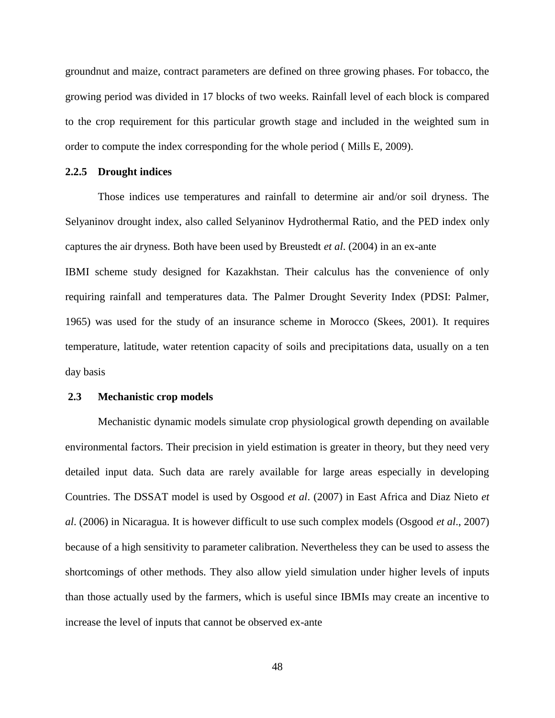groundnut and maize, contract parameters are defined on three growing phases. For tobacco, the growing period was divided in 17 blocks of two weeks. Rainfall level of each block is compared to the crop requirement for this particular growth stage and included in the weighted sum in order to compute the index corresponding for the whole period ( Mills E, 2009).

# **2.2.5 Drought indices**

Those indices use temperatures and rainfall to determine air and/or soil dryness. The Selyaninov drought index, also called Selyaninov Hydrothermal Ratio, and the PED index only captures the air dryness. Both have been used by Breustedt *et al*. (2004) in an ex-ante

IBMI scheme study designed for Kazakhstan. Their calculus has the convenience of only requiring rainfall and temperatures data. The Palmer Drought Severity Index (PDSI: Palmer, 1965) was used for the study of an insurance scheme in Morocco (Skees, 2001). It requires temperature, latitude, water retention capacity of soils and precipitations data, usually on a ten day basis

# **2.3 Mechanistic crop models**

Mechanistic dynamic models simulate crop physiological growth depending on available environmental factors. Their precision in yield estimation is greater in theory, but they need very detailed input data. Such data are rarely available for large areas especially in developing Countries. The DSSAT model is used by Osgood *et al*. (2007) in East Africa and Diaz Nieto *et al*. (2006) in Nicaragua. It is however difficult to use such complex models (Osgood *et al*., 2007) because of a high sensitivity to parameter calibration. Nevertheless they can be used to assess the shortcomings of other methods. They also allow yield simulation under higher levels of inputs than those actually used by the farmers, which is useful since IBMIs may create an incentive to increase the level of inputs that cannot be observed ex-ante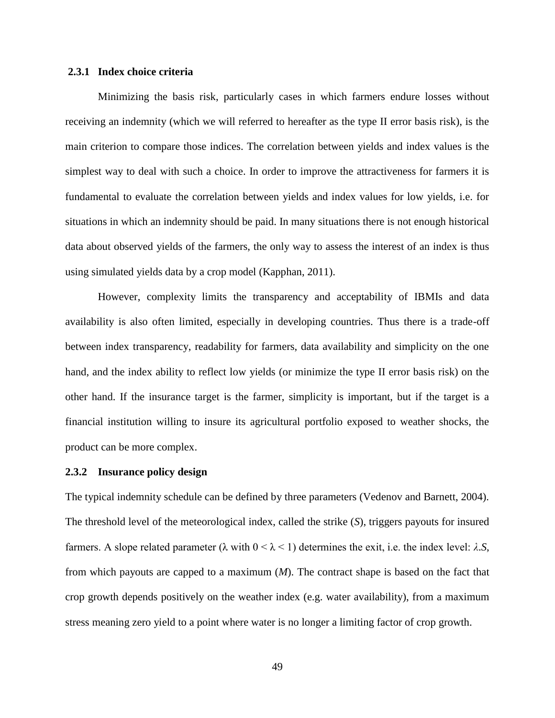# **2.3.1 Index choice criteria**

Minimizing the basis risk, particularly cases in which farmers endure losses without receiving an indemnity (which we will referred to hereafter as the type II error basis risk), is the main criterion to compare those indices. The correlation between yields and index values is the simplest way to deal with such a choice. In order to improve the attractiveness for farmers it is fundamental to evaluate the correlation between yields and index values for low yields, i.e. for situations in which an indemnity should be paid. In many situations there is not enough historical data about observed yields of the farmers, the only way to assess the interest of an index is thus using simulated yields data by a crop model (Kapphan, 2011).

However, complexity limits the transparency and acceptability of IBMIs and data availability is also often limited, especially in developing countries. Thus there is a trade-off between index transparency, readability for farmers, data availability and simplicity on the one hand, and the index ability to reflect low yields (or minimize the type II error basis risk) on the other hand. If the insurance target is the farmer, simplicity is important, but if the target is a financial institution willing to insure its agricultural portfolio exposed to weather shocks, the product can be more complex.

#### **2.3.2 Insurance policy design**

The typical indemnity schedule can be defined by three parameters (Vedenov and Barnett, 2004). The threshold level of the meteorological index, called the strike (*S*), triggers payouts for insured farmers. A slope related parameter (λ with 0 < λ < 1) determines the exit, i.e. the index level: *λ*.*S*, from which payouts are capped to a maximum (*M*). The contract shape is based on the fact that crop growth depends positively on the weather index (e.g. water availability), from a maximum stress meaning zero yield to a point where water is no longer a limiting factor of crop growth.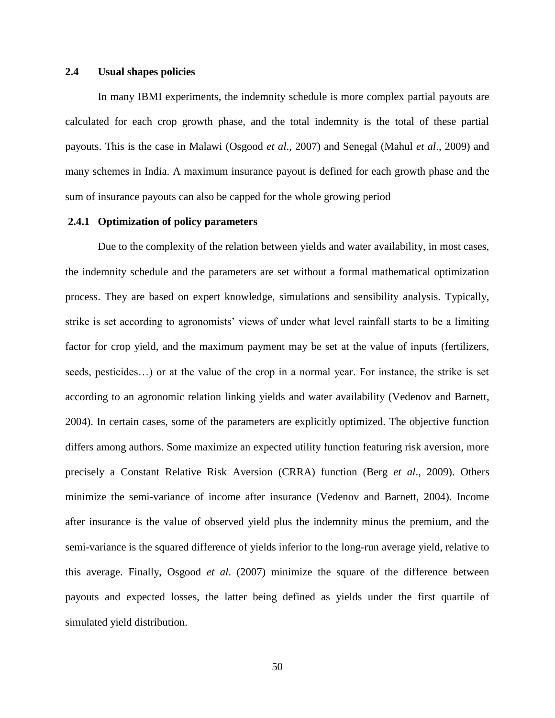# **2.4 Usual shapes policies**

In many IBMI experiments, the indemnity schedule is more complex partial payouts are calculated for each crop growth phase, and the total indemnity is the total of these partial payouts. This is the case in Malawi (Osgood *et al*., 2007) and Senegal (Mahul *et al*., 2009) and many schemes in India. A maximum insurance payout is defined for each growth phase and the sum of insurance payouts can also be capped for the whole growing period

# **2.4.1 Optimization of policy parameters**

Due to the complexity of the relation between yields and water availability, in most cases, the indemnity schedule and the parameters are set without a formal mathematical optimization process. They are based on expert knowledge, simulations and sensibility analysis. Typically, strike is set according to agronomists' views of under what level rainfall starts to be a limiting factor for crop yield, and the maximum payment may be set at the value of inputs (fertilizers, seeds, pesticides…) or at the value of the crop in a normal year. For instance, the strike is set according to an agronomic relation linking yields and water availability (Vedenov and Barnett, 2004). In certain cases, some of the parameters are explicitly optimized. The objective function differs among authors. Some maximize an expected utility function featuring risk aversion, more precisely a Constant Relative Risk Aversion (CRRA) function (Berg *et al*., 2009). Others minimize the semi-variance of income after insurance (Vedenov and Barnett, 2004). Income after insurance is the value of observed yield plus the indemnity minus the premium, and the semi-variance is the squared difference of yields inferior to the long-run average yield, relative to this average. Finally, Osgood *et al*. (2007) minimize the square of the difference between payouts and expected losses, the latter being defined as yields under the first quartile of simulated yield distribution.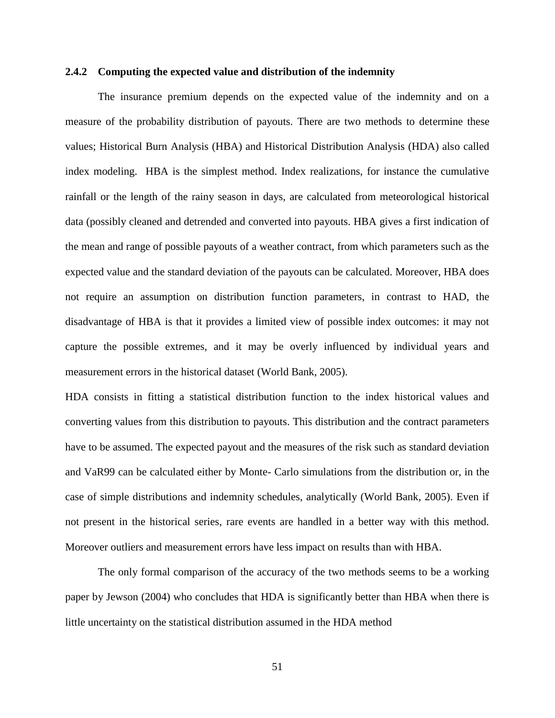# **2.4.2 Computing the expected value and distribution of the indemnity**

The insurance premium depends on the expected value of the indemnity and on a measure of the probability distribution of payouts. There are two methods to determine these values; Historical Burn Analysis (HBA) and Historical Distribution Analysis (HDA) also called index modeling. HBA is the simplest method. Index realizations, for instance the cumulative rainfall or the length of the rainy season in days, are calculated from meteorological historical data (possibly cleaned and detrended and converted into payouts. HBA gives a first indication of the mean and range of possible payouts of a weather contract, from which parameters such as the expected value and the standard deviation of the payouts can be calculated. Moreover, HBA does not require an assumption on distribution function parameters, in contrast to HAD, the disadvantage of HBA is that it provides a limited view of possible index outcomes: it may not capture the possible extremes, and it may be overly influenced by individual years and measurement errors in the historical dataset (World Bank, 2005).

HDA consists in fitting a statistical distribution function to the index historical values and converting values from this distribution to payouts. This distribution and the contract parameters have to be assumed. The expected payout and the measures of the risk such as standard deviation and VaR99 can be calculated either by Monte- Carlo simulations from the distribution or, in the case of simple distributions and indemnity schedules, analytically (World Bank, 2005). Even if not present in the historical series, rare events are handled in a better way with this method. Moreover outliers and measurement errors have less impact on results than with HBA.

The only formal comparison of the accuracy of the two methods seems to be a working paper by Jewson (2004) who concludes that HDA is significantly better than HBA when there is little uncertainty on the statistical distribution assumed in the HDA method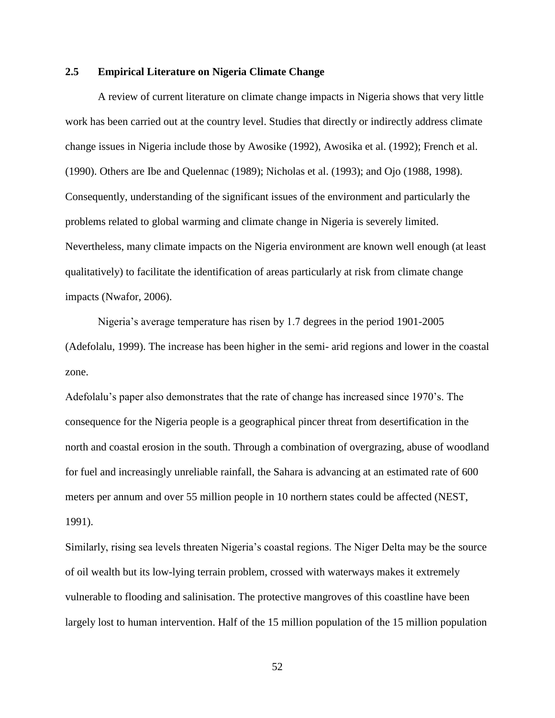# **2.5 Empirical Literature on Nigeria Climate Change**

A review of current literature on climate change impacts in Nigeria shows that very little work has been carried out at the country level. Studies that directly or indirectly address climate change issues in Nigeria include those by Awosike (1992), Awosika et al. (1992); French et al. (1990). Others are Ibe and Quelennac (1989); Nicholas et al. (1993); and Ojo (1988, 1998). Consequently, understanding of the significant issues of the environment and particularly the problems related to global warming and climate change in Nigeria is severely limited. Nevertheless, many climate impacts on the Nigeria environment are known well enough (at least qualitatively) to facilitate the identification of areas particularly at risk from climate change impacts (Nwafor, 2006).

Nigeria's average temperature has risen by 1.7 degrees in the period 1901-2005 (Adefolalu, 1999). The increase has been higher in the semi- arid regions and lower in the coastal zone.

Adefolalu's paper also demonstrates that the rate of change has increased since 1970's. The consequence for the Nigeria people is a geographical pincer threat from desertification in the north and coastal erosion in the south. Through a combination of overgrazing, abuse of woodland for fuel and increasingly unreliable rainfall, the Sahara is advancing at an estimated rate of 600 meters per annum and over 55 million people in 10 northern states could be affected (NEST, 1991).

Similarly, rising sea levels threaten Nigeria's coastal regions. The Niger Delta may be the source of oil wealth but its low-lying terrain problem, crossed with waterways makes it extremely vulnerable to flooding and salinisation. The protective mangroves of this coastline have been largely lost to human intervention. Half of the 15 million population of the 15 million population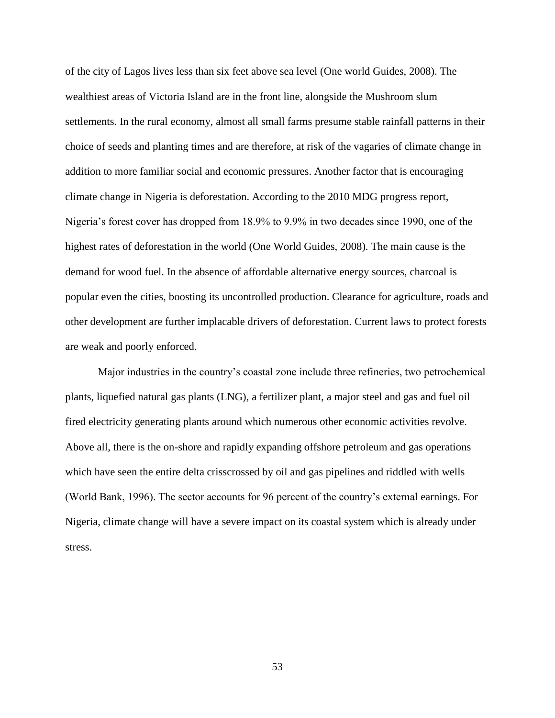of the city of Lagos lives less than six feet above sea level (One world Guides, 2008). The wealthiest areas of Victoria Island are in the front line, alongside the Mushroom slum settlements. In the rural economy, almost all small farms presume stable rainfall patterns in their choice of seeds and planting times and are therefore, at risk of the vagaries of climate change in addition to more familiar social and economic pressures. Another factor that is encouraging climate change in Nigeria is deforestation. According to the 2010 MDG progress report, Nigeria's forest cover has dropped from 18.9% to 9.9% in two decades since 1990, one of the highest rates of deforestation in the world (One World Guides, 2008). The main cause is the demand for wood fuel. In the absence of affordable alternative energy sources, charcoal is popular even the cities, boosting its uncontrolled production. Clearance for agriculture, roads and other development are further implacable drivers of deforestation. Current laws to protect forests are weak and poorly enforced.

Major industries in the country's coastal zone include three refineries, two petrochemical plants, liquefied natural gas plants (LNG), a fertilizer plant, a major steel and gas and fuel oil fired electricity generating plants around which numerous other economic activities revolve. Above all, there is the on-shore and rapidly expanding offshore petroleum and gas operations which have seen the entire delta crisscrossed by oil and gas pipelines and riddled with wells (World Bank, 1996). The sector accounts for 96 percent of the country's external earnings. For Nigeria, climate change will have a severe impact on its coastal system which is already under stress.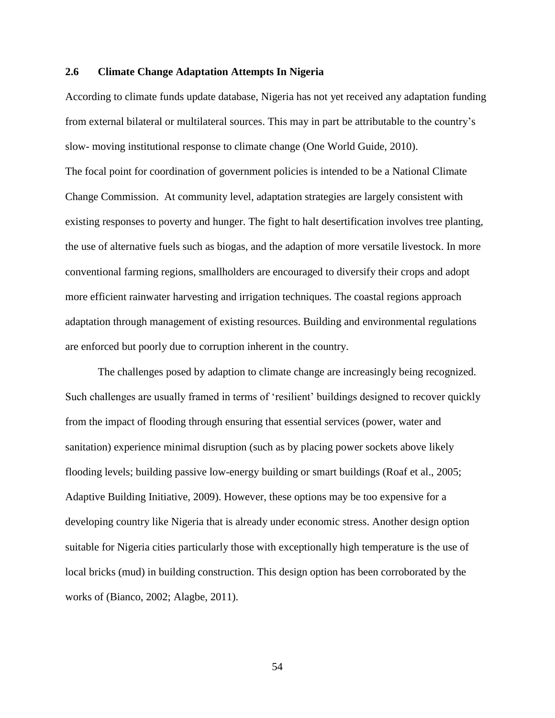# **2.6 Climate Change Adaptation Attempts In Nigeria**

According to climate funds update database, Nigeria has not yet received any adaptation funding from external bilateral or multilateral sources. This may in part be attributable to the country's slow- moving institutional response to climate change (One World Guide, 2010).

The focal point for coordination of government policies is intended to be a National Climate Change Commission. At community level, adaptation strategies are largely consistent with existing responses to poverty and hunger. The fight to halt desertification involves tree planting, the use of alternative fuels such as biogas, and the adaption of more versatile livestock. In more conventional farming regions, smallholders are encouraged to diversify their crops and adopt more efficient rainwater harvesting and irrigation techniques. The coastal regions approach adaptation through management of existing resources. Building and environmental regulations are enforced but poorly due to corruption inherent in the country.

The challenges posed by adaption to climate change are increasingly being recognized. Such challenges are usually framed in terms of 'resilient' buildings designed to recover quickly from the impact of flooding through ensuring that essential services (power, water and sanitation) experience minimal disruption (such as by placing power sockets above likely flooding levels; building passive low-energy building or smart buildings (Roaf et al., 2005; Adaptive Building Initiative, 2009). However, these options may be too expensive for a developing country like Nigeria that is already under economic stress. Another design option suitable for Nigeria cities particularly those with exceptionally high temperature is the use of local bricks (mud) in building construction. This design option has been corroborated by the works of (Bianco, 2002; Alagbe, 2011).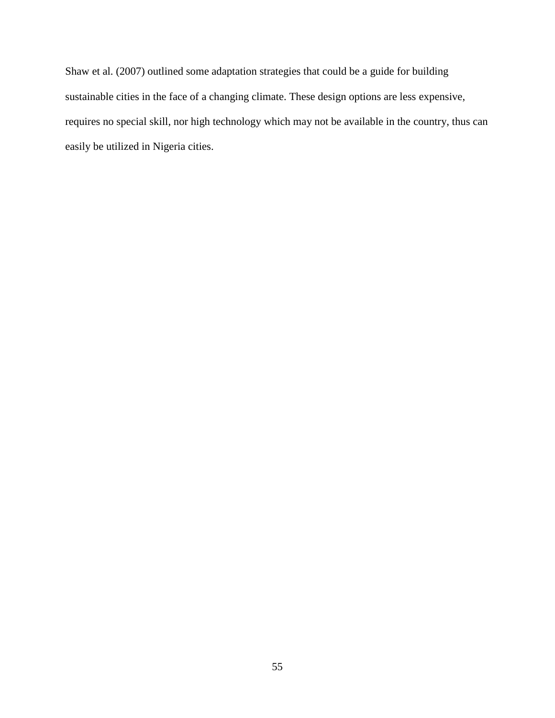Shaw et al. (2007) outlined some adaptation strategies that could be a guide for building sustainable cities in the face of a changing climate. These design options are less expensive, requires no special skill, nor high technology which may not be available in the country, thus can easily be utilized in Nigeria cities.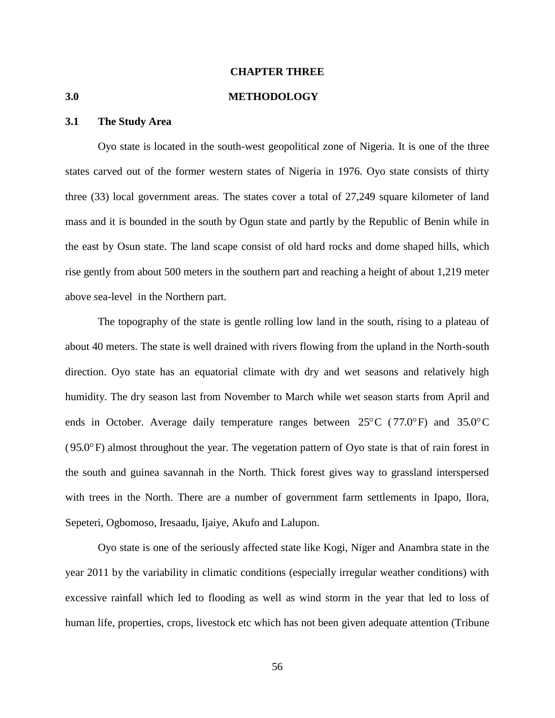# **CHAPTER THREE**

#### **3.0 METHODOLOGY**

#### **3.1 The Study Area**

Oyo state is located in the south-west geopolitical zone of Nigeria. It is one of the three states carved out of the former western states of Nigeria in 1976. Oyo state consists of thirty three (33) local government areas. The states cover a total of 27,249 square kilometer of land mass and it is bounded in the south by Ogun state and partly by the Republic of Benin while in the east by Osun state. The land scape consist of old hard rocks and dome shaped hills, which rise gently from about 500 meters in the southern part and reaching a height of about 1,219 meter above sea-level in the Northern part.

The topography of the state is gentle rolling low land in the south, rising to a plateau of about 40 meters. The state is well drained with rivers flowing from the upland in the North-south direction. Oyo state has an equatorial climate with dry and wet seasons and relatively high humidity. The dry season last from November to March while wet season starts from April and ends in October. Average daily temperature ranges between  $25^{\circ}$ C (77.0°F) and 35.0°C ( 95.0 F) almost throughout the year. The vegetation pattern of Oyo state is that of rain forest in the south and guinea savannah in the North. Thick forest gives way to grassland interspersed with trees in the North. There are a number of government farm settlements in Ipapo, Ilora, Sepeteri, Ogbomoso, Iresaadu, Ijaiye, Akufo and Lalupon.

Oyo state is one of the seriously affected state like Kogi, Niger and Anambra state in the year 2011 by the variability in climatic conditions (especially irregular weather conditions) with excessive rainfall which led to flooding as well as wind storm in the year that led to loss of human life, properties, crops, livestock etc which has not been given adequate attention (Tribune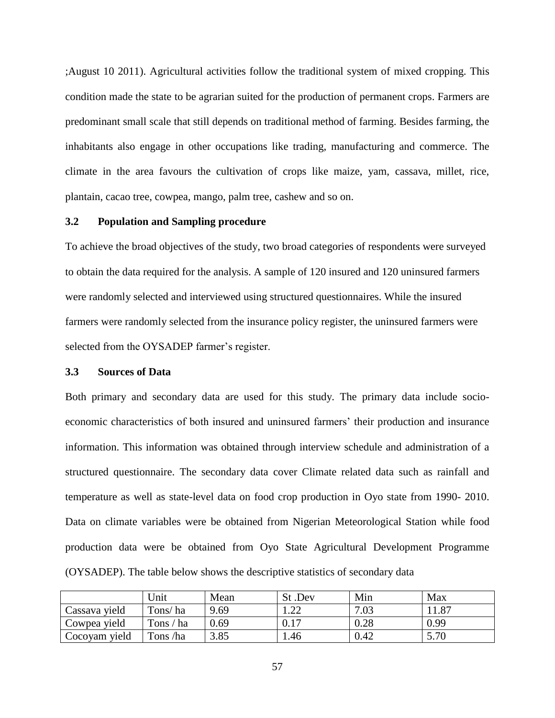;August 10 2011). Agricultural activities follow the traditional system of mixed cropping. This condition made the state to be agrarian suited for the production of permanent crops. Farmers are predominant small scale that still depends on traditional method of farming. Besides farming, the inhabitants also engage in other occupations like trading, manufacturing and commerce. The climate in the area favours the cultivation of crops like maize, yam, cassava, millet, rice, plantain, cacao tree, cowpea, mango, palm tree, cashew and so on.

#### **3.2 Population and Sampling procedure**

To achieve the broad objectives of the study, two broad categories of respondents were surveyed to obtain the data required for the analysis. A sample of 120 insured and 120 uninsured farmers were randomly selected and interviewed using structured questionnaires. While the insured farmers were randomly selected from the insurance policy register, the uninsured farmers were selected from the OYSADEP farmer's register.

#### **3.3 Sources of Data**

Both primary and secondary data are used for this study. The primary data include socioeconomic characteristics of both insured and uninsured farmers' their production and insurance information. This information was obtained through interview schedule and administration of a structured questionnaire. The secondary data cover Climate related data such as rainfall and temperature as well as state-level data on food crop production in Oyo state from 1990- 2010. Data on climate variables were be obtained from Nigerian Meteorological Station while food production data were be obtained from Oyo State Agricultural Development Programme (OYSADEP). The table below shows the descriptive statistics of secondary data

|               | Jnit      | Mean | St.Dev    | Min  | Max   |
|---------------|-----------|------|-----------|------|-------|
| Cassava yield | Tons/ha   | 9.69 |           | 7.03 | 11.87 |
| Cowpea yield  | Tons / ha | 0.69 | 17<br>0.1 | 0.28 | 0.99  |
| Cocoyam yield | Tons /ha  | 3.85 | 1.46      | 0.42 | 5.70  |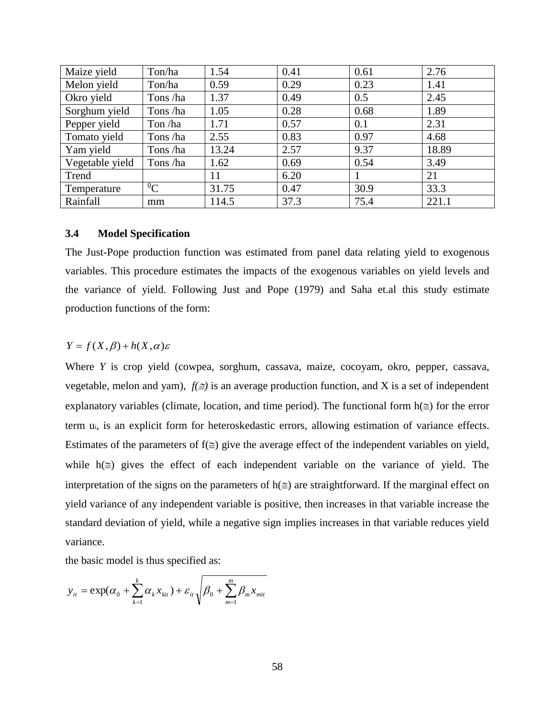| Maize yield     | Ton/ha    | 1.54  | 0.41 | 0.61 | 2.76  |
|-----------------|-----------|-------|------|------|-------|
| Melon yield     | Ton/ha    | 0.59  | 0.29 | 0.23 | 1.41  |
| Okro yield      | Tons/ha   | 1.37  | 0.49 | 0.5  | 2.45  |
| Sorghum yield   | Tons/ha   | 1.05  | 0.28 | 0.68 | 1.89  |
| Pepper yield    | Ton/ha    | 1.71  | 0.57 | 0.1  | 2.31  |
| Tomato yield    | Tons/ha   | 2.55  | 0.83 | 0.97 | 4.68  |
| Yam yield       | Tons/ha   | 13.24 | 2.57 | 9.37 | 18.89 |
| Vegetable yield | Tons/ha   | 1.62  | 0.69 | 0.54 | 3.49  |
| Trend           |           | 11    | 6.20 |      | 21    |
| Temperature     | ${}^{0}C$ | 31.75 | 0.47 | 30.9 | 33.3  |
| Rainfall        | mm        | 114.5 | 37.3 | 75.4 | 221.1 |

# **3.4 Model Specification**

The Just-Pope production function was estimated from panel data relating yield to exogenous variables. This procedure estimates the impacts of the exogenous variables on yield levels and the variance of yield. Following Just and Pope (1979) and Saha et.al this study estimate production functions of the form:

# $Y = f(X, \beta) + h(X, \alpha)\varepsilon$

Where *Y* is crop yield (cowpea, sorghum, cassava, maize, cocoyam, okro, pepper, cassava, vegetable, melon and yam),  $f(\equiv)$  is an average production function, and X is a set of independent explanatory variables (climate, location, and time period). The functional form  $h(\equiv)$  for the error term ui, is an explicit form for heteroskedastic errors, allowing estimation of variance effects. Estimates of the parameters of  $f(\leq)$  give the average effect of the independent variables on yield, while  $h(\equiv)$  gives the effect of each independent variable on the variance of yield. The interpretation of the signs on the parameters of  $h(\le)$  are straightforward. If the marginal effect on yield variance of any independent variable is positive, then increases in that variable increase the standard deviation of yield, while a negative sign implies increases in that variable reduces yield variance.

the basic model is thus specified as:

$$
y_{it} = \exp(\alpha_0 + \sum_{k=1}^{k} \alpha_k x_{kit}) + \varepsilon_{it} \sqrt{\beta_0 + \sum_{m=1}^{m} \beta_m x_{mit}}
$$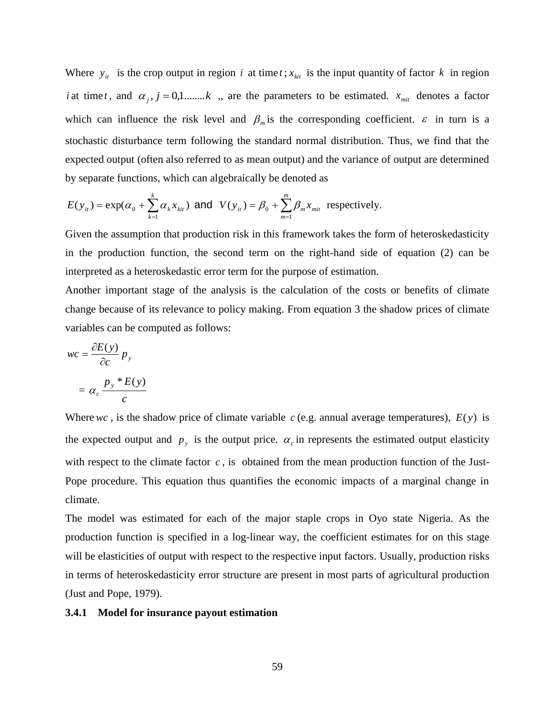Where  $y_{it}$  is the crop output in region *i* at time *t*;  $x_{kit}$  is the input quantity of factor *k* in region *i* at time *t*, and  $\alpha_j$ ,  $j = 0,1,...,k$ , are the parameters to be estimated.  $x_{\text{mix}}$  denotes a factor which can influence the risk level and  $\beta_m$  is the corresponding coefficient.  $\varepsilon$  in turn is a stochastic disturbance term following the standard normal distribution. Thus, we find that the expected output (often also referred to as mean output) and the variance of output are determined by separate functions, which can algebraically be denoted as

$$
E(y_{it}) = \exp(\alpha_0 + \sum_{k=1}^k \alpha_k x_{kit}) \text{ and } V(y_{it}) = \beta_0 + \sum_{m=1}^m \beta_m x_{mit} \text{ respectively.}
$$

Given the assumption that production risk in this framework takes the form of heteroskedasticity in the production function, the second term on the right-hand side of equation (2) can be interpreted as a heteroskedastic error term for the purpose of estimation.

Another important stage of the analysis is the calculation of the costs or benefits of climate change because of its relevance to policy making. From equation 3 the shadow prices of climate variables can be computed as follows:

$$
wc = \frac{\partial E(y)}{\partial c} p_y
$$

$$
= \alpha_c \frac{p_y * E(y)}{c}
$$

Where  $wc$ , is the shadow price of climate variable  $c$  (e.g. annual average temperatures),  $E(y)$  is the expected output and  $p_y$  is the output price.  $\alpha_c$  in represents the estimated output elasticity with respect to the climate factor  $c$ , is obtained from the mean production function of the Just-Pope procedure. This equation thus quantifies the economic impacts of a marginal change in climate.

The model was estimated for each of the major staple crops in Oyo state Nigeria. As the production function is specified in a log-linear way, the coefficient estimates for on this stage will be elasticities of output with respect to the respective input factors. Usually, production risks in terms of heteroskedasticity error structure are present in most parts of agricultural production (Just and Pope, 1979).

#### **3.4.1 Model for insurance payout estimation**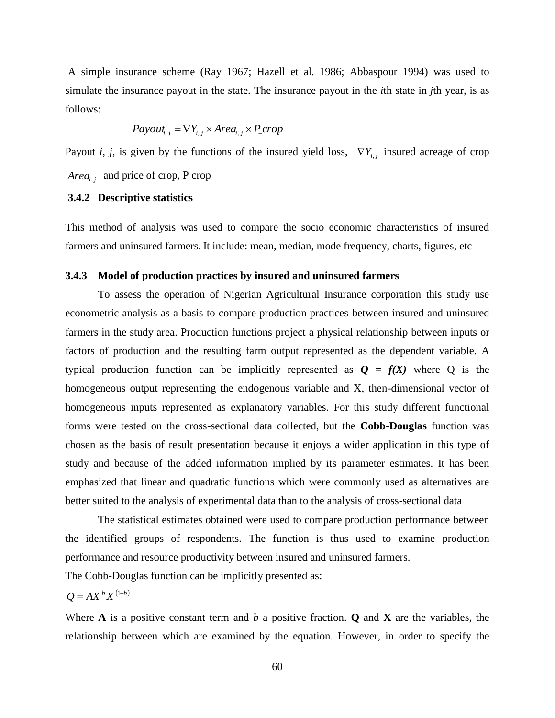A simple insurance scheme (Ray 1967; Hazell et al. 1986; Abbaspour 1994) was used to simulate the insurance payout in the state. The insurance payout in the *i*th state in *j*th year, is as follows:

$$
Payout_{i,j} = \nabla Y_{i,j} \times Area_{i,j} \times P\_crop
$$

Payout *i*, *j*, is given by the functions of the insured yield loss,  $\nabla Y_{i,j}$  insured acreage of crop *Areai*, *<sup>j</sup>* and price of crop, P crop

### **3.4.2 Descriptive statistics**

This method of analysis was used to compare the socio economic characteristics of insured farmers and uninsured farmers. It include: mean, median, mode frequency, charts, figures, etc

# **3.4.3 Model of production practices by insured and uninsured farmers**

To assess the operation of Nigerian Agricultural Insurance corporation this study use econometric analysis as a basis to compare production practices between insured and uninsured farmers in the study area. Production functions project a physical relationship between inputs or factors of production and the resulting farm output represented as the dependent variable. A typical production function can be implicitly represented as  $Q = f(X)$  where Q is the homogeneous output representing the endogenous variable and X, then-dimensional vector of homogeneous inputs represented as explanatory variables. For this study different functional forms were tested on the cross-sectional data collected, but the **Cobb-Douglas** function was chosen as the basis of result presentation because it enjoys a wider application in this type of study and because of the added information implied by its parameter estimates. It has been emphasized that linear and quadratic functions which were commonly used as alternatives are better suited to the analysis of experimental data than to the analysis of cross-sectional data

The statistical estimates obtained were used to compare production performance between the identified groups of respondents. The function is thus used to examine production performance and resource productivity between insured and uninsured farmers.

The Cobb-Douglas function can be implicitly presented as:

$$
Q = AX^bX^{(1-b)}
$$

Where **A** is a positive constant term and *b* a positive fraction. **Q** and **X** are the variables, the relationship between which are examined by the equation. However, in order to specify the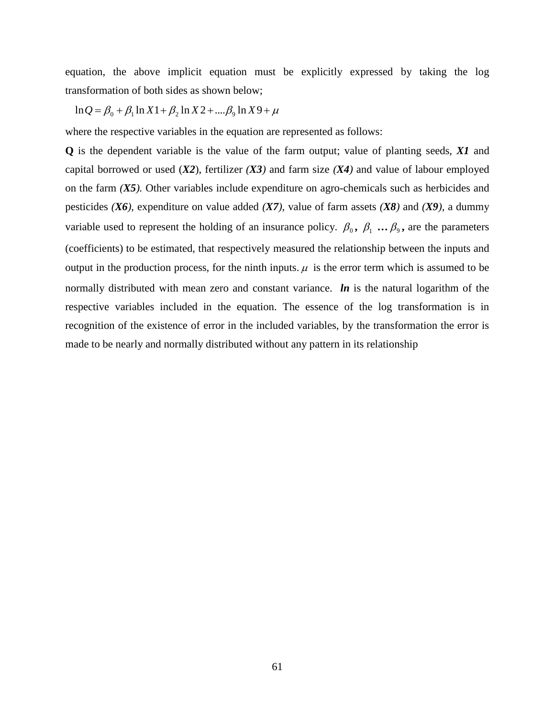equation, the above implicit equation must be explicitly expressed by taking the log transformation of both sides as shown below;

$$
\ln Q = \beta_0 + \beta_1 \ln X \cdot 1 + \beta_2 \ln X \cdot 2 + \dots \cdot \beta_9 \ln X \cdot 9 + \mu
$$

where the respective variables in the equation are represented as follows:

**Q** is the dependent variable is the value of the farm output; value of planting seeds, *X1* and capital borrowed or used  $(X2)$ , fertilizer  $(X3)$  and farm size  $(X4)$  and value of labour employed on the farm *(X5).* Other variables include expenditure on agro-chemicals such as herbicides and pesticides *(X6),* expenditure on value added *(X7),* value of farm assets *(X8)* and *(X9),* a dummy variable used to represent the holding of an insurance policy.  $\beta_0$ ,  $\beta_1$  ...  $\beta_2$ , are the parameters (coefficients) to be estimated, that respectively measured the relationship between the inputs and output in the production process, for the ninth inputs.  $\mu$  is the error term which is assumed to be normally distributed with mean zero and constant variance. *ln* is the natural logarithm of the respective variables included in the equation. The essence of the log transformation is in recognition of the existence of error in the included variables, by the transformation the error is made to be nearly and normally distributed without any pattern in its relationship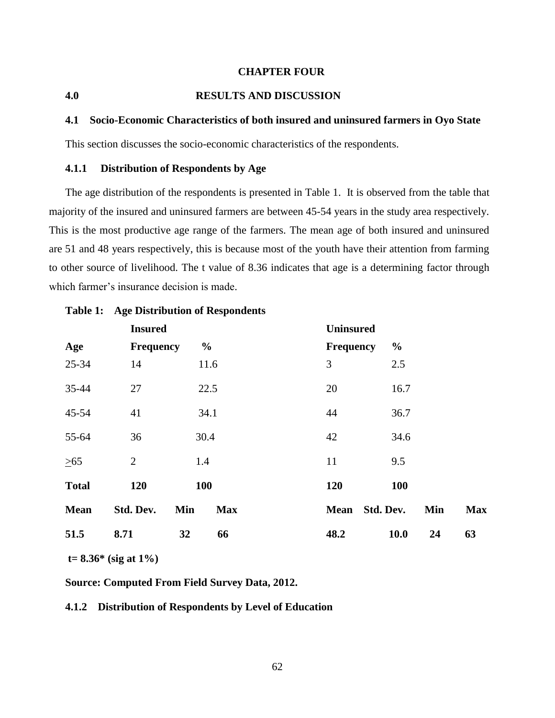# **CHAPTER FOUR**

# **4.0 RESULTS AND DISCUSSION**

#### **4.1 Socio-Economic Characteristics of both insured and uninsured farmers in Oyo State**

This section discusses the socio-economic characteristics of the respondents.

# **4.1.1 Distribution of Respondents by Age**

The age distribution of the respondents is presented in Table 1. It is observed from the table that majority of the insured and uninsured farmers are between 45-54 years in the study area respectively. This is the most productive age range of the farmers. The mean age of both insured and uninsured are 51 and 48 years respectively, this is because most of the youth have their attention from farming to other source of livelihood. The t value of 8.36 indicates that age is a determining factor through which farmer's insurance decision is made.

|              | <b>Insured</b>   |                   | <b>Uninsured</b>         |                   |
|--------------|------------------|-------------------|--------------------------|-------------------|
| Age          | <b>Frequency</b> | $\frac{6}{10}$    | <b>Frequency</b>         | $\frac{0}{0}$     |
| 25-34        | 14               | 11.6              | 3                        | 2.5               |
| 35-44        | 27               | 22.5              | 20                       | 16.7              |
| 45-54        | 41               | 34.1              | 44                       | 36.7              |
| 55-64        | 36               | 30.4              | 42                       | 34.6              |
| $\geq 65$    | $\mathbf{2}$     | 1.4               | 11                       | 9.5               |
| <b>Total</b> | 120              | 100               | 120                      | <b>100</b>        |
| <b>Mean</b>  | Std. Dev.        | Min<br><b>Max</b> | Std. Dev.<br><b>Mean</b> | Min<br><b>Max</b> |
| 51.5         | 8.71             | 32<br>66          | 48.2                     | 10.0<br>24<br>63  |

# **Table 1: Age Distribution of Respondents**

**t= 8.36\* (sig at 1%)**

**Source: Computed From Field Survey Data, 2012.**

# **4.1.2 Distribution of Respondents by Level of Education**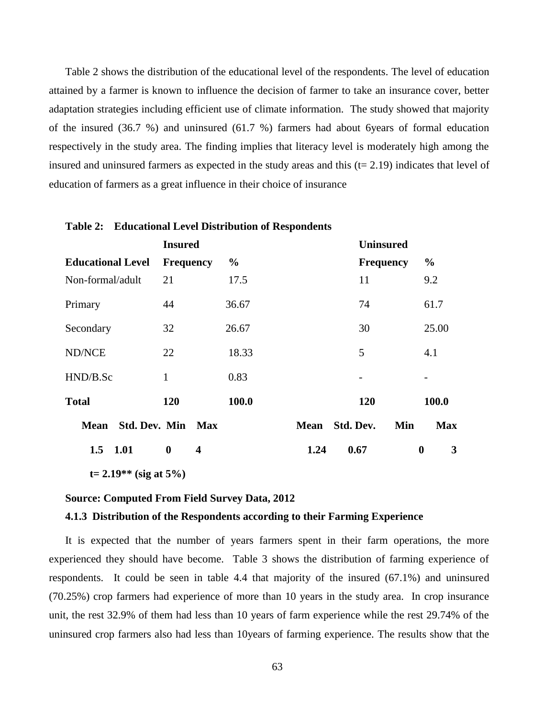Table 2 shows the distribution of the educational level of the respondents. The level of education attained by a farmer is known to influence the decision of farmer to take an insurance cover, better adaptation strategies including efficient use of climate information. The study showed that majority of the insured (36.7 %) and uninsured (61.7 %) farmers had about 6years of formal education respectively in the study area. The finding implies that literacy level is moderately high among the insured and uninsured farmers as expected in the study areas and this  $(t= 2.19)$  indicates that level of education of farmers as a great influence in their choice of insurance

|                          | <b>Insured</b>        |               |             | <b>Uninsured</b> |                       |
|--------------------------|-----------------------|---------------|-------------|------------------|-----------------------|
| <b>Educational Level</b> | <b>Frequency</b>      | $\frac{6}{9}$ |             | <b>Frequency</b> | $\frac{0}{0}$         |
| Non-formal/adult         | 21                    | 17.5          |             | 11               | 9.2                   |
| Primary                  | 44                    | 36.67         |             | 74               | 61.7                  |
| Secondary                | 32                    | 26.67         |             | 30               | 25.00                 |
| ND/NCE                   | 22                    | 18.33         |             | 5                | 4.1                   |
| HND/B.Sc                 | $\mathbf{1}$          | 0.83          |             | -                |                       |
| <b>Total</b>             | 120                   | 100.0         |             | <b>120</b>       | 100.0                 |
| <b>Mean</b>              | Std. Dev. Min Max     |               | <b>Mean</b> | Std. Dev.<br>Min | <b>Max</b>            |
| 1.01<br>1.5              | $\boldsymbol{0}$<br>4 |               | 1.24        | 0.67             | 3<br>$\boldsymbol{0}$ |

#### **Table 2: Educational Level Distribution of Respondents**

**t= 2.19\*\* (sig at 5%)**

# **Source: Computed From Field Survey Data, 2012**

# **4.1.3 Distribution of the Respondents according to their Farming Experience**

It is expected that the number of years farmers spent in their farm operations, the more experienced they should have become. Table 3 shows the distribution of farming experience of respondents. It could be seen in table 4.4 that majority of the insured (67.1%) and uninsured (70.25%) crop farmers had experience of more than 10 years in the study area. In crop insurance unit, the rest 32.9% of them had less than 10 years of farm experience while the rest 29.74% of the uninsured crop farmers also had less than 10years of farming experience. The results show that the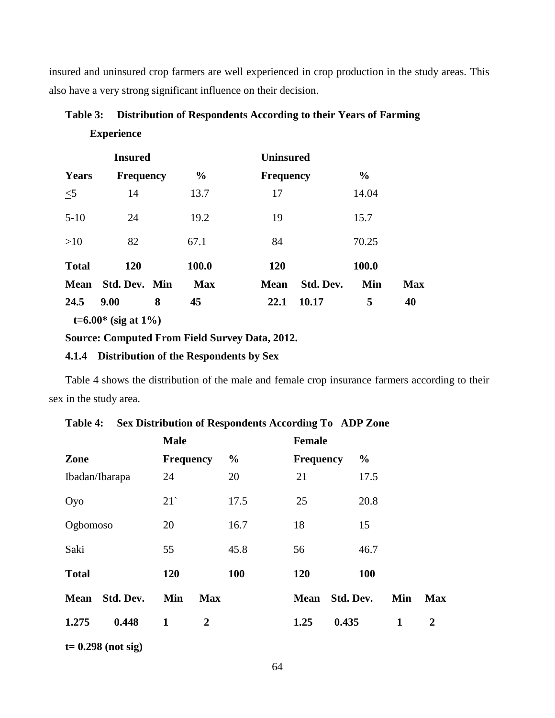insured and uninsured crop farmers are well experienced in crop production in the study areas. This also have a very strong significant influence on their decision.

| Table 3: | Distribution of Respondents According to their Years of Farming |
|----------|-----------------------------------------------------------------|
|          | <b>Experience</b>                                               |

|              | <b>Insured</b>   |               | <b>Uninsured</b>         |               |            |
|--------------|------------------|---------------|--------------------------|---------------|------------|
| <b>Years</b> | <b>Frequency</b> | $\frac{0}{0}$ | <b>Frequency</b>         | $\frac{0}{0}$ |            |
| $\leq$ 5     | 14               | 13.7          | 17                       | 14.04         |            |
| $5-10$       | 24               | 19.2          | 19                       | 15.7          |            |
| >10          | 82               | 67.1          | 84                       | 70.25         |            |
| <b>Total</b> | <b>120</b>       | 100.0         | <b>120</b>               | 100.0         |            |
| <b>Mean</b>  | Std. Dev. Min    | <b>Max</b>    | Std. Dev.<br><b>Mean</b> | Min           | <b>Max</b> |
| 24.5         | 9.00<br>8        | 45            | 10.17<br>22.1            | 5             | 40         |

 **t=6.00\* (sig at 1%)**

# **Source: Computed From Field Survey Data, 2012.**

# **4.1.4 Distribution of the Respondents by Sex**

Table 4 shows the distribution of the male and female crop insurance farmers according to their sex in the study area.

|                |           | <b>Male</b>         |               | <b>Female</b>            |               |              |                |
|----------------|-----------|---------------------|---------------|--------------------------|---------------|--------------|----------------|
| Zone           |           | <b>Frequency</b>    | $\frac{0}{0}$ | <b>Frequency</b>         | $\frac{0}{0}$ |              |                |
| Ibadan/Ibarapa |           | 24                  | 20            | 21                       | 17.5          |              |                |
| Oyo            |           | 21                  | 17.5          | 25                       | 20.8          |              |                |
| Ogbomoso       |           | 20                  | 16.7          | 18                       | 15            |              |                |
| Saki           |           | 55                  | 45.8          | 56                       | 46.7          |              |                |
| <b>Total</b>   |           | 120                 | 100           | 120                      | <b>100</b>    |              |                |
| <b>Mean</b>    | Std. Dev. | Min<br><b>Max</b>   |               | Std. Dev.<br><b>Mean</b> |               | Min          | <b>Max</b>     |
| 1.275          | 0.448     | 1<br>$\overline{2}$ |               | 0.435<br>1.25            |               | $\mathbf{1}$ | $\overline{2}$ |
|                |           |                     |               |                          |               |              |                |

|  | Table 4: Sex Distribution of Respondents According To ADP Zone |  |  |  |  |  |  |
|--|----------------------------------------------------------------|--|--|--|--|--|--|
|--|----------------------------------------------------------------|--|--|--|--|--|--|

**t= 0.298 (not sig)**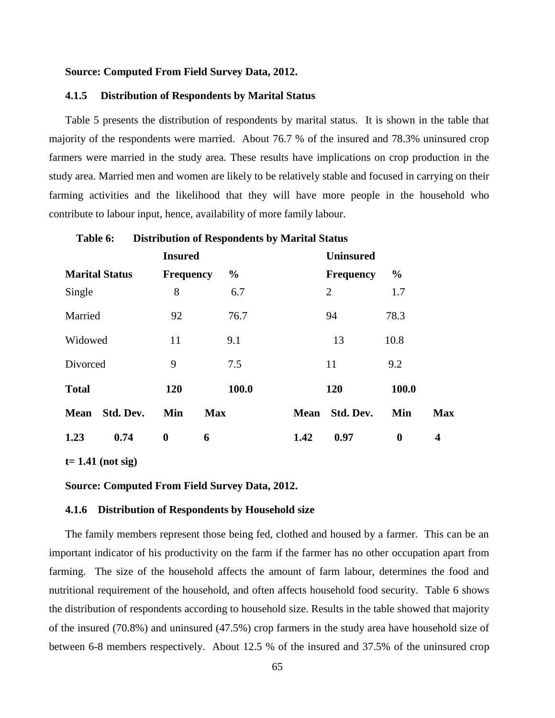# **4.1.5 Distribution of Respondents by Marital Status**

Table 5 presents the distribution of respondents by marital status. It is shown in the table that majority of the respondents were married. About 76.7 % of the insured and 78.3% uninsured crop farmers were married in the study area. These results have implications on crop production in the study area. Married men and women are likely to be relatively stable and focused in carrying on their farming activities and the likelihood that they will have more people in the household who contribute to labour input, hence, availability of more family labour.

|              |                       | <b>Insured</b>   |               |             | <b>Uninsured</b> |                  |            |
|--------------|-----------------------|------------------|---------------|-------------|------------------|------------------|------------|
|              | <b>Marital Status</b> | <b>Frequency</b> | $\frac{0}{0}$ |             | <b>Frequency</b> | $\frac{0}{0}$    |            |
| Single       |                       | 8                | 6.7           |             | $\overline{2}$   | 1.7              |            |
| Married      |                       | 92               | 76.7          |             | 94               | 78.3             |            |
| Widowed      |                       | 11               | 9.1           |             | 13               | 10.8             |            |
| Divorced     |                       | 9                | 7.5           |             | 11               | 9.2              |            |
| <b>Total</b> |                       | 120              | 100.0         |             | 120              | 100.0            |            |
| <b>Mean</b>  | Std. Dev.             | Min              | <b>Max</b>    | <b>Mean</b> | Std. Dev.        | Min              | <b>Max</b> |
| 1.23         | 0.74                  | $\boldsymbol{0}$ | 6             | 1.42        | 0.97             | $\boldsymbol{0}$ | 4          |

**Table 6: Distribution of Respondents by Marital Status** 

**t= 1.41 (not sig)**

**Source: Computed From Field Survey Data, 2012.**

# **4.1.6 Distribution of Respondents by Household size**

The family members represent those being fed, clothed and housed by a farmer. This can be an important indicator of his productivity on the farm if the farmer has no other occupation apart from farming. The size of the household affects the amount of farm labour, determines the food and nutritional requirement of the household, and often affects household food security. Table 6 shows the distribution of respondents according to household size. Results in the table showed that majority of the insured (70.8%) and uninsured (47.5%) crop farmers in the study area have household size of between 6-8 members respectively. About 12.5 % of the insured and 37.5% of the uninsured crop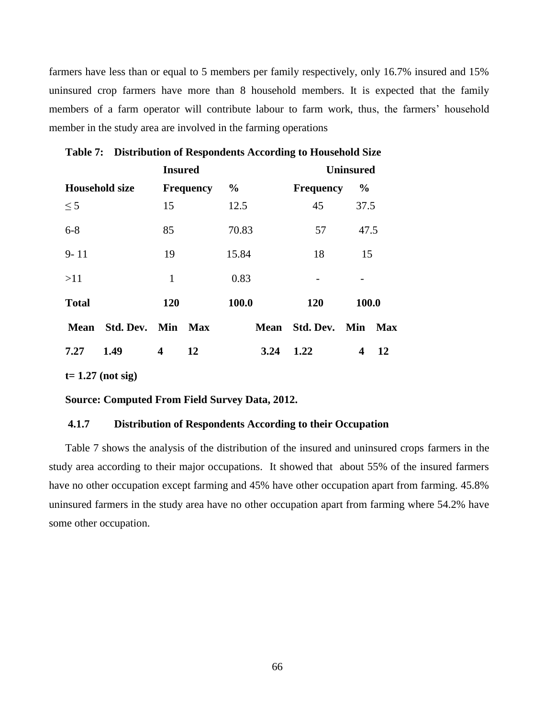farmers have less than or equal to 5 members per family respectively, only 16.7% insured and 15% uninsured crop farmers have more than 8 household members. It is expected that the family members of a farm operator will contribute labour to farm work, thus, the farmers' household member in the study area are involved in the farming operations

|              |                       | <b>Insured</b> |                  |               |      | <b>Uninsured</b>   |                  |     |
|--------------|-----------------------|----------------|------------------|---------------|------|--------------------|------------------|-----|
|              | <b>Household size</b> |                | <b>Frequency</b> | $\frac{0}{0}$ |      | <b>Frequency</b>   | $\frac{0}{0}$    |     |
| $\leq$ 5     |                       | 15             |                  | 12.5          |      | 45                 | 37.5             |     |
| $6 - 8$      |                       | 85             |                  | 70.83         |      | 57                 | 47.5             |     |
| $9 - 11$     |                       | 19             |                  | 15.84         |      | 18                 | 15               |     |
| >11          |                       | $\mathbf{1}$   |                  | 0.83          |      |                    |                  |     |
| <b>Total</b> |                       | 120            |                  | 100.0         |      | 120                | 100.0            |     |
| Mean         | Std. Dev.             | Min            | Max              |               |      | Mean Std. Dev. Min |                  | Max |
| 7.27         | 1.49                  | 4              | 12               |               | 3.24 | 1.22               | $\boldsymbol{4}$ | 12  |

| Table 7: Distribution of Respondents According to Household Size |  |
|------------------------------------------------------------------|--|
|                                                                  |  |

**t= 1.27 (not sig)**

# **Source: Computed From Field Survey Data, 2012.**

# **4.1.7 Distribution of Respondents According to their Occupation**

Table 7 shows the analysis of the distribution of the insured and uninsured crops farmers in the study area according to their major occupations. It showed that about 55% of the insured farmers have no other occupation except farming and 45% have other occupation apart from farming. 45.8% uninsured farmers in the study area have no other occupation apart from farming where 54.2% have some other occupation.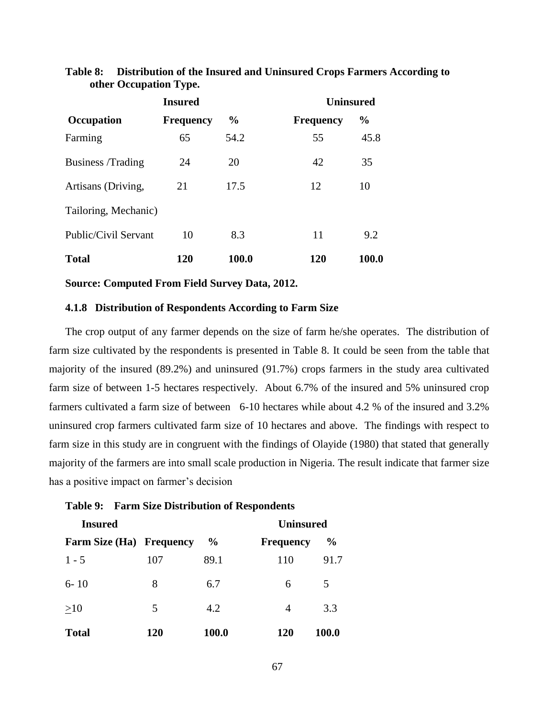|                      | <b>Insured</b>   |               | <b>Uninsured</b> |               |
|----------------------|------------------|---------------|------------------|---------------|
| Occupation           | <b>Frequency</b> | $\frac{0}{0}$ | <b>Frequency</b> | $\frac{0}{0}$ |
| Farming              | 65               | 54.2          | 55               | 45.8          |
| Business /Trading    | 24               | 20            | 42               | 35            |
| Artisans (Driving,   | 21               | 17.5          | 12               | 10            |
| Tailoring, Mechanic) |                  |               |                  |               |
| Public/Civil Servant | 10               | 8.3           | 11               | 9.2           |
| <b>Total</b>         | 120              | 100.0         | 120              | 100.0         |

# **Table 8: Distribution of the Insured and Uninsured Crops Farmers According to other Occupation Type.**

**Source: Computed From Field Survey Data, 2012.**

# **4.1.8 Distribution of Respondents According to Farm Size**

The crop output of any farmer depends on the size of farm he/she operates. The distribution of farm size cultivated by the respondents is presented in Table 8. It could be seen from the table that majority of the insured (89.2%) and uninsured (91.7%) crops farmers in the study area cultivated farm size of between 1-5 hectares respectively. About 6.7% of the insured and 5% uninsured crop farmers cultivated a farm size of between 6-10 hectares while about 4.2 % of the insured and 3.2% uninsured crop farmers cultivated farm size of 10 hectares and above. The findings with respect to farm size in this study are in congruent with the findings of Olayide (1980) that stated that generally majority of the farmers are into small scale production in Nigeria. The result indicate that farmer size has a positive impact on farmer's decision

| <b>Insured</b>                  |     |               | <b>Uninsured</b> |               |
|---------------------------------|-----|---------------|------------------|---------------|
| <b>Farm Size (Ha) Frequency</b> |     | $\frac{6}{9}$ | <b>Frequency</b> | $\frac{0}{0}$ |
| $1 - 5$                         | 107 | 89.1          | 110              | 91.7          |
| $6 - 10$                        | 8   | 6.7           | 6                | 5             |
| >10                             | 5   | 4.2           | $\overline{4}$   | 3.3           |
| <b>Total</b>                    | 120 | 100.0         | <b>120</b>       | <b>100.0</b>  |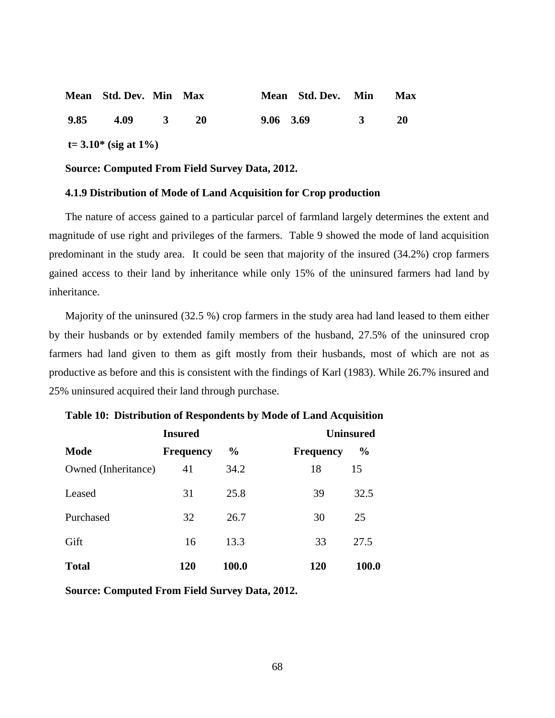|      | Mean Std. Dev. Min Max       |                         |           | Mean Std. Dev. Min |              | <b>Max</b> |
|------|------------------------------|-------------------------|-----------|--------------------|--------------|------------|
| 9.85 | 4.09                         | $\overline{\mathbf{3}}$ | <b>20</b> | 9.06 3.69          | $\mathbf{R}$ | <b>20</b>  |
|      | $t = 3.10^*$ (sig at $1\%$ ) |                         |           |                    |              |            |

### **4.1.9 Distribution of Mode of Land Acquisition for Crop production**

The nature of access gained to a particular parcel of farmland largely determines the extent and magnitude of use right and privileges of the farmers. Table 9 showed the mode of land acquisition predominant in the study area. It could be seen that majority of the insured (34.2%) crop farmers gained access to their land by inheritance while only 15% of the uninsured farmers had land by inheritance.

Majority of the uninsured (32.5 %) crop farmers in the study area had land leased to them either by their husbands or by extended family members of the husband, 27.5% of the uninsured crop farmers had land given to them as gift mostly from their husbands, most of which are not as productive as before and this is consistent with the findings of Karl (1983). While 26.7% insured and 25% uninsured acquired their land through purchase.

|                     | <b>Insured</b>   |               |                  | <b>Uninsured</b> |  |
|---------------------|------------------|---------------|------------------|------------------|--|
| <b>Mode</b>         | <b>Frequency</b> | $\frac{6}{9}$ | <b>Frequency</b> | $\frac{0}{0}$    |  |
| Owned (Inheritance) | 41               | 34.2          | 18               | 15               |  |
| Leased              | 31               | 25.8          | 39               | 32.5             |  |
| Purchased           | 32               | 26.7          | 30               | 25               |  |
| Gift                | 16               | 13.3          | 33               | 27.5             |  |
| <b>Total</b>        | <b>120</b>       | 100.0         | <b>120</b>       | 100.0            |  |

# **Table 10: Distribution of Respondents by Mode of Land Acquisition**

**Source: Computed From Field Survey Data, 2012.**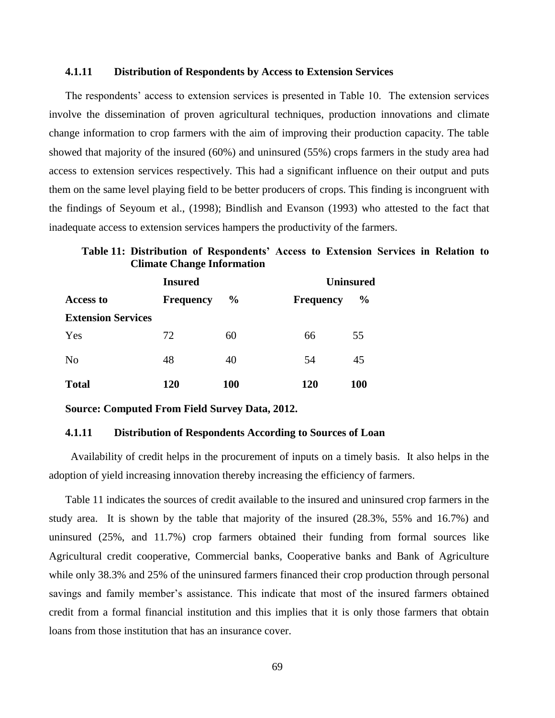# **4.1.11 Distribution of Respondents by Access to Extension Services**

The respondents' access to extension services is presented in Table 10. The extension services involve the dissemination of proven agricultural techniques, production innovations and climate change information to crop farmers with the aim of improving their production capacity. The table showed that majority of the insured (60%) and uninsured (55%) crops farmers in the study area had access to extension services respectively. This had a significant influence on their output and puts them on the same level playing field to be better producers of crops. This finding is incongruent with the findings of Seyoum et al., (1998); Bindlish and Evanson (1993) who attested to the fact that inadequate access to extension services hampers the productivity of the farmers.

**Table 11: Distribution of Respondents' Access to Extension Services in Relation to Climate Change Information**

|                           | <b>Insured</b>   |               |                  | <b>Uninsured</b> |  |  |
|---------------------------|------------------|---------------|------------------|------------------|--|--|
| <b>Access to</b>          | <b>Frequency</b> | $\frac{6}{9}$ | <b>Frequency</b> | $\frac{0}{0}$    |  |  |
| <b>Extension Services</b> |                  |               |                  |                  |  |  |
| Yes                       | 72               | 60            | 66               | 55               |  |  |
| N <sub>o</sub>            | 48               | 40            | 54               | 45               |  |  |
| <b>Total</b>              | 120              | <b>100</b>    | 120              | <b>100</b>       |  |  |

**Source: Computed From Field Survey Data, 2012.** 

#### **4.1.11 Distribution of Respondents According to Sources of Loan**

 Availability of credit helps in the procurement of inputs on a timely basis. It also helps in the adoption of yield increasing innovation thereby increasing the efficiency of farmers.

Table 11 indicates the sources of credit available to the insured and uninsured crop farmers in the study area. It is shown by the table that majority of the insured (28.3%, 55% and 16.7%) and uninsured (25%, and 11.7%) crop farmers obtained their funding from formal sources like Agricultural credit cooperative, Commercial banks, Cooperative banks and Bank of Agriculture while only 38.3% and 25% of the uninsured farmers financed their crop production through personal savings and family member's assistance. This indicate that most of the insured farmers obtained credit from a formal financial institution and this implies that it is only those farmers that obtain loans from those institution that has an insurance cover.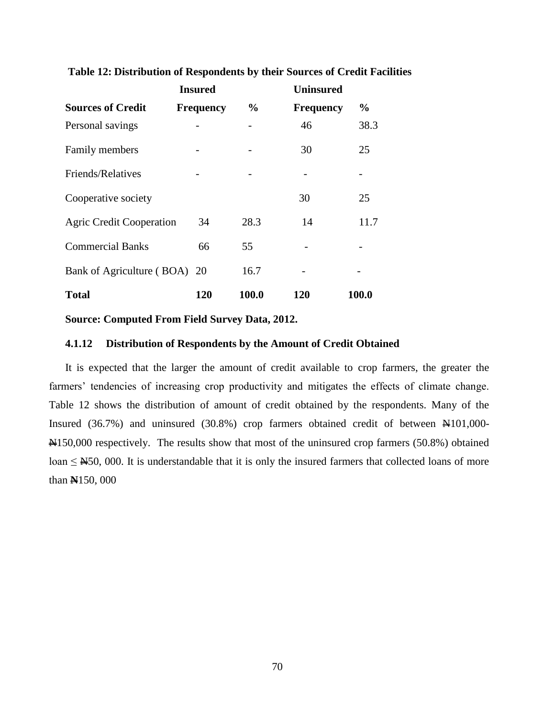|                                 | <b>Insured</b>   |               | <b>Uninsured</b> |               |
|---------------------------------|------------------|---------------|------------------|---------------|
| <b>Sources of Credit</b>        | <b>Frequency</b> | $\frac{6}{9}$ | <b>Frequency</b> | $\frac{0}{0}$ |
| Personal savings                |                  |               | 46               | 38.3          |
| Family members                  |                  |               | 30               | 25            |
| Friends/Relatives               |                  |               |                  |               |
| Cooperative society             |                  |               | 30               | 25            |
| <b>Agric Credit Cooperation</b> | 34               | 28.3          | 14               | 11.7          |
| <b>Commercial Banks</b>         | 66               | 55            |                  |               |
| Bank of Agriculture (BOA) 20    |                  | 16.7          |                  |               |
| <b>Total</b>                    | 120              | 100.0         | 120              | 100.0         |

**Table 12: Distribution of Respondents by their Sources of Credit Facilities**

# **4.1.12 Distribution of Respondents by the Amount of Credit Obtained**

It is expected that the larger the amount of credit available to crop farmers, the greater the farmers' tendencies of increasing crop productivity and mitigates the effects of climate change. Table 12 shows the distribution of amount of credit obtained by the respondents. Many of the Insured (36.7%) and uninsured (30.8%) crop farmers obtained credit of between N101,000- N150,000 respectively. The results show that most of the uninsured crop farmers (50.8%) obtained loan  $\leq \frac{\mathsf{N}}{50}$ , 000. It is understandable that it is only the insured farmers that collected loans of more than **N**150, 000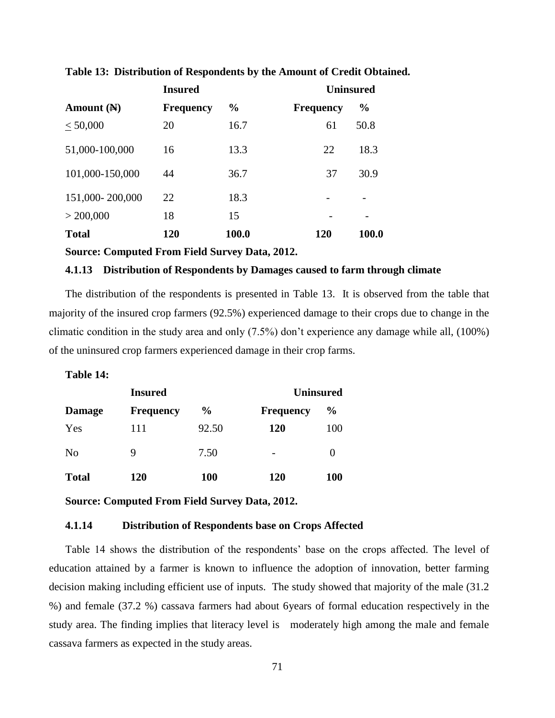| <b>Insured</b>  |                  |               | <b>Uninsured</b> |               |
|-----------------|------------------|---------------|------------------|---------------|
| Amount $(A)$    | <b>Frequency</b> | $\frac{0}{0}$ | <b>Frequency</b> | $\frac{6}{9}$ |
| < 50,000        | 20               | 16.7          | 61               | 50.8          |
| 51,000-100,000  | 16               | 13.3          | 22               | 18.3          |
| 101,000-150,000 | 44               | 36.7          | 37               | 30.9          |
| 151,000-200,000 | 22               | 18.3          |                  |               |
| $>$ 200,000     | 18               | 15            |                  |               |
| <b>Total</b>    | 120              | 100.0         | 120              | 100.0         |

**Table 13: Distribution of Respondents by the Amount of Credit Obtained.**

# **4.1.13 Distribution of Respondents by Damages caused to farm through climate**

The distribution of the respondents is presented in Table 13. It is observed from the table that majority of the insured crop farmers (92.5%) experienced damage to their crops due to change in the climatic condition in the study area and only (7.5%) don't experience any damage while all, (100%) of the uninsured crop farmers experienced damage in their crop farms.

# **Table 14:**

| <b>Insured</b> |                  |               | <b>Uninsured</b>         |               |  |
|----------------|------------------|---------------|--------------------------|---------------|--|
| <b>Damage</b>  | <b>Frequency</b> | $\frac{1}{2}$ | <b>Frequency</b>         | $\frac{0}{0}$ |  |
| Yes            | 111              | 92.50         | <b>120</b>               | 100           |  |
| N <sub>0</sub> | 9                | 7.50          | $\overline{\phantom{a}}$ | 0             |  |
| <b>Total</b>   | 120              | <b>100</b>    | 120                      | <b>100</b>    |  |

**Source: Computed From Field Survey Data, 2012.**

# **4.1.14 Distribution of Respondents base on Crops Affected**

Table 14 shows the distribution of the respondents' base on the crops affected. The level of education attained by a farmer is known to influence the adoption of innovation, better farming decision making including efficient use of inputs. The study showed that majority of the male (31.2 %) and female (37.2 %) cassava farmers had about 6years of formal education respectively in the study area. The finding implies that literacy level is moderately high among the male and female cassava farmers as expected in the study areas.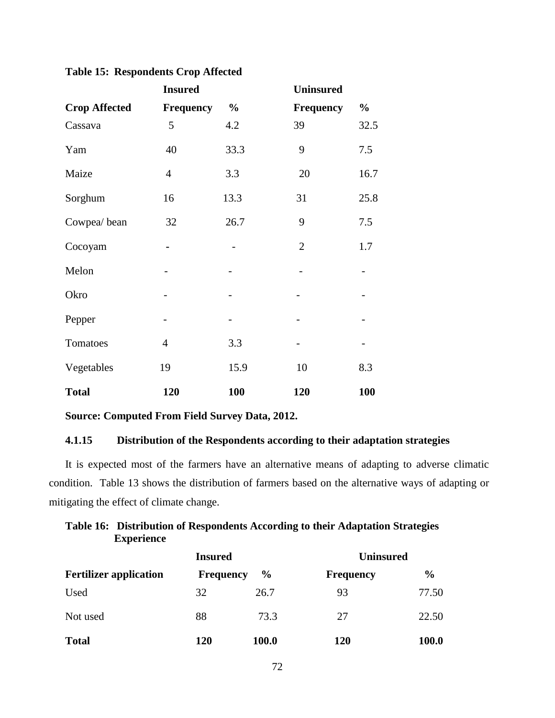**Table 15: Respondents Crop Affected** 

|                      | <b>Insured</b>   |               | <b>Uninsured</b> |               |
|----------------------|------------------|---------------|------------------|---------------|
| <b>Crop Affected</b> | <b>Frequency</b> | $\frac{0}{0}$ | <b>Frequency</b> | $\frac{0}{0}$ |
| Cassava              | 5                | 4.2           | 39               | 32.5          |
| Yam                  | 40               | 33.3          | 9                | 7.5           |
| Maize                | $\overline{4}$   | 3.3           | 20               | 16.7          |
| Sorghum              | 16               | 13.3          | 31               | 25.8          |
| Cowpea/bean          | 32               | 26.7          | 9                | 7.5           |
| Cocoyam              | $\blacksquare$   |               | $\overline{2}$   | 1.7           |
| Melon                |                  |               |                  |               |
| Okro                 |                  |               |                  |               |
| Pepper               |                  |               |                  |               |
| Tomatoes             | $\overline{4}$   | 3.3           |                  |               |
| Vegetables           | 19               | 15.9          | 10               | 8.3           |
| <b>Total</b>         | 120              | 100           | 120              | 100           |

# **4.1.15 Distribution of the Respondents according to their adaptation strategies**

It is expected most of the farmers have an alternative means of adapting to adverse climatic condition. Table 13 shows the distribution of farmers based on the alternative ways of adapting or mitigating the effect of climate change.

| Table 16: Distribution of Respondents According to their Adaptation Strategies |
|--------------------------------------------------------------------------------|
| <b>Experience</b>                                                              |

|                               | <b>Insured</b>   |               | <b>Uninsured</b> |               |  |
|-------------------------------|------------------|---------------|------------------|---------------|--|
| <b>Fertilizer application</b> | <b>Frequency</b> | $\frac{6}{9}$ | <b>Frequency</b> | $\frac{0}{0}$ |  |
| Used                          | 32               | 26.7          | 93               | 77.50         |  |
| Not used                      | 88               | 73.3          | 27               | 22.50         |  |
| <b>Total</b>                  | 120              | 100.0         | 120              | 100.0         |  |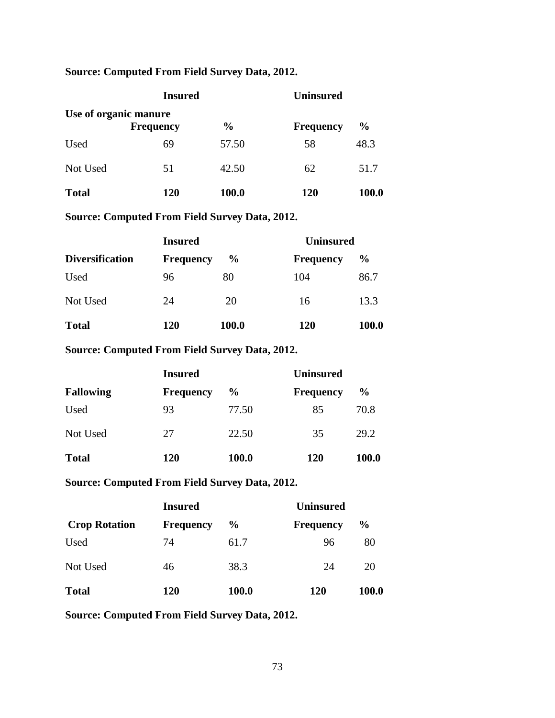# **Source: Computed From Field Survey Data, 2012.**

|                       | <b>Insured</b>   | <b>Uninsured</b> |                  |               |  |
|-----------------------|------------------|------------------|------------------|---------------|--|
| Use of organic manure | <b>Frequency</b> | $\frac{0}{0}$    | <b>Frequency</b> | $\frac{0}{0}$ |  |
| Used                  | 69               | 57.50            | 58               | 48.3          |  |
| Not Used              | 51               | 42.50            | 62               | 51.7          |  |
| <b>Total</b>          | 120              | 100.0            | 120              | 100.0         |  |

**Source: Computed From Field Survey Data, 2012.**

|                        | <b>Insured</b>   |               | <b>Uninsured</b> |               |
|------------------------|------------------|---------------|------------------|---------------|
| <b>Diversification</b> | <b>Frequency</b> | $\frac{6}{9}$ | <b>Frequency</b> | $\frac{6}{9}$ |
| Used                   | 96               | 80            | 104              | 86.7          |
| Not Used               | 24               | 20            | 16               | 13.3          |
| <b>Total</b>           | 120              | 100.0         | <b>120</b>       | 100.0         |

**Source: Computed From Field Survey Data, 2012.** 

|                  | <b>Insured</b>   |               | <b>Uninsured</b> |               |  |  |
|------------------|------------------|---------------|------------------|---------------|--|--|
| <b>Fallowing</b> | <b>Frequency</b> | $\frac{6}{9}$ | <b>Frequency</b> | $\frac{6}{9}$ |  |  |
| Used             | 93               | 77.50         | 85               | 70.8          |  |  |
| Not Used         | 27               | 22.50         | 35               | 29.2          |  |  |
| <b>Total</b>     | <b>120</b>       | 100.0         | <b>120</b>       | 100.0         |  |  |

**Source: Computed From Field Survey Data, 2012.**

|                      | <b>Insured</b>   |               | <b>Uninsured</b> |               |  |  |
|----------------------|------------------|---------------|------------------|---------------|--|--|
| <b>Crop Rotation</b> | <b>Frequency</b> | $\frac{6}{9}$ | <b>Frequency</b> | $\frac{0}{0}$ |  |  |
| Used                 | 74               | 61.7          | 96               | 80            |  |  |
| Not Used             | 46               | 38.3          | 24               | 20            |  |  |
| <b>Total</b>         | 120              | 100.0         | 120              | 100.0         |  |  |

**Source: Computed From Field Survey Data, 2012.**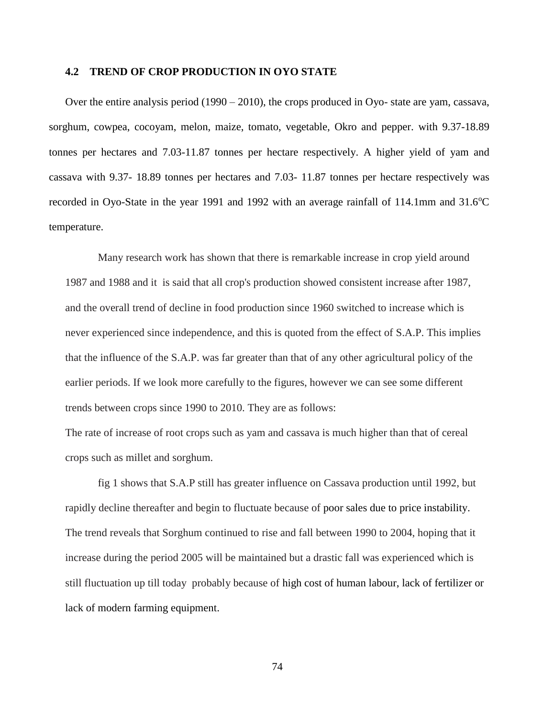## **4.2 TREND OF CROP PRODUCTION IN OYO STATE**

Over the entire analysis period (1990 – 2010), the crops produced in Oyo- state are yam, cassava, sorghum, cowpea, cocoyam, melon, maize, tomato, vegetable, Okro and pepper. with 9.37-18.89 tonnes per hectares and 7.03-11.87 tonnes per hectare respectively. A higher yield of yam and cassava with 9.37- 18.89 tonnes per hectares and 7.03- 11.87 tonnes per hectare respectively was recorded in Oyo-State in the year 1991 and 1992 with an average rainfall of 114.1mm and  $31.6^{\circ}$ C temperature.

Many research work has shown that there is remarkable increase in crop yield around 1987 and 1988 and it is said that all crop's production showed consistent increase after 1987, and the overall trend of decline in food production since 1960 switched to increase which is never experienced since independence, and this is quoted from the effect of S.A.P. This implies that the influence of the S.A.P. was far greater than that of any other agricultural policy of the earlier periods. If we look more carefully to the figures, however we can see some different trends between crops since 1990 to 2010. They are as follows:

The rate of increase of root crops such as yam and cassava is much higher than that of cereal crops such as millet and sorghum.

fig 1 shows that S.A.P still has greater influence on Cassava production until 1992, but rapidly decline thereafter and begin to fluctuate because of poor sales due to price instability. The trend reveals that Sorghum continued to rise and fall between 1990 to 2004, hoping that it increase during the period 2005 will be maintained but a drastic fall was experienced which is still fluctuation up till today probably because of high cost of human labour, lack of fertilizer or lack of modern farming equipment.

74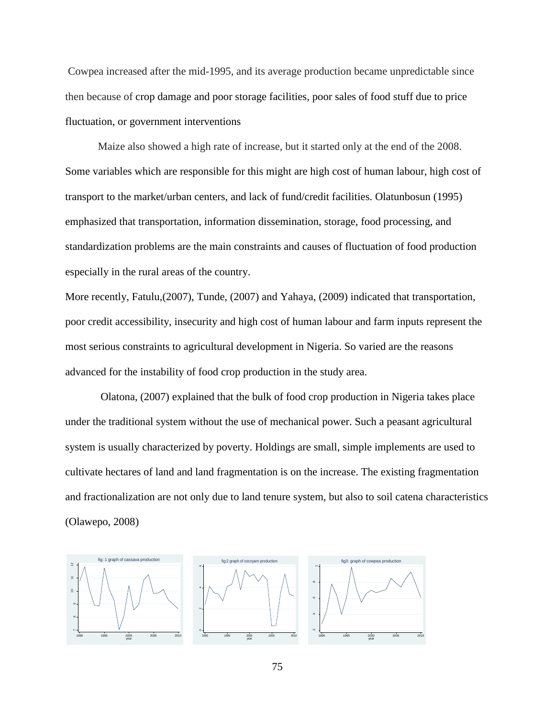Cowpea increased after the mid-1995, and its average production became unpredictable since then because of crop damage and poor storage facilities, poor sales of food stuff due to price fluctuation, or government interventions

Maize also showed a high rate of increase, but it started only at the end of the 2008. Some variables which are responsible for this might are high cost of human labour, high cost of transport to the market/urban centers, and lack of fund/credit facilities. Olatunbosun (1995) emphasized that transportation, information dissemination, storage, food processing, and standardization problems are the main constraints and causes of fluctuation of food production especially in the rural areas of the country.

More recently, Fatulu,(2007), Tunde, (2007) and Yahaya, (2009) indicated that transportation, poor credit accessibility, insecurity and high cost of human labour and farm inputs represent the most serious constraints to agricultural development in Nigeria. So varied are the reasons advanced for the instability of food crop production in the study area.

Olatona, (2007) explained that the bulk of food crop production in Nigeria takes place under the traditional system without the use of mechanical power. Such a peasant agricultural system is usually characterized by poverty. Holdings are small, simple implements are used to cultivate hectares of land and land fragmentation is on the increase. The existing fragmentation and fractionalization are not only due to land tenure system, but also to soil catena characteristics (Olawepo, 2008)

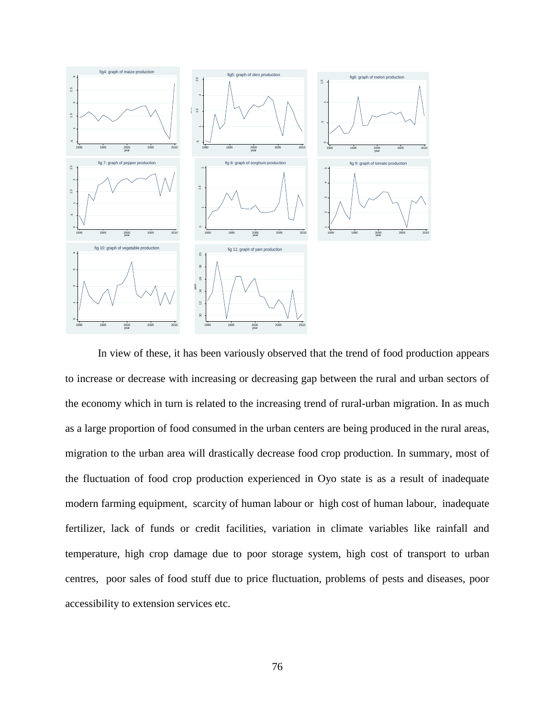

In view of these, it has been variously observed that the trend of food production appears to increase or decrease with increasing or decreasing gap between the rural and urban sectors of the economy which in turn is related to the increasing trend of rural-urban migration. In as much as a large proportion of food consumed in the urban centers are being produced in the rural areas, migration to the urban area will drastically decrease food crop production. In summary, most of the fluctuation of food crop production experienced in Oyo state is as a result of inadequate modern farming equipment, scarcity of human labour or high cost of human labour, inadequate fertilizer, lack of funds or credit facilities, variation in climate variables like rainfall and temperature, high crop damage due to poor storage system, high cost of transport to urban centres, poor sales of food stuff due to price fluctuation, problems of pests and diseases, poor accessibility to extension services etc.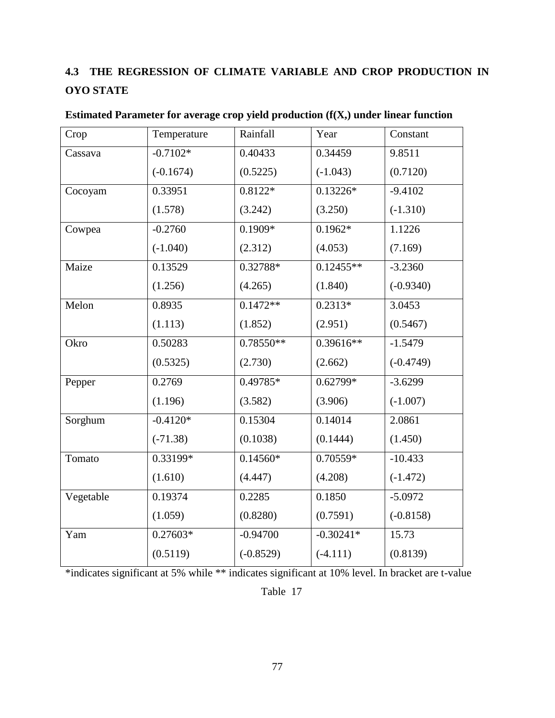# **4.3 THE REGRESSION OF CLIMATE VARIABLE AND CROP PRODUCTION IN OYO STATE**

| Crop      | Temperature | Rainfall    | Year        | Constant    |
|-----------|-------------|-------------|-------------|-------------|
| Cassava   | $-0.7102*$  | 0.40433     | 0.34459     | 9.8511      |
|           | $(-0.1674)$ | (0.5225)    | $(-1.043)$  | (0.7120)    |
| Cocoyam   | 0.33951     | $0.8122*$   | $0.13226*$  | $-9.4102$   |
|           | (1.578)     | (3.242)     | (3.250)     | $(-1.310)$  |
| Cowpea    | $-0.2760$   | $0.1909*$   | $0.1962*$   | 1.1226      |
|           | $(-1.040)$  | (2.312)     | (4.053)     | (7.169)     |
| Maize     | 0.13529     | 0.32788*    | $0.12455**$ | $-3.2360$   |
|           | (1.256)     | (4.265)     | (1.840)     | $(-0.9340)$ |
| Melon     | 0.8935      | $0.1472**$  | $0.2313*$   | 3.0453      |
|           | (1.113)     | (1.852)     | (2.951)     | (0.5467)    |
| Okro      | 0.50283     | 0.78550**   | 0.39616**   | $-1.5479$   |
|           | (0.5325)    | (2.730)     | (2.662)     | $(-0.4749)$ |
| Pepper    | 0.2769      | 0.49785*    | $0.62799*$  | $-3.6299$   |
|           | (1.196)     | (3.582)     | (3.906)     | $(-1.007)$  |
| Sorghum   | $-0.4120*$  | 0.15304     | 0.14014     | 2.0861      |
|           | $(-71.38)$  | (0.1038)    | (0.1444)    | (1.450)     |
| Tomato    | 0.33199*    | $0.14560*$  | 0.70559*    | $-10.433$   |
|           | (1.610)     | (4.447)     | (4.208)     | $(-1.472)$  |
| Vegetable | 0.19374     | 0.2285      | 0.1850      | $-5.0972$   |
|           | (1.059)     | (0.8280)    | (0.7591)    | $(-0.8158)$ |
| Yam       | $0.27603*$  | $-0.94700$  | $-0.30241*$ | 15.73       |
|           | (0.5119)    | $(-0.8529)$ | $(-4.111)$  | (0.8139)    |

**Estimated Parameter for average crop yield production (f(X,) under linear function**

\*indicates significant at 5% while \*\* indicates significant at 10% level. In bracket are t-value

Table 17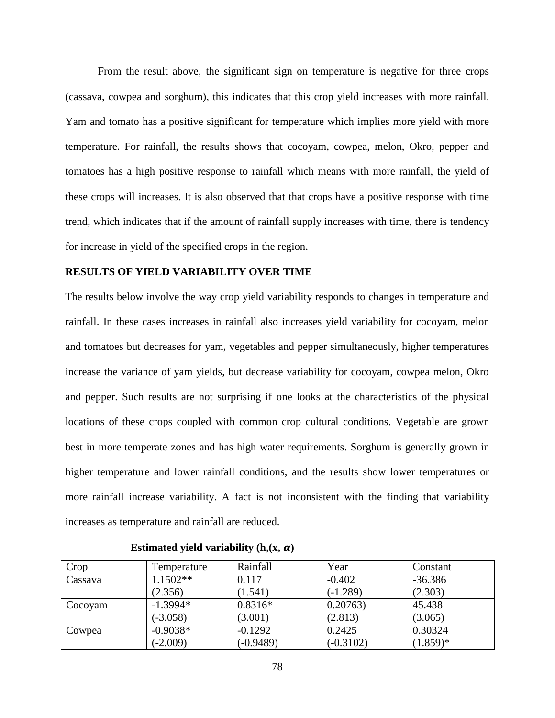From the result above, the significant sign on temperature is negative for three crops (cassava, cowpea and sorghum), this indicates that this crop yield increases with more rainfall. Yam and tomato has a positive significant for temperature which implies more yield with more temperature. For rainfall, the results shows that cocoyam, cowpea, melon, Okro, pepper and tomatoes has a high positive response to rainfall which means with more rainfall, the yield of these crops will increases. It is also observed that that crops have a positive response with time trend, which indicates that if the amount of rainfall supply increases with time, there is tendency for increase in yield of the specified crops in the region.

## **RESULTS OF YIELD VARIABILITY OVER TIME**

The results below involve the way crop yield variability responds to changes in temperature and rainfall. In these cases increases in rainfall also increases yield variability for cocoyam, melon and tomatoes but decreases for yam, vegetables and pepper simultaneously, higher temperatures increase the variance of yam yields, but decrease variability for cocoyam, cowpea melon, Okro and pepper. Such results are not surprising if one looks at the characteristics of the physical locations of these crops coupled with common crop cultural conditions. Vegetable are grown best in more temperate zones and has high water requirements. Sorghum is generally grown in higher temperature and lower rainfall conditions, and the results show lower temperatures or more rainfall increase variability. A fact is not inconsistent with the finding that variability increases as temperature and rainfall are reduced.

| Crop    | Temperature | Rainfall    | Year        | Constant   |
|---------|-------------|-------------|-------------|------------|
| Cassava | $1.1502**$  | 0.117       | $-0.402$    | $-36.386$  |
|         | (2.356)     | (1.541)     | $(-1.289)$  | (2.303)    |
| Cocoyam | $-1.3994*$  | $0.8316*$   | 0.20763     | 45.438     |
|         | $(-3.058)$  | (3.001)     | (2.813)     | (3.065)    |
| Cowpea  | $-0.9038*$  | $-0.1292$   | 0.2425      | 0.30324    |
|         | $(-2.009)$  | $(-0.9489)$ | $(-0.3102)$ | $(1.859)*$ |

**Estimated yield variability**  $(h, (x, \alpha))$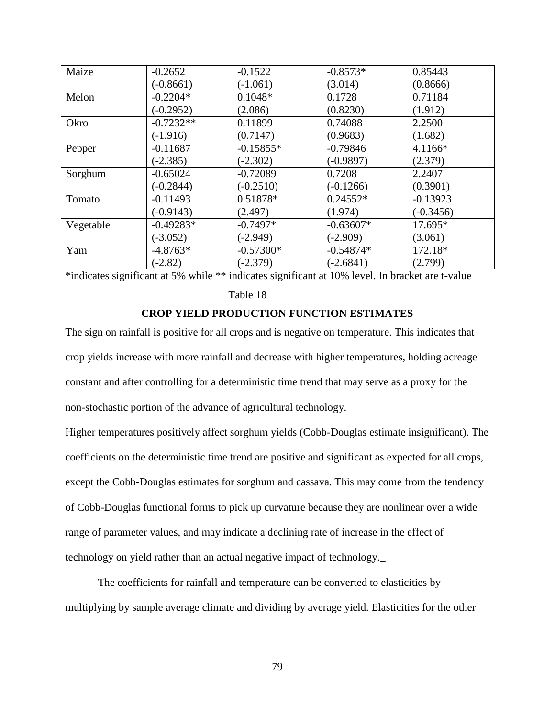| Maize     | $-0.2652$   | $-0.1522$   | $-0.8573*$  | 0.85443     |
|-----------|-------------|-------------|-------------|-------------|
|           | $(-0.8661)$ | $(-1.061)$  | (3.014)     | (0.8666)    |
| Melon     | $-0.2204*$  | $0.1048*$   | 0.1728      | 0.71184     |
|           | $(-0.2952)$ | (2.086)     | (0.8230)    | (1.912)     |
| Okro      | $-0.7232**$ | 0.11899     | 0.74088     | 2.2500      |
|           | $(-1.916)$  | (0.7147)    | (0.9683)    | (1.682)     |
| Pepper    | $-0.11687$  | $-0.15855*$ | $-0.79846$  | 4.1166*     |
|           | $(-2.385)$  | $(-2.302)$  | $(-0.9897)$ | (2.379)     |
| Sorghum   | $-0.65024$  | $-0.72089$  | 0.7208      | 2.2407      |
|           | $(-0.2844)$ | $(-0.2510)$ | $(-0.1266)$ | (0.3901)    |
| Tomato    | $-0.11493$  | 0.51878*    | $0.24552*$  | $-0.13923$  |
|           | $(-0.9143)$ | (2.497)     | (1.974)     | $(-0.3456)$ |
| Vegetable | $-0.49283*$ | $-0.7497*$  | $-0.63607*$ | 17.695*     |
|           | $(-3.052)$  | $(-2.949)$  | $(-2.909)$  | (3.061)     |
| Yam       | $-4.8763*$  | $-0.57300*$ | $-0.54874*$ | 172.18*     |
|           | $(-2.82)$   | $(-2.379)$  | $(-2.6841)$ | (2.799)     |

\*indicates significant at 5% while \*\* indicates significant at 10% level. In bracket are t-value

Table 18

# **CROP YIELD PRODUCTION FUNCTION ESTIMATES**

The sign on rainfall is positive for all crops and is negative on temperature. This indicates that crop yields increase with more rainfall and decrease with higher temperatures, holding acreage constant and after controlling for a deterministic time trend that may serve as a proxy for the non-stochastic portion of the advance of agricultural technology.

Higher temperatures positively affect sorghum yields (Cobb-Douglas estimate insignificant). The coefficients on the deterministic time trend are positive and significant as expected for all crops, except the Cobb-Douglas estimates for sorghum and cassava. This may come from the tendency of Cobb-Douglas functional forms to pick up curvature because they are nonlinear over a wide range of parameter values, and may indicate a declining rate of increase in the effect of technology on yield rather than an actual negative impact of technology.*\_*

The coefficients for rainfall and temperature can be converted to elasticities by multiplying by sample average climate and dividing by average yield. Elasticities for the other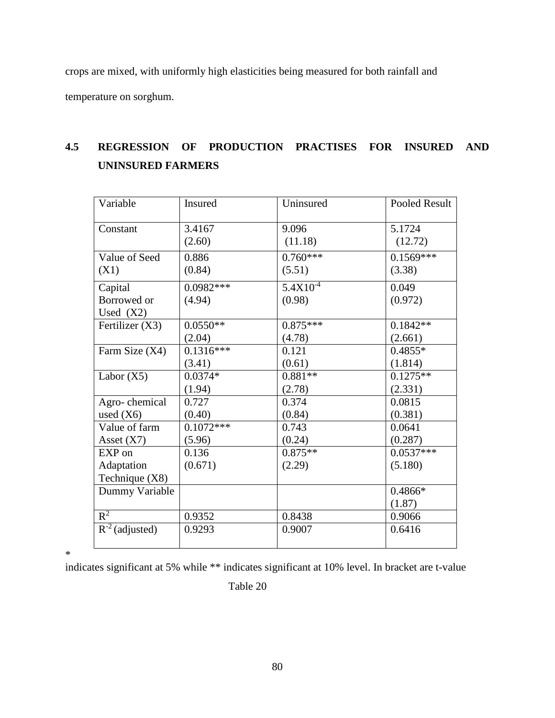crops are mixed, with uniformly high elasticities being measured for both rainfall and temperature on sorghum.

# **4.5 REGRESSION OF PRODUCTION PRACTISES FOR INSURED AND UNINSURED FARMERS**

| Variable            | Insured     | Uninsured     | Pooled Result |
|---------------------|-------------|---------------|---------------|
|                     |             |               |               |
| Constant            | 3.4167      | 9.096         | 5.1724        |
|                     | (2.60)      | (11.18)       | (12.72)       |
| Value of Seed       | 0.886       | $0.760***$    | $0.1569***$   |
| (X1)                | (0.84)      | (5.51)        | (3.38)        |
| Capital             | $0.0982***$ | $5.4X10^{-4}$ | 0.049         |
| Borrowed or         | (4.94)      | (0.98)        | (0.972)       |
| Used $(X2)$         |             |               |               |
| Fertilizer $(X3)$   | $0.0550**$  | $0.875***$    | $0.1842**$    |
|                     | (2.04)      | (4.78)        | (2.661)       |
| Farm Size (X4)      | $0.1316***$ | 0.121         | $0.4855*$     |
|                     | (3.41)      | (0.61)        | (1.814)       |
| Labor $(X5)$        | $0.0374*$   | $0.881**$     | $0.1275**$    |
|                     | (1.94)      | (2.78)        | (2.331)       |
| Agro-chemical       | 0.727       | 0.374         | 0.0815        |
| used $(X6)$         | (0.40)      | (0.84)        | (0.381)       |
| Value of farm       | $0.1072***$ | 0.743         | 0.0641        |
| Asset $(X7)$        | (5.96)      | (0.24)        | (0.287)       |
| EXP on              | 0.136       | $0.875**$     | $0.0537***$   |
| Adaptation          | (0.671)     | (2.29)        | (5.180)       |
| Technique (X8)      |             |               |               |
| Dummy Variable      |             |               | $0.4866*$     |
|                     |             |               | (1.87)        |
| $R^2$               | 0.9352      | 0.8438        | 0.9066        |
| $R^{-2}$ (adjusted) | 0.9293      | 0.9007        | 0.6416        |
|                     |             |               |               |

\*

indicates significant at 5% while \*\* indicates significant at 10% level. In bracket are t-value

Table 20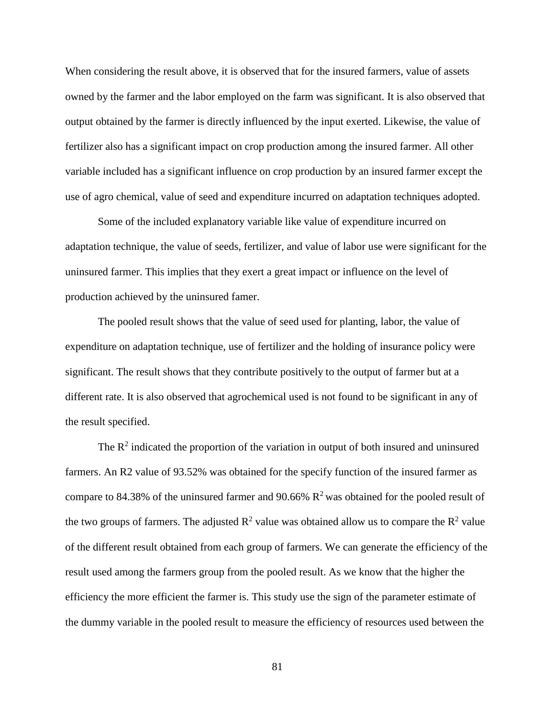When considering the result above, it is observed that for the insured farmers, value of assets owned by the farmer and the labor employed on the farm was significant. It is also observed that output obtained by the farmer is directly influenced by the input exerted. Likewise, the value of fertilizer also has a significant impact on crop production among the insured farmer. All other variable included has a significant influence on crop production by an insured farmer except the use of agro chemical, value of seed and expenditure incurred on adaptation techniques adopted.

Some of the included explanatory variable like value of expenditure incurred on adaptation technique, the value of seeds, fertilizer, and value of labor use were significant for the uninsured farmer. This implies that they exert a great impact or influence on the level of production achieved by the uninsured famer.

The pooled result shows that the value of seed used for planting, labor, the value of expenditure on adaptation technique, use of fertilizer and the holding of insurance policy were significant. The result shows that they contribute positively to the output of farmer but at a different rate. It is also observed that agrochemical used is not found to be significant in any of the result specified.

The  $\mathbb{R}^2$  indicated the proportion of the variation in output of both insured and uninsured farmers. An R2 value of 93.52% was obtained for the specify function of the insured farmer as compare to 84.38% of the uninsured farmer and 90.66%  $\mathbb{R}^2$  was obtained for the pooled result of the two groups of farmers. The adjusted  $R^2$  value was obtained allow us to compare the  $R^2$  value of the different result obtained from each group of farmers. We can generate the efficiency of the result used among the farmers group from the pooled result. As we know that the higher the efficiency the more efficient the farmer is. This study use the sign of the parameter estimate of the dummy variable in the pooled result to measure the efficiency of resources used between the

81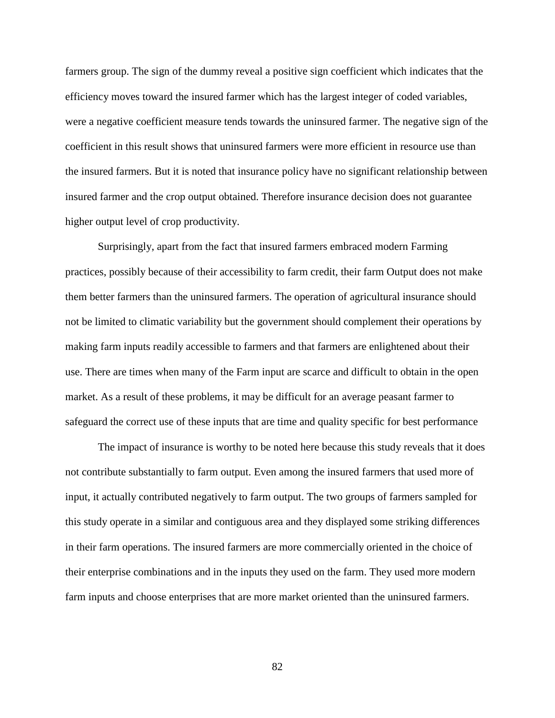farmers group. The sign of the dummy reveal a positive sign coefficient which indicates that the efficiency moves toward the insured farmer which has the largest integer of coded variables, were a negative coefficient measure tends towards the uninsured farmer. The negative sign of the coefficient in this result shows that uninsured farmers were more efficient in resource use than the insured farmers. But it is noted that insurance policy have no significant relationship between insured farmer and the crop output obtained. Therefore insurance decision does not guarantee higher output level of crop productivity.

Surprisingly, apart from the fact that insured farmers embraced modern Farming practices, possibly because of their accessibility to farm credit, their farm Output does not make them better farmers than the uninsured farmers. The operation of agricultural insurance should not be limited to climatic variability but the government should complement their operations by making farm inputs readily accessible to farmers and that farmers are enlightened about their use. There are times when many of the Farm input are scarce and difficult to obtain in the open market. As a result of these problems, it may be difficult for an average peasant farmer to safeguard the correct use of these inputs that are time and quality specific for best performance

The impact of insurance is worthy to be noted here because this study reveals that it does not contribute substantially to farm output. Even among the insured farmers that used more of input, it actually contributed negatively to farm output. The two groups of farmers sampled for this study operate in a similar and contiguous area and they displayed some striking differences in their farm operations. The insured farmers are more commercially oriented in the choice of their enterprise combinations and in the inputs they used on the farm. They used more modern farm inputs and choose enterprises that are more market oriented than the uninsured farmers.

82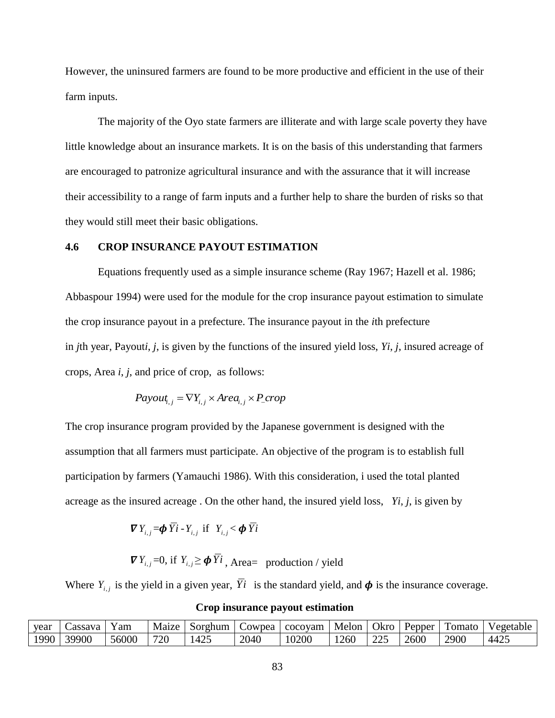However, the uninsured farmers are found to be more productive and efficient in the use of their farm inputs.

The majority of the Oyo state farmers are illiterate and with large scale poverty they have little knowledge about an insurance markets. It is on the basis of this understanding that farmers are encouraged to patronize agricultural insurance and with the assurance that it will increase their accessibility to a range of farm inputs and a further help to share the burden of risks so that they would still meet their basic obligations.

## **4.6 CROP INSURANCE PAYOUT ESTIMATION**

Equations frequently used as a simple insurance scheme (Ray 1967; Hazell et al. 1986; Abbaspour 1994) were used for the module for the crop insurance payout estimation to simulate the crop insurance payout in a prefecture. The insurance payout in the *i*th prefecture in *j*th year, Payout*i*, *j*, is given by the functions of the insured yield loss, *Yi*, *j*, insured acreage of crops, Area *i*, *j*, and price of crop, as follows:

$$
Payout_{i,j} = \nabla Y_{i,j} \times Area_{i,j} \times P\_crop
$$

The crop insurance program provided by the Japanese government is designed with the assumption that all farmers must participate. An objective of the program is to establish full participation by farmers (Yamauchi 1986). With this consideration, i used the total planted acreage as the insured acreage . On the other hand, the insured yield loss, *Yi*, *j*, is given by

$$
\boldsymbol{\nabla} Y_{i,j} = \boldsymbol{\phi} Y i - Y_{i,j} \text{ if } Y_{i,j} < \boldsymbol{\phi} Y i
$$

 $\nabla Y_{i,j} = 0$ , if  $Y_{i,j} \ge \phi Y_i$ , Area= production / yield

Where  $Y_{i,j}$  is the yield in a given year, Yi is the standard yield, and  $\phi$  is the insurance coverage.

| vear | Cassava | Y am  | Maize | Sorghum | Cowpea | cocovam | Melon | Okro        | Pepper | Fomato | Vegetable |
|------|---------|-------|-------|---------|--------|---------|-------|-------------|--------|--------|-----------|
| 1990 | 39900   | 56000 | 720   | 425     | 2040   | 10200   | 1260  | າາະ<br>44 J | 2600   | 2900   | 4425      |

**Crop insurance payout estimation**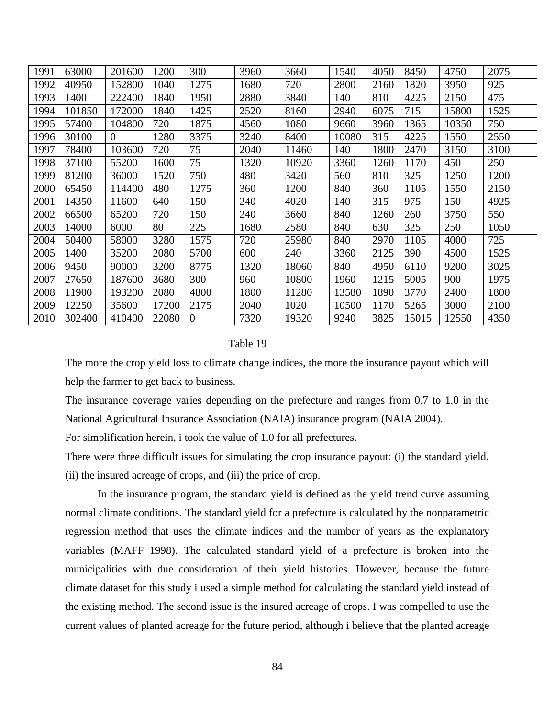| 1991 | 63000  | 201600   | 1200  | 300            | 3960 | 3660  | 1540  | 4050 | 8450  | 4750  | 2075 |
|------|--------|----------|-------|----------------|------|-------|-------|------|-------|-------|------|
| 1992 | 40950  | 152800   | 1040  | 1275           | 1680 | 720   | 2800  | 2160 | 1820  | 3950  | 925  |
| 1993 | 1400   | 222400   | 1840  | 1950           | 2880 | 3840  | 140   | 810  | 4225  | 2150  | 475  |
| 1994 | 101850 | 172000   | 1840  | 1425           | 2520 | 8160  | 2940  | 6075 | 715   | 15800 | 1525 |
| 1995 | 57400  | 104800   | 720   | 1875           | 4560 | 1080  | 9660  | 3960 | 1365  | 10350 | 750  |
| 1996 | 30100  | $\Omega$ | 1280  | 3375           | 3240 | 8400  | 10080 | 315  | 4225  | 1550  | 2550 |
| 1997 | 78400  | 103600   | 720   | 75             | 2040 | 11460 | 140   | 1800 | 2470  | 3150  | 3100 |
| 1998 | 37100  | 55200    | 1600  | 75             | 1320 | 10920 | 3360  | 1260 | 1170  | 450   | 250  |
| 1999 | 81200  | 36000    | 1520  | 750            | 480  | 3420  | 560   | 810  | 325   | 1250  | 1200 |
| 2000 | 65450  | 114400   | 480   | 1275           | 360  | 1200  | 840   | 360  | 1105  | 1550  | 2150 |
| 2001 | 14350  | 11600    | 640   | 150            | 240  | 4020  | 140   | 315  | 975   | 150   | 4925 |
| 2002 | 66500  | 65200    | 720   | 150            | 240  | 3660  | 840   | 1260 | 260   | 3750  | 550  |
| 2003 | 14000  | 6000     | 80    | 225            | 1680 | 2580  | 840   | 630  | 325   | 250   | 1050 |
| 2004 | 50400  | 58000    | 3280  | 1575           | 720  | 25980 | 840   | 2970 | 1105  | 4000  | 725  |
| 2005 | 1400   | 35200    | 2080  | 5700           | 600  | 240   | 3360  | 2125 | 390   | 4500  | 1525 |
| 2006 | 9450   | 90000    | 3200  | 8775           | 1320 | 18060 | 840   | 4950 | 6110  | 9200  | 3025 |
| 2007 | 27650  | 187600   | 3680  | 300            | 960  | 10800 | 1960  | 1215 | 5005  | 900   | 1975 |
| 2008 | 11900  | 193200   | 2080  | 4800           | 1800 | 11280 | 13580 | 1890 | 3770  | 2400  | 1800 |
| 2009 | 12250  | 35600    | 17200 | 2175           | 2040 | 1020  | 10500 | 1170 | 5265  | 3000  | 2100 |
| 2010 | 302400 | 410400   | 22080 | $\overline{0}$ | 7320 | 19320 | 9240  | 3825 | 15015 | 12550 | 4350 |

## Table 19

The more the crop yield loss to climate change indices, the more the insurance payout which will help the farmer to get back to business.

The insurance coverage varies depending on the prefecture and ranges from 0.7 to 1.0 in the National Agricultural Insurance Association (NAIA) insurance program (NAIA 2004).

For simplification herein, i took the value of 1.0 for all prefectures.

There were three difficult issues for simulating the crop insurance payout: (i) the standard yield, (ii) the insured acreage of crops, and (iii) the price of crop.

In the insurance program, the standard yield is defined as the yield trend curve assuming normal climate conditions. The standard yield for a prefecture is calculated by the nonparametric regression method that uses the climate indices and the number of years as the explanatory variables (MAFF 1998). The calculated standard yield of a prefecture is broken into the municipalities with due consideration of their yield histories. However, because the future climate dataset for this study i used a simple method for calculating the standard yield instead of the existing method. The second issue is the insured acreage of crops. I was compelled to use the current values of planted acreage for the future period, although i believe that the planted acreage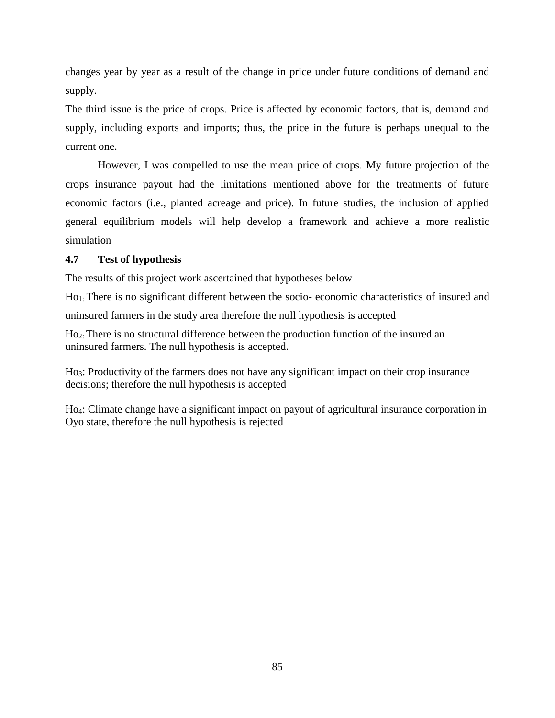changes year by year as a result of the change in price under future conditions of demand and supply.

The third issue is the price of crops. Price is affected by economic factors, that is, demand and supply, including exports and imports; thus, the price in the future is perhaps unequal to the current one.

However, I was compelled to use the mean price of crops. My future projection of the crops insurance payout had the limitations mentioned above for the treatments of future economic factors (i.e., planted acreage and price). In future studies, the inclusion of applied general equilibrium models will help develop a framework and achieve a more realistic simulation

# **4.7 Test of hypothesis**

The results of this project work ascertained that hypotheses below

Ho1: There is no significant different between the socio- economic characteristics of insured and uninsured farmers in the study area therefore the null hypothesis is accepted

Ho2: There is no structural difference between the production function of the insured an uninsured farmers. The null hypothesis is accepted.

Ho3: Productivity of the farmers does not have any significant impact on their crop insurance decisions; therefore the null hypothesis is accepted

Ho4: Climate change have a significant impact on payout of agricultural insurance corporation in Oyo state, therefore the null hypothesis is rejected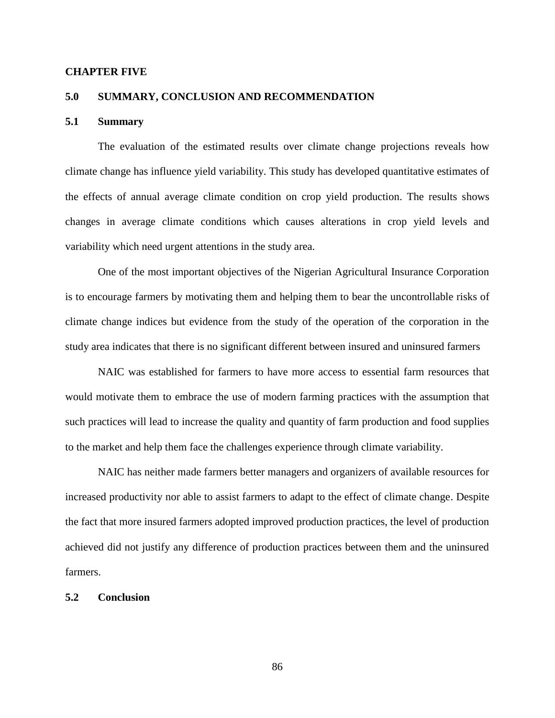### **CHAPTER FIVE**

## **5.0 SUMMARY, CONCLUSION AND RECOMMENDATION**

### **5.1 Summary**

The evaluation of the estimated results over climate change projections reveals how climate change has influence yield variability. This study has developed quantitative estimates of the effects of annual average climate condition on crop yield production. The results shows changes in average climate conditions which causes alterations in crop yield levels and variability which need urgent attentions in the study area.

One of the most important objectives of the Nigerian Agricultural Insurance Corporation is to encourage farmers by motivating them and helping them to bear the uncontrollable risks of climate change indices but evidence from the study of the operation of the corporation in the study area indicates that there is no significant different between insured and uninsured farmers

NAIC was established for farmers to have more access to essential farm resources that would motivate them to embrace the use of modern farming practices with the assumption that such practices will lead to increase the quality and quantity of farm production and food supplies to the market and help them face the challenges experience through climate variability.

NAIC has neither made farmers better managers and organizers of available resources for increased productivity nor able to assist farmers to adapt to the effect of climate change. Despite the fact that more insured farmers adopted improved production practices, the level of production achieved did not justify any difference of production practices between them and the uninsured farmers.

#### **5.2 Conclusion**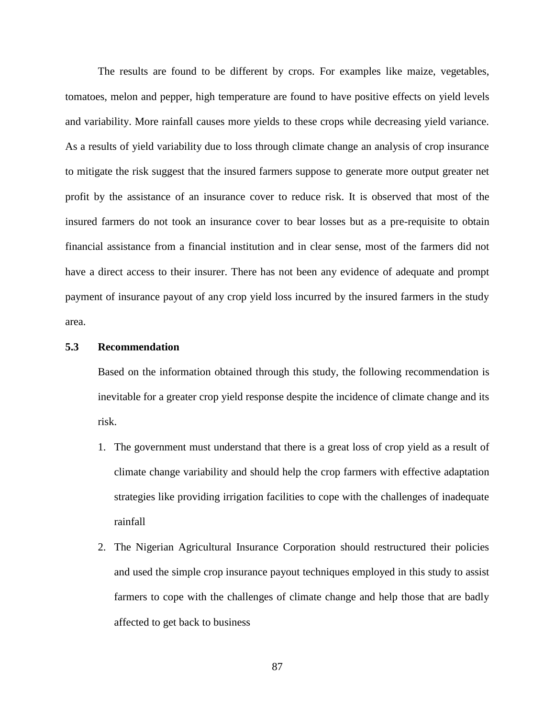The results are found to be different by crops. For examples like maize, vegetables, tomatoes, melon and pepper, high temperature are found to have positive effects on yield levels and variability. More rainfall causes more yields to these crops while decreasing yield variance. As a results of yield variability due to loss through climate change an analysis of crop insurance to mitigate the risk suggest that the insured farmers suppose to generate more output greater net profit by the assistance of an insurance cover to reduce risk. It is observed that most of the insured farmers do not took an insurance cover to bear losses but as a pre-requisite to obtain financial assistance from a financial institution and in clear sense, most of the farmers did not have a direct access to their insurer. There has not been any evidence of adequate and prompt payment of insurance payout of any crop yield loss incurred by the insured farmers in the study area.

## **5.3 Recommendation**

Based on the information obtained through this study, the following recommendation is inevitable for a greater crop yield response despite the incidence of climate change and its risk.

- 1. The government must understand that there is a great loss of crop yield as a result of climate change variability and should help the crop farmers with effective adaptation strategies like providing irrigation facilities to cope with the challenges of inadequate rainfall
- 2. The Nigerian Agricultural Insurance Corporation should restructured their policies and used the simple crop insurance payout techniques employed in this study to assist farmers to cope with the challenges of climate change and help those that are badly affected to get back to business

87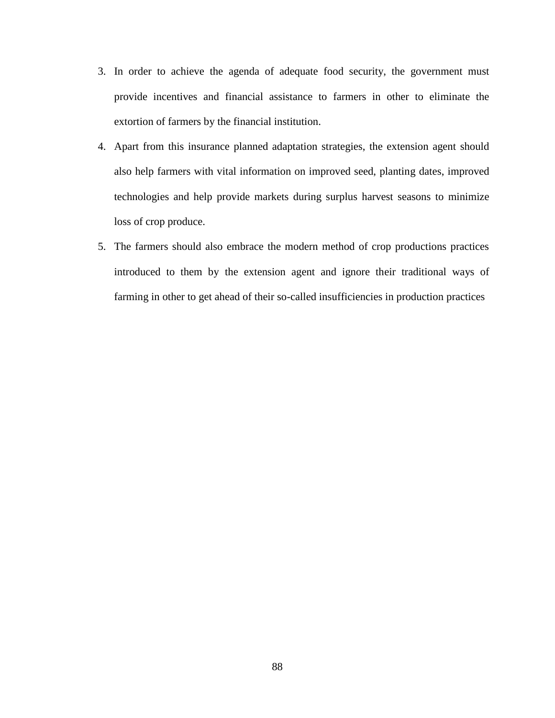- 3. In order to achieve the agenda of adequate food security, the government must provide incentives and financial assistance to farmers in other to eliminate the extortion of farmers by the financial institution.
- 4. Apart from this insurance planned adaptation strategies, the extension agent should also help farmers with vital information on improved seed, planting dates, improved technologies and help provide markets during surplus harvest seasons to minimize loss of crop produce.
- 5. The farmers should also embrace the modern method of crop productions practices introduced to them by the extension agent and ignore their traditional ways of farming in other to get ahead of their so-called insufficiencies in production practices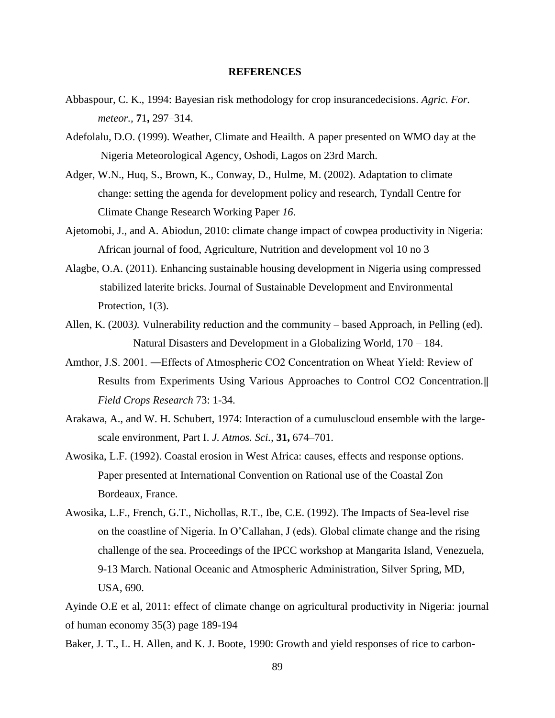### **REFERENCES**

- Abbaspour, C. K., 1994: Bayesian risk methodology for crop insurancedecisions. *Agric. For. meteor.,* **7**1**,** 297–314.
- Adefolalu, D.O. (1999). Weather, Climate and Heailth. A paper presented on WMO day at the Nigeria Meteorological Agency, Oshodi, Lagos on 23rd March.
- Adger, W.N., Huq, S., Brown, K., Conway, D., Hulme, M. (2002). Adaptation to climate change: setting the agenda for development policy and research, Tyndall Centre for Climate Change Research Working Paper *16*.
- Ajetomobi, J., and A. Abiodun, 2010: climate change impact of cowpea productivity in Nigeria: African journal of food, Agriculture, Nutrition and development vol 10 no 3
- Alagbe, O.A. (2011). Enhancing sustainable housing development in Nigeria using compressed stabilized laterite bricks. Journal of Sustainable Development and Environmental Protection, 1(3).
- Allen, K. (2003*).* Vulnerability reduction and the community based Approach, in Pelling (ed). Natural Disasters and Development in a Globalizing World, 170 – 184.
- Amthor, J.S. 2001. ―Effects of Atmospheric CO2 Concentration on Wheat Yield: Review of Results from Experiments Using Various Approaches to Control CO2 Concentration.‖ *Field Crops Research* 73: 1-34.
- Arakawa, A., and W. H. Schubert, 1974: Interaction of a cumuluscloud ensemble with the largescale environment, Part I. *J. Atmos. Sci.,* **31,** 674–701.
- Awosika, L.F. (1992). Coastal erosion in West Africa: causes, effects and response options. Paper presented at International Convention on Rational use of the Coastal Zon Bordeaux, France.
- Awosika, L.F., French, G.T., Nichollas, R.T., Ibe, C.E. (1992). The Impacts of Sea-level rise on the coastline of Nigeria. In O'Callahan, J (eds). Global climate change and the rising challenge of the sea. Proceedings of the IPCC workshop at Mangarita Island, Venezuela, 9-13 March. National Oceanic and Atmospheric Administration, Silver Spring, MD, USA, 690.

Ayinde O.E et al, 2011: effect of climate change on agricultural productivity in Nigeria: journal of human economy 35(3) page 189-194

Baker, J. T., L. H. Allen, and K. J. Boote, 1990: Growth and yield responses of rice to carbon-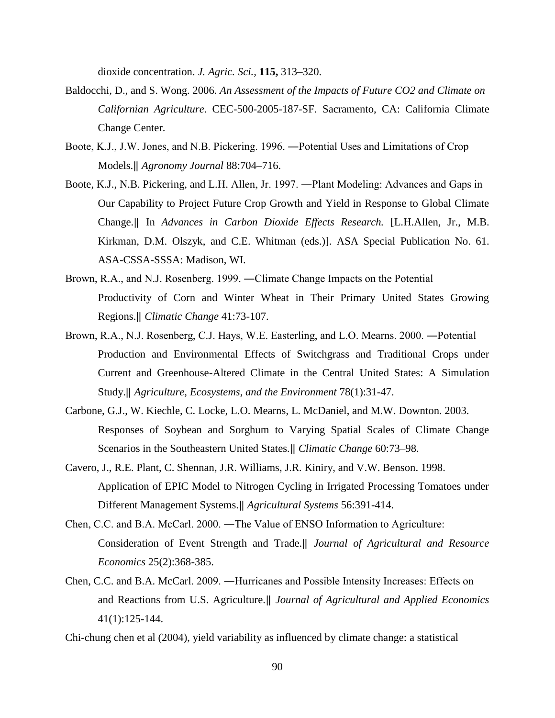dioxide concentration. *J. Agric. Sci.,* **115,** 313–320.

- Baldocchi, D., and S. Wong. 2006. *An Assessment of the Impacts of Future CO2 and Climate on Californian Agriculture*. CEC-500-2005-187-SF. Sacramento, CA: California Climate Change Center.
- Boote, K.J., J.W. Jones, and N.B. Pickering. 1996. ―Potential Uses and Limitations of Crop Models.‖ *Agronomy Journal* 88:704–716.
- Boote, K.J., N.B. Pickering, and L.H. Allen, Jr. 1997. ―Plant Modeling: Advances and Gaps in Our Capability to Project Future Crop Growth and Yield in Response to Global Climate Change.‖ In *Advances in Carbon Dioxide Effects Research.* [L.H.Allen, Jr., M.B. Kirkman, D.M. Olszyk, and C.E. Whitman (eds.)]. ASA Special Publication No. 61. ASA-CSSA-SSSA: Madison, WI.
- Brown, R.A., and N.J. Rosenberg. 1999. ―Climate Change Impacts on the Potential Productivity of Corn and Winter Wheat in Their Primary United States Growing Regions.‖ *Climatic Change* 41:73-107.
- Brown, R.A., N.J. Rosenberg, C.J. Hays, W.E. Easterling, and L.O. Mearns. 2000. ―Potential Production and Environmental Effects of Switchgrass and Traditional Crops under Current and Greenhouse-Altered Climate in the Central United States: A Simulation Study.‖ *Agriculture, Ecosystems, and the Environment* 78(1):31-47.
- Carbone, G.J., W. Kiechle, C. Locke, L.O. Mearns, L. McDaniel, and M.W. Downton. 2003. Responses of Soybean and Sorghum to Varying Spatial Scales of Climate Change Scenarios in the Southeastern United States.‖ *Climatic Change* 60:73–98.
- Cavero, J., R.E. Plant, C. Shennan, J.R. Williams, J.R. Kiniry, and V.W. Benson. 1998. Application of EPIC Model to Nitrogen Cycling in Irrigated Processing Tomatoes under Different Management Systems.‖ *Agricultural Systems* 56:391-414.
- Chen, C.C. and B.A. McCarl. 2000. ―The Value of ENSO Information to Agriculture: Consideration of Event Strength and Trade.‖ *Journal of Agricultural and Resource Economics* 25(2):368-385.
- Chen, C.C. and B.A. McCarl. 2009. ―Hurricanes and Possible Intensity Increases: Effects on and Reactions from U.S. Agriculture.‖ *Journal of Agricultural and Applied Economics*  41(1):125-144.
- Chi-chung chen et al (2004), yield variability as influenced by climate change: a statistical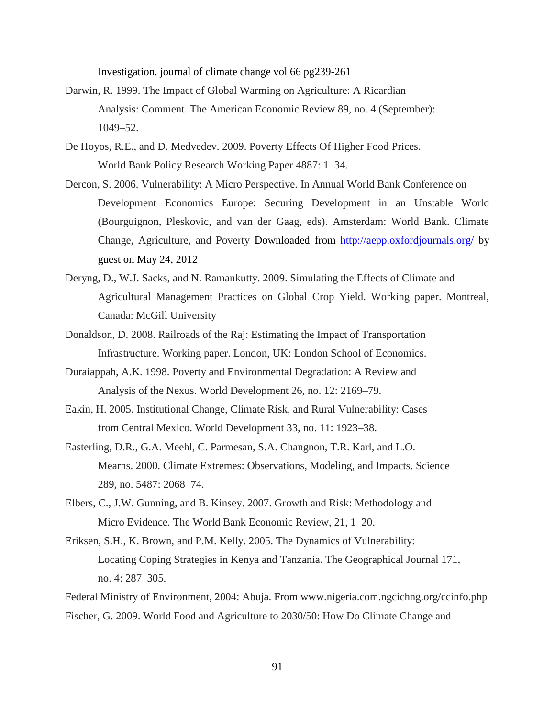Investigation. journal of climate change vol 66 pg239-261

- Darwin, R. 1999. The Impact of Global Warming on Agriculture: A Ricardian Analysis: Comment. The American Economic Review 89, no. 4 (September): 1049–52.
- De Hoyos, R.E., and D. Medvedev. 2009. Poverty Effects Of Higher Food Prices. World Bank Policy Research Working Paper 4887: 1–34.
- Dercon, S. 2006. Vulnerability: A Micro Perspective. In Annual World Bank Conference on Development Economics Europe: Securing Development in an Unstable World (Bourguignon, Pleskovic, and van der Gaag, eds). Amsterdam: World Bank. Climate Change, Agriculture, and Poverty Downloaded from http://aepp.oxfordjournals.org/ by guest on May 24, 2012
- Deryng, D., W.J. Sacks, and N. Ramankutty. 2009. Simulating the Effects of Climate and Agricultural Management Practices on Global Crop Yield. Working paper. Montreal, Canada: McGill University
- Donaldson, D. 2008. Railroads of the Raj: Estimating the Impact of Transportation Infrastructure. Working paper. London, UK: London School of Economics.
- Duraiappah, A.K. 1998. Poverty and Environmental Degradation: A Review and Analysis of the Nexus. World Development 26, no. 12: 2169–79.
- Eakin, H. 2005. Institutional Change, Climate Risk, and Rural Vulnerability: Cases from Central Mexico. World Development 33, no. 11: 1923–38.
- Easterling, D.R., G.A. Meehl, C. Parmesan, S.A. Changnon, T.R. Karl, and L.O. Mearns. 2000. Climate Extremes: Observations, Modeling, and Impacts. Science 289, no. 5487: 2068–74.
- Elbers, C., J.W. Gunning, and B. Kinsey. 2007. Growth and Risk: Methodology and Micro Evidence. The World Bank Economic Review, 21, 1–20.
- Eriksen, S.H., K. Brown, and P.M. Kelly. 2005. The Dynamics of Vulnerability: Locating Coping Strategies in Kenya and Tanzania. The Geographical Journal 171, no. 4: 287–305.

Federal Ministry of Environment, 2004: Abuja. From www.nigeria.com.ngcichng.org/ccinfo.php Fischer, G. 2009. World Food and Agriculture to 2030/50: How Do Climate Change and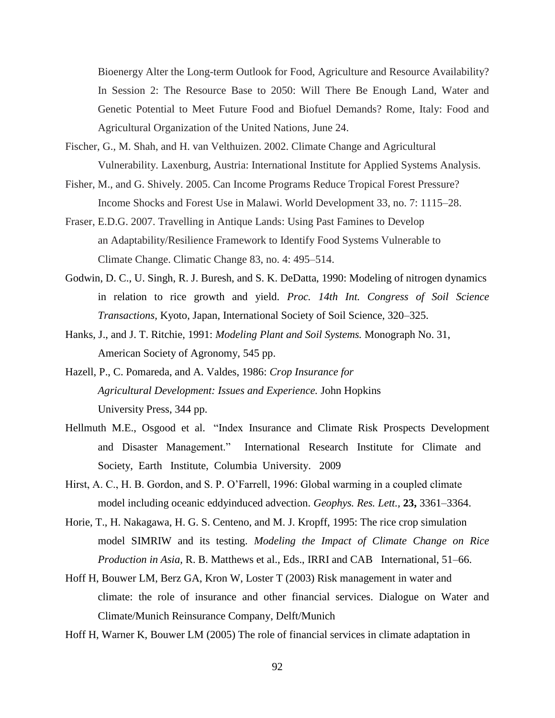Bioenergy Alter the Long-term Outlook for Food, Agriculture and Resource Availability? In Session 2: The Resource Base to 2050: Will There Be Enough Land, Water and Genetic Potential to Meet Future Food and Biofuel Demands? Rome, Italy: Food and Agricultural Organization of the United Nations, June 24.

- Fischer, G., M. Shah, and H. van Velthuizen. 2002. Climate Change and Agricultural Vulnerability. Laxenburg, Austria: International Institute for Applied Systems Analysis.
- Fisher, M., and G. Shively. 2005. Can Income Programs Reduce Tropical Forest Pressure? Income Shocks and Forest Use in Malawi. World Development 33, no. 7: 1115–28.
- Fraser, E.D.G. 2007. Travelling in Antique Lands: Using Past Famines to Develop an Adaptability/Resilience Framework to Identify Food Systems Vulnerable to Climate Change. Climatic Change 83, no. 4: 495–514.
- Godwin, D. C., U. Singh, R. J. Buresh, and S. K. DeDatta, 1990: Modeling of nitrogen dynamics in relation to rice growth and yield. *Proc. 14th Int. Congress of Soil Science Transactions,* Kyoto, Japan, International Society of Soil Science, 320–325.
- Hanks, J., and J. T. Ritchie, 1991: *Modeling Plant and Soil Systems.* Monograph No. 31, American Society of Agronomy, 545 pp.
- Hazell, P., C. Pomareda, and A. Valdes, 1986: *Crop Insurance for Agricultural Development: Issues and Experience.* John Hopkins University Press, 344 pp.
- Hellmuth M.E., Osgood et al. "Index Insurance and Climate Risk Prospects Development and Disaster Management." International Research Institute for Climate and Society, Earth Institute, Columbia University. 2009
- Hirst, A. C., H. B. Gordon, and S. P. O'Farrell, 1996: Global warming in a coupled climate model including oceanic eddyinduced advection. *Geophys. Res. Lett.,* **23,** 3361–3364.
- Horie, T., H. Nakagawa, H. G. S. Centeno, and M. J. Kropff, 1995: The rice crop simulation model SIMRIW and its testing. *Modeling the Impact of Climate Change on Rice Production in Asia,* R. B. Matthews et al., Eds., IRRI and CAB International, 51–66.
- Hoff H, Bouwer LM, Berz GA, Kron W, Loster T (2003) Risk management in water and climate: the role of insurance and other financial services. Dialogue on Water and Climate/Munich Reinsurance Company, Delft/Munich

Hoff H, Warner K, Bouwer LM (2005) The role of financial services in climate adaptation in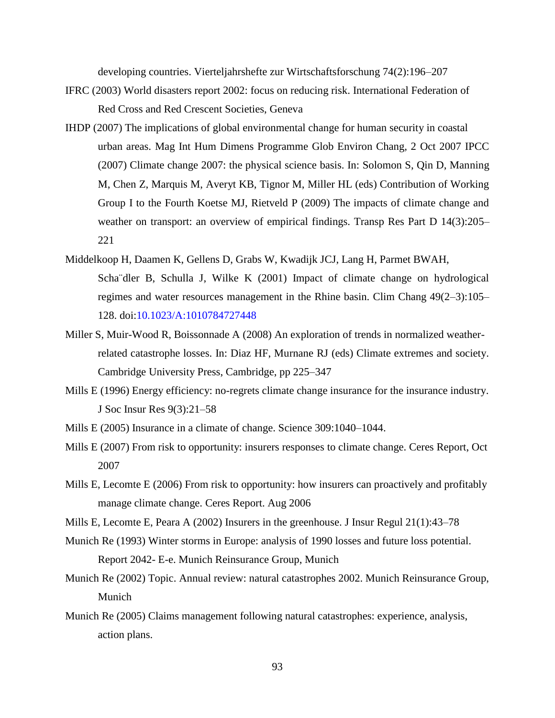developing countries. Vierteljahrshefte zur Wirtschaftsforschung 74(2):196–207

- IFRC (2003) World disasters report 2002: focus on reducing risk. International Federation of Red Cross and Red Crescent Societies, Geneva
- IHDP (2007) The implications of global environmental change for human security in coastal urban areas. Mag Int Hum Dimens Programme Glob Environ Chang, 2 Oct 2007 IPCC (2007) Climate change 2007: the physical science basis. In: Solomon S, Qin D, Manning M, Chen Z, Marquis M, Averyt KB, Tignor M, Miller HL (eds) Contribution of Working Group I to the Fourth Koetse MJ, Rietveld P (2009) The impacts of climate change and weather on transport: an overview of empirical findings. Transp Res Part D 14(3):205– 221
- Middelkoop H, Daamen K, Gellens D, Grabs W, Kwadijk JCJ, Lang H, Parmet BWAH, Scha¨dler B, Schulla J, Wilke K (2001) Impact of climate change on hydrological regimes and water resources management in the Rhine basin. Clim Chang 49(2–3):105– 128. doi:10.1023/A:1010784727448
- Miller S, Muir-Wood R, Boissonnade A (2008) An exploration of trends in normalized weatherrelated catastrophe losses. In: Diaz HF, Murnane RJ (eds) Climate extremes and society. Cambridge University Press, Cambridge, pp 225–347
- Mills E (1996) Energy efficiency: no-regrets climate change insurance for the insurance industry. J Soc Insur Res 9(3):21–58
- Mills E (2005) Insurance in a climate of change. Science 309:1040–1044.
- Mills E (2007) From risk to opportunity: insurers responses to climate change. Ceres Report, Oct 2007
- Mills E, Lecomte E (2006) From risk to opportunity: how insurers can proactively and profitably manage climate change. Ceres Report. Aug 2006
- Mills E, Lecomte E, Peara A (2002) Insurers in the greenhouse. J Insur Regul 21(1):43–78
- Munich Re (1993) Winter storms in Europe: analysis of 1990 losses and future loss potential. Report 2042- E-e. Munich Reinsurance Group, Munich
- Munich Re (2002) Topic. Annual review: natural catastrophes 2002. Munich Reinsurance Group, Munich
- Munich Re (2005) Claims management following natural catastrophes: experience, analysis, action plans.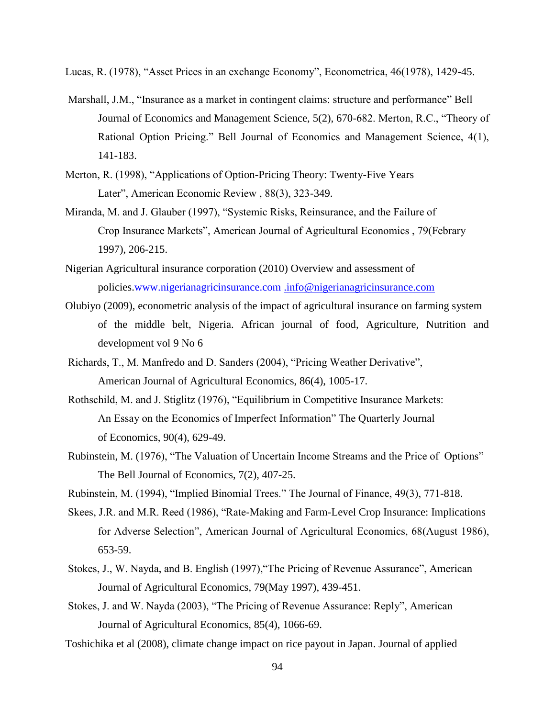Lucas, R. (1978), "Asset Prices in an exchange Economy", Econometrica, 46(1978), 1429-45.

- Marshall, J.M., "Insurance as a market in contingent claims: structure and performance" Bell Journal of Economics and Management Science, 5(2), 670-682. Merton, R.C., "Theory of Rational Option Pricing." Bell Journal of Economics and Management Science, 4(1), 141-183.
- Merton, R. (1998), "Applications of Option-Pricing Theory: Twenty-Five Years Later", American Economic Review , 88(3), 323-349.
- Miranda, M. and J. Glauber (1997), "Systemic Risks, Reinsurance, and the Failure of Crop Insurance Markets", American Journal of Agricultural Economics , 79(Febrary 1997), 206-215.
- Nigerian Agricultural insurance corporation (2010) Overview and assessment of policies.www.nigerianagricinsurance.com [.info@nigerianagricinsurance.com](mailto:.info@nigerianagricinsurance.com)
- Olubiyo (2009), econometric analysis of the impact of agricultural insurance on farming system of the middle belt, Nigeria. African journal of food, Agriculture, Nutrition and development vol 9 No 6
- Richards, T., M. Manfredo and D. Sanders (2004), "Pricing Weather Derivative", American Journal of Agricultural Economics, 86(4), 1005-17.
- Rothschild, M. and J. Stiglitz (1976), "Equilibrium in Competitive Insurance Markets: An Essay on the Economics of Imperfect Information" The Quarterly Journal of Economics, 90(4), 629-49.
- Rubinstein, M. (1976), "The Valuation of Uncertain Income Streams and the Price of Options" The Bell Journal of Economics, 7(2), 407-25.
- Rubinstein, M. (1994), "Implied Binomial Trees." The Journal of Finance, 49(3), 771-818.
- Skees, J.R. and M.R. Reed (1986), "Rate-Making and Farm-Level Crop Insurance: Implications for Adverse Selection", American Journal of Agricultural Economics, 68(August 1986), 653-59.
- Stokes, J., W. Nayda, and B. English (1997),"The Pricing of Revenue Assurance", American Journal of Agricultural Economics, 79(May 1997), 439-451.
- Stokes, J. and W. Nayda (2003), "The Pricing of Revenue Assurance: Reply", American Journal of Agricultural Economics, 85(4), 1066-69.
- Toshichika et al (2008), climate change impact on rice payout in Japan. Journal of applied